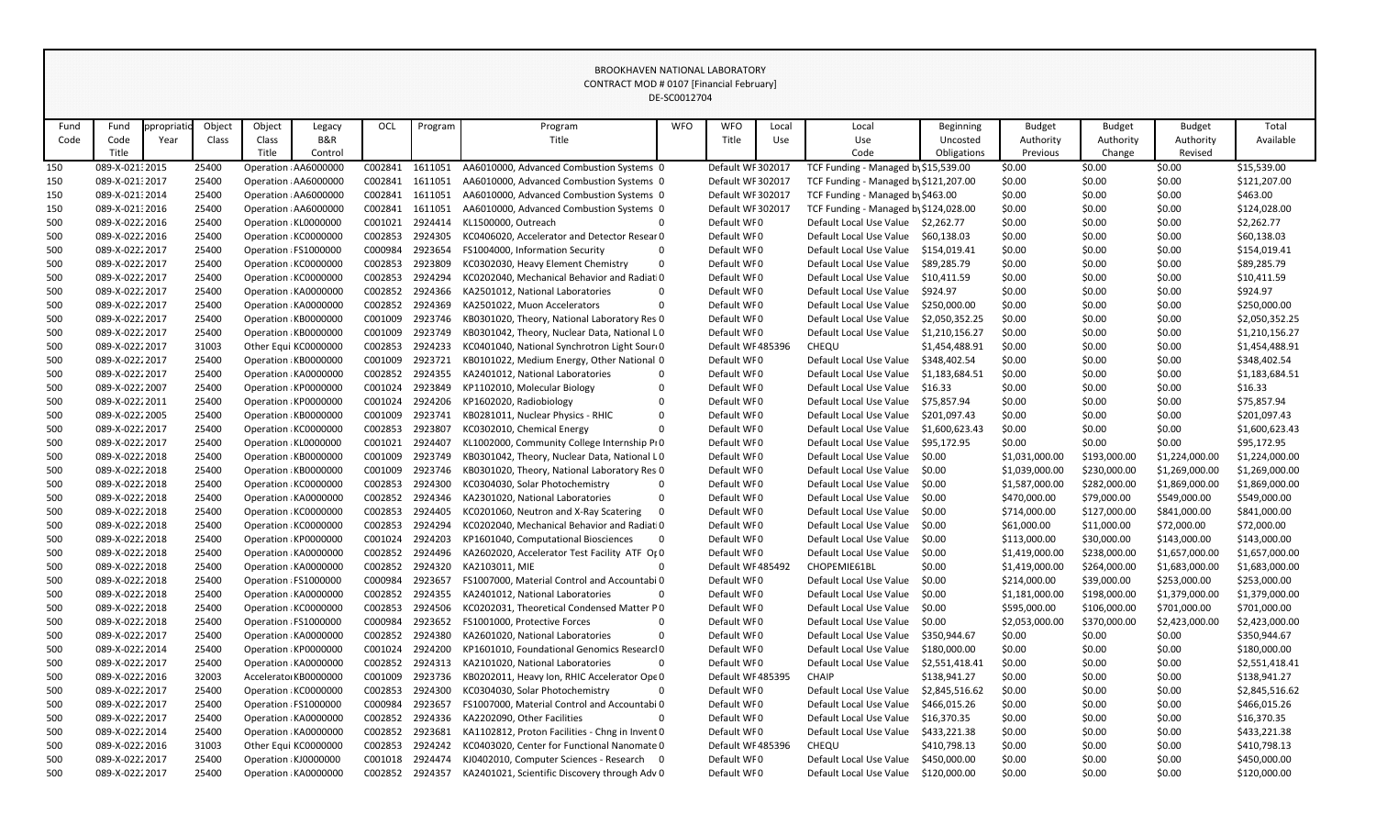|      |                |            |              |                      |                     |         |         |                                                 | DE-SCOUTZ704 |                   |       |                                       |                  |                |               |                |                |
|------|----------------|------------|--------------|----------------------|---------------------|---------|---------|-------------------------------------------------|--------------|-------------------|-------|---------------------------------------|------------------|----------------|---------------|----------------|----------------|
| Fund | Fund           | ppropriati | Object       | Object               | Legacy              | OCL     | Program | Program                                         | <b>WFO</b>   | <b>WFO</b>        | Local | Local                                 | <b>Beginning</b> | <b>Budget</b>  | <b>Budget</b> | <b>Budget</b>  | Total          |
| Code | Code           | Year       | <b>Class</b> | Class                | <b>B&amp;R</b>      |         |         | Title                                           |              | Title             | Use   | Use                                   | Uncosted         | Authority      | Authority     | Authority      | Available      |
|      | Title          |            |              | Title                | Control             |         |         |                                                 |              |                   |       | Code                                  | Obligations      | Previous       | Change        | Revised        |                |
| 150  | 089-X-02132015 |            | 25400        |                      | Operation AA6000000 | C002841 | 1611051 | AA6010000, Advanced Combustion Systems 0        |              | Default WF 302017 |       | TCF Funding - Managed by \$15,539.00  |                  | \$0.00         | \$0.00        | \$0.00         | \$15,539.00    |
| 150  | 089-X-02132017 |            | 25400        |                      | Operation AA6000000 | C002841 | 1611051 | AA6010000, Advanced Combustion Systems 0        |              | Default WF 302017 |       | TCF Funding - Managed by \$121,207.00 |                  | \$0.00         | \$0.00        | \$0.00         | \$121,207.00   |
| 150  | 089-X-02132014 |            | 25400        | Operation AA6000000  |                     | C002841 | 1611051 | AA6010000, Advanced Combustion Systems 0        |              | Default WF 302017 |       | TCF Funding - Managed by \$463.00     |                  | \$0.00         | \$0.00        | \$0.00         | \$463.00       |
| 150  | 089-X-02132016 |            | 25400        |                      | Operation AA6000000 | C002841 | 1611051 | AA6010000, Advanced Combustion Systems 0        |              | Default WF 302017 |       | TCF Funding - Managed by \$124,028.00 |                  | \$0.00         | \$0.00        | \$0.00         | \$124,028.00   |
| 500  | 089-X-02222016 |            | 25400        | Operation KL0000000  |                     | C001021 | 2924414 | KL1500000, Outreach                             |              | Default WF0       |       | Default Local Use Value \$2,262.77    |                  | \$0.00         | \$0.00        | \$0.00         | \$2,262.77     |
| 500  | 089-X-02222016 |            | 25400        | Operation KC0000000  |                     | C002853 | 2924305 | KC0406020, Accelerator and Detector Resear 0    |              | Default WF0       |       | Default Local Use Value               | \$60,138.03      | \$0.00         | \$0.00        | \$0.00         | \$60,138.03    |
| 500  | 089-X-02222017 |            | 25400        | Operation FS1000000  |                     | C000984 | 2923654 | FS1004000, Information Security                 | 0            | Default WF0       |       | Default Local Use Value               | \$154,019.41     | \$0.00         | \$0.00        | \$0.00         | \$154,019.41   |
| 500  | 089-X-02222017 |            | 25400        | Operation KC0000000  |                     | C002853 | 2923809 | KC0302030, Heavy Element Chemistry              | 0            | Default WF0       |       | Default Local Use Value               | \$89,285.79      | \$0.00         | \$0.00        | \$0.00         | \$89,285.79    |
| 500  | 089-X-02222017 |            | 25400        | Operation KC0000000  |                     | C002853 | 2924294 | KC0202040, Mechanical Behavior and RadiatiO     |              | Default WF0       |       | Default Local Use Value               | \$10,411.59      | \$0.00         | \$0.00        | \$0.00         | \$10,411.59    |
| 500  | 089-X-02222017 |            | 25400        |                      | Operation KA0000000 | C002852 | 2924366 | KA2501012, National Laboratories                | $\mathbf 0$  | Default WF0       |       | Default Local Use Value               | \$924.97         | \$0.00         | \$0.00        | \$0.00         | \$924.97       |
| 500  | 089-X-02222017 |            | 25400        | Operation KA0000000  |                     | C002852 | 2924369 | KA2501022, Muon Accelerators                    |              | Default WF0       |       | Default Local Use Value               | \$250,000.00     | \$0.00         | \$0.00        | \$0.00         | \$250,000.00   |
| 500  | 089-X-02222017 |            | 25400        | Operation KB0000000  |                     | C001009 | 2923746 | KB0301020, Theory, National Laboratory Res 0    |              | Default WF0       |       | Default Local Use Value               | \$2,050,352.25   | \$0.00         | \$0.00        | \$0.00         | \$2,050,352.25 |
| 500  | 089-X-02222017 |            | 25400        | Operation KB0000000  |                     | C001009 | 2923749 | KB0301042, Theory, Nuclear Data, National LO    |              | Default WF0       |       | Default Local Use Value               | \$1,210,156.27   | \$0.00         | \$0.00        | \$0.00         | \$1,210,156.27 |
| 500  | 089-X-02222017 |            | 31003        | Other Equi KC0000000 |                     | C002853 | 2924233 | KC0401040, National Synchrotron Light Sour(0    |              | Default WF485396  |       | CHEQU                                 | \$1,454,488.91   | \$0.00         | \$0.00        | \$0.00         | \$1,454,488.91 |
| 500  | 089-X-02222017 |            | 25400        | Operation KB0000000  |                     | C001009 | 2923721 | KB0101022, Medium Energy, Other National 0      |              | Default WF0       |       | Default Local Use Value               | \$348,402.54     | \$0.00         | \$0.00        | \$0.00         | \$348,402.54   |
| 500  | 089-X-02222017 |            | 25400        |                      | Operation KA0000000 | C002852 | 2924355 | KA2401012, National Laboratories                | 0            | Default WF0       |       | Default Local Use Value               | \$1,183,684.51   | \$0.00         | \$0.00        | \$0.00         | \$1,183,684.51 |
| 500  | 089-X-02222007 |            | 25400        | Operation KP0000000  |                     | C001024 | 2923849 | KP1102010, Molecular Biology                    |              | Default WF0       |       | Default Local Use Value               | \$16.33          | \$0.00         | \$0.00        | \$0.00         | \$16.33        |
| 500  | 089-X-02222011 |            | 25400        | Operation KP0000000  |                     | C001024 | 2924206 | KP1602020, Radiobiology                         | 0            | Default WF0       |       | Default Local Use Value               | \$75,857.94      | \$0.00         | \$0.00        | \$0.00         | \$75,857.94    |
| 500  | 089-X-02222005 |            | 25400        | Operation KB0000000  |                     | C001009 | 2923741 | KB0281011, Nuclear Physics - RHIC               | 0            | Default WF0       |       | Default Local Use Value               | \$201,097.43     | \$0.00         | \$0.00        | \$0.00         | \$201,097.43   |
| 500  | 089-X-02222017 |            | 25400        | Operation KC0000000  |                     | C002853 | 2923807 | KC0302010, Chemical Energy                      | 0            | Default WF0       |       | Default Local Use Value               | \$1,600,623.43   | \$0.00         | \$0.00        | \$0.00         | \$1,600,623.43 |
| 500  | 089-X-02222017 |            | 25400        | Operation KL0000000  |                     | C001021 | 2924407 | KL1002000, Community College Internship PIO     |              | Default WF0       |       | Default Local Use Value               | \$95,172.95      | \$0.00         | \$0.00        | \$0.00         | \$95,172.95    |
| 500  | 089-X-02222018 |            | 25400        | Operation KB0000000  |                     | C001009 | 2923749 | KB0301042, Theory, Nuclear Data, National LO    |              | Default WF0       |       | Default Local Use Value               | \$0.00           | \$1,031,000.00 | \$193,000.00  | \$1,224,000.00 | \$1,224,000.00 |
| 500  | 089-X-02222018 |            | 25400        | Operation KB0000000  |                     | C001009 | 2923746 | KB0301020, Theory, National Laboratory Res 0    |              | Default WF0       |       | Default Local Use Value               | \$0.00           | \$1,039,000.00 | \$230,000.00  | \$1,269,000.00 | \$1,269,000.00 |
| 500  | 089-X-02222018 |            | 25400        | Operation KC0000000  |                     | C002853 | 2924300 | KC0304030, Solar Photochemistry                 | 0            | Default WF0       |       | Default Local Use Value               | \$0.00           | \$1,587,000.00 | \$282,000.00  | \$1,869,000.00 | \$1,869,000.00 |
| 500  | 089-X-02222018 |            | 25400        |                      | Operation KA0000000 | C002852 | 2924346 | KA2301020, National Laboratories                | 0            | Default WF0       |       | Default Local Use Value               | \$0.00           | \$470,000.00   | \$79,000.00   | \$549,000.00   | \$549,000.00   |
| 500  | 089-X-02222018 |            | 25400        | Operation KC0000000  |                     | C002853 | 2924405 | KC0201060, Neutron and X-Ray Scatering          | $\mathbf{0}$ | Default WF0       |       | Default Local Use Value               | \$0.00           | \$714,000.00   | \$127,000.00  | \$841,000.00   | \$841,000.00   |
| 500  | 089-X-02222018 |            | 25400        | Operation KC0000000  |                     | C002853 | 2924294 | KC0202040, Mechanical Behavior and RadiatiO     |              | Default WF0       |       | Default Local Use Value               | \$0.00           | \$61,000.00    | \$11,000.00   | \$72,000.00    | \$72,000.00    |
| 500  | 089-X-02222018 |            | 25400        | Operation KP0000000  |                     | C001024 | 2924203 | KP1601040, Computational Biosciences            | 0            | Default WF0       |       | Default Local Use Value               | \$0.00           | \$113,000.00   | \$30,000.00   | \$143,000.00   | \$143,000.00   |
| 500  | 089-X-02222018 |            | 25400        |                      | Operation KA0000000 | C002852 | 2924496 | KA2602020, Accelerator Test Facility ATF Or 0   |              | Default WF0       |       | Default Local Use Value               | \$0.00           | \$1,419,000.00 | \$238,000.00  | \$1,657,000.00 | \$1,657,000.00 |
| 500  | 089-X-02222018 |            | 25400        |                      | Operation KA0000000 | C002852 | 2924320 | KA2103011, MIE                                  | 0            | Default WF485492  |       | CHOPEMIE61BL                          | \$0.00           | \$1,419,000.00 | \$264,000.00  | \$1,683,000.00 | \$1,683,000.00 |
| 500  | 089-X-02222018 |            | 25400        | Operation FS1000000  |                     | C000984 | 2923657 | FS1007000, Material Control and Accountabi 0    |              | Default WF0       |       | Default Local Use Value               | \$0.00           | \$214,000.00   | \$39,000.00   | \$253,000.00   | \$253,000.00   |
| 500  | 089-X-02222018 |            | 25400        |                      | Operation KA0000000 | C002852 | 2924355 | KA2401012, National Laboratories                | 0            | Default WF0       |       | Default Local Use Value               | \$0.00           | \$1,181,000.00 | \$198,000.00  | \$1,379,000.00 | \$1,379,000.00 |
| 500  | 089-X-02222018 |            | 25400        | Operation KC0000000  |                     | C002853 | 2924506 | KC0202031, Theoretical Condensed Matter PO      |              | Default WF0       |       | Default Local Use Value               | \$0.00           | \$595,000.00   | \$106,000.00  | \$701,000.00   | \$701,000.00   |
| 500  | 089-X-02222018 |            | 25400        | Operation FS1000000  |                     | C000984 | 2923652 | FS1001000, Protective Forces                    | 0            | Default WF0       |       | Default Local Use Value               | \$0.00           | \$2,053,000.00 | \$370,000.00  | \$2,423,000.00 | \$2,423,000.00 |
| 500  | 089-X-02222017 |            | 25400        |                      | Operation KA0000000 | C002852 | 2924380 | KA2601020, National Laboratories                | 0            | Default WF0       |       | Default Local Use Value               | \$350,944.67     | \$0.00         | \$0.00        | \$0.00         | \$350,944.67   |
| 500  | 089-X-02222014 |            | 25400        | Operation KP0000000  |                     | C001024 | 2924200 | KP1601010, Foundational Genomics Researcl0      |              | Default WF0       |       | Default Local Use Value               | \$180,000.00     | \$0.00         | \$0.00        | \$0.00         | \$180,000.00   |
| 500  | 089-X-02222017 |            | 25400        |                      | Operation KA0000000 | C002852 | 2924313 | KA2101020, National Laboratories                | $\mathbf{0}$ | Default WF0       |       | Default Local Use Value               | \$2,551,418.41   | \$0.00         | \$0.00        | \$0.00         | \$2,551,418.41 |
| 500  | 089-X-02222016 |            | 32003        | Accelerato KB0000000 |                     | C001009 | 2923736 | KB0202011, Heavy Ion, RHIC Accelerator Ope 0    |              | Default WF485395  |       | <b>CHAIP</b>                          | \$138,941.27     | \$0.00         | \$0.00        | \$0.00         | \$138,941.27   |
| 500  | 089-X-02222017 |            | 25400        |                      | Operation KC0000000 | C002853 | 2924300 | KC0304030, Solar Photochemistry                 | $\mathbf 0$  | Default WF0       |       | Default Local Use Value               | \$2,845,516.62   | \$0.00         | \$0.00        | \$0.00         | \$2,845,516.62 |
| 500  | 089-X-02222017 |            | 25400        | Operation FS1000000  |                     | C000984 | 2923657 | FS1007000, Material Control and Accountabi 0    |              | Default WF0       |       | Default Local Use Value               | \$466,015.26     | \$0.00         | \$0.00        | \$0.00         | \$466,015.26   |
| 500  | 089-X-02222017 |            | 25400        |                      | Operation KA0000000 | C002852 | 2924336 | KA2202090, Other Facilities                     | $\Omega$     | Default WF0       |       | Default Local Use Value               | \$16,370.35      | \$0.00         | \$0.00        | \$0.00         | \$16,370.35    |
| 500  | 089-X-02222014 |            | 25400        |                      | Operation KA0000000 | C002852 | 2923681 | KA1102812, Proton Facilities - Chng in Invent 0 |              | Default WF0       |       | Default Local Use Value               | \$433,221.38     | \$0.00         | \$0.00        | \$0.00         | \$433,221.38   |
| 500  | 089-X-02222016 |            | 31003        | Other Equi KC0000000 |                     | C002853 | 2924242 | KC0403020, Center for Functional Nanomate 0     |              | Default WF485396  |       | CHEQU                                 | \$410,798.13     | \$0.00         | \$0.00        | \$0.00         | \$410,798.13   |
| 500  | 089-X-02222017 |            | 25400        | Operation KJ0000000  |                     | C001018 | 2924474 | KJ0402010, Computer Sciences - Research 0       |              | Default WF0       |       | Default Local Use Value               | \$450,000.00     | \$0.00         | \$0.00        | \$0.00         | \$450,000.00   |
| 500  | 089-X-02222017 |            | 25400        |                      | Operation KA0000000 | C002852 | 2924357 | KA2401021, Scientific Discovery through Adv 0   |              | Default WF0       |       | Default Local Use Value               | \$120,000.00     | \$0.00         | \$0.00        | \$0.00         | \$120,000.00   |

## DE-SC0012704 CONTRACT MOD # 0107 [Financial February] BROOKHAVEN NATIONAL LABORATORY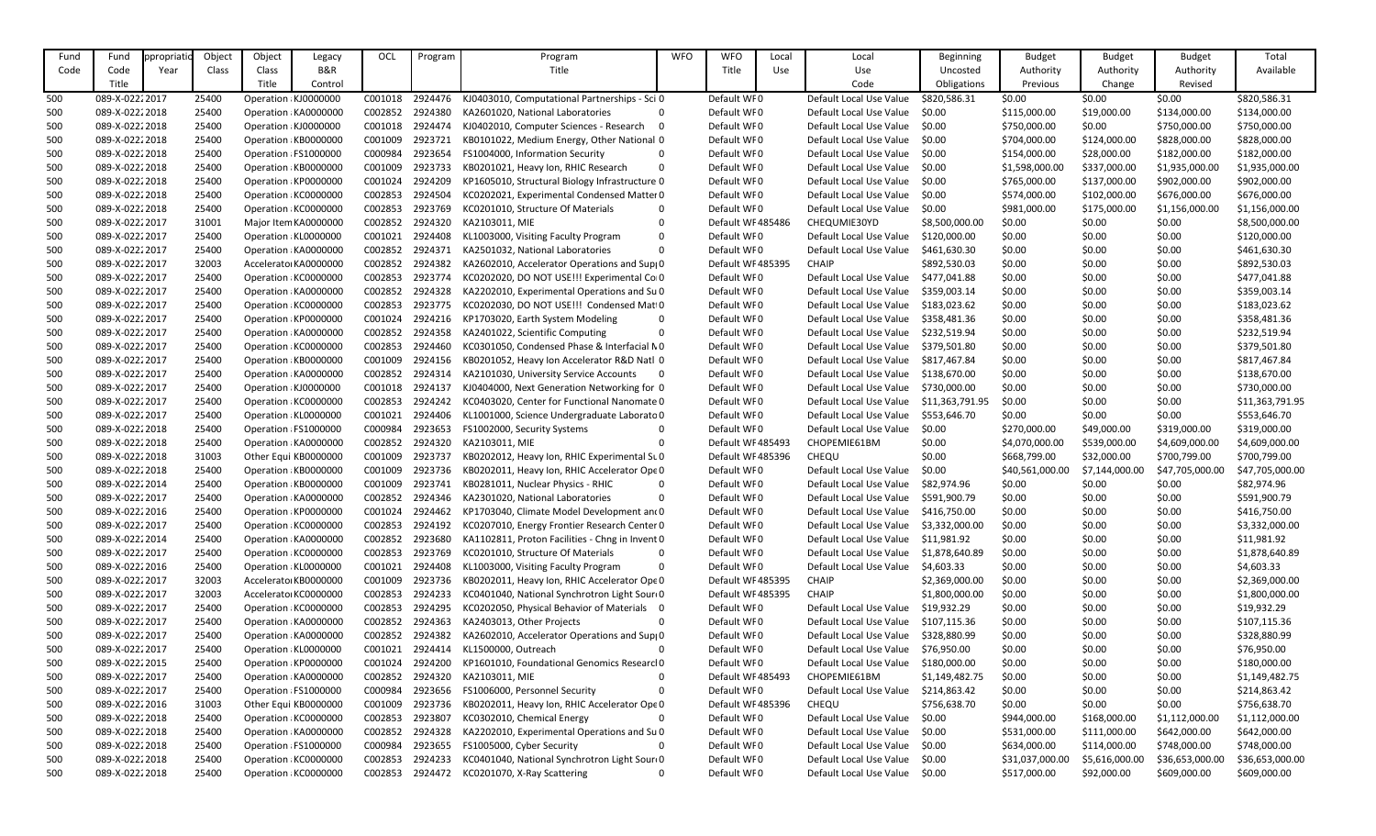| Fund | Fund           | ppropriatio | Object | Object               | Legacy               | OCL     | Program | Program                                         | <b>WFO</b>     | <b>WFO</b>        | Local | Local                   | Beginning       | <b>Budget</b>   | <b>Budget</b>  | <b>Budget</b>   | Total           |
|------|----------------|-------------|--------|----------------------|----------------------|---------|---------|-------------------------------------------------|----------------|-------------------|-------|-------------------------|-----------------|-----------------|----------------|-----------------|-----------------|
| Code | Code           | Year        | Class  | Class                | B&R                  |         |         | Title                                           |                | Title             | Use   | Use                     | Uncosted        | Authority       | Authority      | Authority       | Available       |
|      | Title          |             |        | Title                | Control              |         |         |                                                 |                |                   |       | Code                    | Obligations     | Previous        | Change         | Revised         |                 |
| 500  | 089-X-02222017 |             | 25400  | Operation KJ0000000  |                      | C001018 | 2924476 | KJ0403010, Computational Partnerships - Sci 0   |                | Default WF0       |       | Default Local Use Value | \$820,586.31    | \$0.00          | \$0.00         | \$0.00          | \$820,586.31    |
| 500  | 089-X-02222018 |             | 25400  | Operation KA0000000  |                      | C002852 | 2924380 | KA2601020, National Laboratories                | $\overline{0}$ | Default WF0       |       | Default Local Use Value | \$0.00          | \$115,000.00    | \$19,000.00    | \$134,000.00    | \$134,000.00    |
| 500  | 089-X-02222018 |             | 25400  | Operation KJ0000000  |                      | C001018 | 2924474 | KJ0402010, Computer Sciences - Research         | - 0            | Default WF0       |       | Default Local Use Value | \$0.00          | \$750,000.00    | \$0.00         | \$750,000.00    | \$750,000.00    |
| 500  | 089-X-02222018 |             | 25400  | Operation KB0000000  |                      | C001009 | 2923721 | KB0101022, Medium Energy, Other National 0      |                | Default WF0       |       | Default Local Use Value | \$0.00          | \$704,000.00    | \$124,000.00   | \$828,000.00    | \$828,000.00    |
| 500  | 089-X-02222018 |             | 25400  | Operation FS1000000  |                      | C000984 | 2923654 | FS1004000, Information Security                 | $\mathbf{0}$   | Default WF0       |       | Default Local Use Value | \$0.00          | \$154,000.00    | \$28,000.00    | \$182,000.00    | \$182,000.00    |
| 500  | 089-X-02222018 |             | 25400  | Operation KB0000000  |                      | C001009 | 2923733 | KB0201021, Heavy Ion, RHIC Research             | $\mathbf{0}$   | Default WF0       |       | Default Local Use Value | \$0.00          | \$1,598,000.00  | \$337,000.00   | \$1,935,000.00  | \$1,935,000.00  |
| 500  | 089-X-02222018 |             | 25400  | Operation KP0000000  |                      | C001024 | 2924209 | KP1605010, Structural Biology Infrastructure 0  |                | Default WF0       |       | Default Local Use Value | \$0.00          | \$765,000.00    | \$137,000.00   | \$902,000.00    | \$902,000.00    |
| 500  | 089-X-02222018 |             | 25400  | Operation KC0000000  |                      | C002853 | 2924504 | KC0202021, Experimental Condensed Matter 0      |                | Default WF0       |       | Default Local Use Value | \$0.00          | \$574,000.00    | \$102,000.00   | \$676,000.00    | \$676,000.00    |
| 500  | 089-X-02222018 |             | 25400  | Operation KC0000000  |                      | C002853 | 2923769 | KC0201010, Structure Of Materials               | 0              | Default WF0       |       | Default Local Use Value | \$0.00          | \$981,000.00    | \$175,000.00   | \$1,156,000.00  | \$1,156,000.00  |
| 500  | 089-X-02222017 |             | 31001  | Major Item KA0000000 |                      | C002852 | 2924320 | KA2103011, MIE                                  | $\mathbf 0$    | Default WF485486  |       | CHEQUMIE30YD            | \$8,500,000.00  | \$0.00          | \$0.00         | \$0.00          | \$8,500,000.00  |
| 500  | 089-X-02222017 |             | 25400  | Operation KL0000000  |                      | C001021 | 2924408 | KL1003000, Visiting Faculty Program             | $\mathbf{0}$   | Default WF0       |       | Default Local Use Value | \$120,000.00    | \$0.00          | \$0.00         | \$0.00          | \$120,000.00    |
| 500  | 089-X-02222017 |             | 25400  | Operation KA0000000  |                      | C002852 | 2924371 | KA2501032, National Laboratories                | $\Omega$       | Default WF0       |       | Default Local Use Value | \$461,630.30    | \$0.00          | \$0.00         | \$0.00          | \$461,630.30    |
| 500  | 089-X-02222017 |             | 32003  |                      | Accelerato KA0000000 | C002852 | 2924382 | KA2602010, Accelerator Operations and Supp0     |                | Default WF485395  |       | <b>CHAIP</b>            | \$892,530.03    | \$0.00          | \$0.00         | \$0.00          | \$892,530.03    |
| 500  | 089-X-02222017 |             | 25400  | Operation KC0000000  |                      | C002853 | 2923774 | KC0202020, DO NOT USE!!! Experimental Co 0      |                | Default WF0       |       | Default Local Use Value | \$477,041.88    | \$0.00          | \$0.00         | \$0.00          | \$477,041.88    |
| 500  | 089-X-02222017 |             | 25400  | Operation KA0000000  |                      | C002852 | 2924328 | KA2202010, Experimental Operations and Su 0     |                | Default WF0       |       | Default Local Use Value | \$359,003.14    | \$0.00          | \$0.00         | \$0.00          | \$359,003.14    |
| 500  | 089-X-02222017 |             | 25400  | Operation KC0000000  |                      | C002853 | 2923775 | KC0202030, DO NOT USE!!! Condensed Mat10        |                | Default WF0       |       | Default Local Use Value | \$183,023.62    | \$0.00          | \$0.00         | \$0.00          | \$183,023.62    |
| 500  | 089-X-02222017 |             | 25400  | Operation KP0000000  |                      | C001024 | 2924216 | KP1703020, Earth System Modeling                | 0              | Default WF0       |       | Default Local Use Value | \$358,481.36    | \$0.00          | \$0.00         | \$0.00          | \$358,481.36    |
| 500  | 089-X-02222017 |             | 25400  | Operation KA0000000  |                      | C002852 | 2924358 | KA2401022, Scientific Computing                 | $\Omega$       | Default WF0       |       | Default Local Use Value | \$232,519.94    | \$0.00          | \$0.00         | \$0.00          | \$232,519.94    |
|      | 089-X-02222017 |             | 25400  | Operation KC0000000  |                      | C002853 | 2924460 | KC0301050, Condensed Phase & Interfacial NO     |                | Default WF0       |       | Default Local Use Value | \$379,501.80    | \$0.00          | \$0.00         |                 | \$379,501.80    |
| 500  |                |             | 25400  |                      |                      | C001009 | 2924156 |                                                 |                |                   |       |                         |                 |                 |                | \$0.00          |                 |
| 500  | 089-X-02222017 |             |        | Operation KB0000000  |                      |         |         | KB0201052, Heavy Ion Accelerator R&D Natl 0     |                | Default WF0       |       | Default Local Use Value | \$817,467.84    | \$0.00          | \$0.00         | \$0.00          | \$817,467.84    |
| 500  | 089-X-02222017 |             | 25400  | Operation KA0000000  |                      | C002852 | 2924314 | KA2101030, University Service Accounts          | $\bf{0}$       | Default WF0       |       | Default Local Use Value | \$138,670.00    | \$0.00          | \$0.00         | \$0.00          | \$138,670.00    |
| 500  | 089-X-02222017 |             | 25400  | Operation KJ0000000  |                      | C001018 | 2924137 | KJ0404000, Next Generation Networking for 0     |                | Default WF0       |       | Default Local Use Value | \$730,000.00    | \$0.00          | \$0.00         | \$0.00          | \$730,000.00    |
| 500  | 089-X-02222017 |             | 25400  | Operation KC0000000  |                      | C002853 | 2924242 | KC0403020, Center for Functional Nanomate 0     |                | Default WF0       |       | Default Local Use Value | \$11,363,791.95 | \$0.00          | \$0.00         | \$0.00          | \$11,363,791.95 |
| 500  | 089-X-02222017 |             | 25400  | Operation KL0000000  |                      | C001021 | 2924406 | KL1001000, Science Undergraduate Laborato 0     |                | Default WF0       |       | Default Local Use Value | \$553,646.70    | \$0.00          | \$0.00         | \$0.00          | \$553,646.70    |
| 500  | 089-X-02222018 |             | 25400  | Operation FS1000000  |                      | C000984 | 2923653 | FS1002000, Security Systems                     |                | Default WF0       |       | Default Local Use Value | \$0.00          | \$270,000.00    | \$49,000.00    | \$319,000.00    | \$319,000.00    |
| 500  | 089-X-02222018 |             | 25400  | Operation KA0000000  |                      | C002852 | 2924320 | KA2103011, MIE                                  | $\Omega$       | Default WF485493  |       | CHOPEMIE61BM            | \$0.00          | \$4,070,000.00  | \$539,000.00   | \$4,609,000.00  | \$4,609,000.00  |
| 500  | 089-X-02222018 |             | 31003  | Other Equi KB0000000 |                      | C001009 | 2923737 | KB0202012, Heavy Ion, RHIC Experimental SuO     |                | Default WF485396  |       | CHEQU                   | \$0.00          | \$668,799.00    | \$32,000.00    | \$700,799.00    | \$700,799.00    |
| 500  | 089-X-02222018 |             | 25400  | Operation KB0000000  |                      | C001009 | 2923736 | KB0202011, Heavy Ion, RHIC Accelerator Ope 0    |                | Default WF0       |       | Default Local Use Value | \$0.00          | \$40,561,000.00 | \$7,144,000.00 | \$47,705,000.00 | \$47,705,000.00 |
| 500  | 089-X-02222014 |             | 25400  | Operation KB0000000  |                      | C001009 | 2923741 | KB0281011, Nuclear Physics - RHIC               | $\Omega$       | Default WF0       |       | Default Local Use Value | \$82,974.96     | \$0.00          | \$0.00         | \$0.00          | \$82,974.96     |
| 500  | 089-X-02222017 |             | 25400  | Operation KA0000000  |                      | C002852 | 2924346 | KA2301020, National Laboratories                | $\mathbf{0}$   | Default WF0       |       | Default Local Use Value | \$591,900.79    | \$0.00          | \$0.00         | \$0.00          | \$591,900.79    |
| 500  | 089-X-02222016 |             | 25400  | Operation KP0000000  |                      | C001024 | 2924462 | KP1703040, Climate Model Development and 0      |                | Default WF0       |       | Default Local Use Value | \$416,750.00    | \$0.00          | \$0.00         | \$0.00          | \$416,750.00    |
| 500  | 089-X-02222017 |             | 25400  | Operation KC0000000  |                      | C002853 | 2924192 | KC0207010, Energy Frontier Research Center 0    |                | Default WF0       |       | Default Local Use Value | \$3,332,000.00  | \$0.00          | \$0.00         | \$0.00          | \$3,332,000.00  |
| 500  | 089-X-02222014 |             | 25400  | Operation KA0000000  |                      | C002852 | 2923680 | KA1102811, Proton Facilities - Chng in Invent 0 |                | Default WF0       |       | Default Local Use Value | \$11,981.92     | \$0.00          | \$0.00         | \$0.00          | \$11,981.92     |
| 500  | 089-X-02222017 |             | 25400  | Operation KC0000000  |                      | C002853 | 2923769 | KC0201010, Structure Of Materials               | $\mathbf{0}$   | Default WF0       |       | Default Local Use Value | \$1,878,640.89  | \$0.00          | \$0.00         | \$0.00          | \$1,878,640.89  |
| 500  | 089-X-02222016 |             | 25400  | Operation KL0000000  |                      | C001021 | 2924408 | KL1003000, Visiting Faculty Program             | $\mathbf{0}$   | Default WF0       |       | Default Local Use Value | \$4,603.33      | \$0.00          | \$0.00         | \$0.00          | \$4,603.33      |
| 500  | 089-X-02222017 |             | 32003  |                      | Accelerato KB0000000 | C001009 | 2923736 | KB0202011, Heavy Ion, RHIC Accelerator Ope 0    |                | Default WF485395  |       | <b>CHAIP</b>            | \$2,369,000.00  | \$0.00          | \$0.00         | \$0.00          | \$2,369,000.00  |
| 500  | 089-X-02222017 |             | 32003  | Accelerato KC0000000 |                      | C002853 | 2924233 | KC0401040, National Synchrotron Light Sour(0    |                | Default WF485395  |       | <b>CHAIP</b>            | \$1,800,000.00  | \$0.00          | \$0.00         | \$0.00          | \$1,800,000.00  |
| 500  | 089-X-02222017 |             | 25400  | Operation KC0000000  |                      | C002853 | 2924295 | KC0202050, Physical Behavior of Materials 0     |                | Default WF0       |       | Default Local Use Value | \$19,932.29     | \$0.00          | \$0.00         | \$0.00          | \$19,932.29     |
| 500  | 089-X-02222017 |             | 25400  | Operation KA0000000  |                      | C002852 | 2924363 | KA2403013, Other Projects                       | 0              | Default WF0       |       | Default Local Use Value | \$107,115.36    | \$0.00          | \$0.00         | \$0.00          | \$107,115.36    |
| 500  | 089-X-02222017 |             | 25400  | Operation KA0000000  |                      | C002852 | 2924382 | KA2602010, Accelerator Operations and Sup 0     |                | Default WF0       |       | Default Local Use Value | \$328,880.99    | \$0.00          | \$0.00         | \$0.00          | \$328,880.99    |
| 500  | 089-X-02222017 |             | 25400  | Operation KL0000000  |                      | C001021 | 2924414 | KL1500000, Outreach                             | 0              | Default WF0       |       | Default Local Use Value | \$76,950.00     | \$0.00          | \$0.00         | \$0.00          | \$76,950.00     |
| 500  | 089-X-02222015 |             | 25400  | Operation KP0000000  |                      | C001024 | 2924200 | KP1601010, Foundational Genomics Researcl0      |                | Default WF0       |       | Default Local Use Value | \$180,000.00    | \$0.00          | \$0.00         | \$0.00          | \$180,000.00    |
| 500  | 089-X-02222017 |             | 25400  | Operation KA0000000  |                      | C002852 | 2924320 | KA2103011, MIE                                  | 0              | Default WF 485493 |       | CHOPEMIE61BM            | \$1,149,482.75  | \$0.00          | \$0.00         | \$0.00          | \$1,149,482.75  |
| 500  | 089-X-02222017 |             | 25400  | Operation FS1000000  |                      | C000984 | 2923656 | FS1006000, Personnel Security                   | 0              | Default WF0       |       | Default Local Use Value | \$214,863.42    | \$0.00          | \$0.00         | \$0.00          | \$214,863.42    |
| 500  | 089-X-02222016 |             | 31003  | Other Equi KB0000000 |                      | C001009 | 2923736 | KB0202011, Heavy Ion, RHIC Accelerator Ope 0    |                | Default WF485396  |       | <b>CHEQU</b>            | \$756,638.70    | \$0.00          | \$0.00         | \$0.00          | \$756,638.70    |
| 500  | 089-X-02222018 |             | 25400  | Operation KC0000000  |                      | C002853 | 2923807 | KC0302010, Chemical Energy                      | 0              | Default WF0       |       | Default Local Use Value | \$0.00          | \$944,000.00    | \$168,000.00   | \$1,112,000.00  | \$1,112,000.00  |
| 500  | 089-X-02222018 |             | 25400  | Operation KA0000000  |                      | C002852 | 2924328 | KA2202010, Experimental Operations and Su 0     |                | Default WF0       |       | Default Local Use Value | \$0.00          | \$531,000.00    | \$111,000.00   | \$642,000.00    | \$642,000.00    |
| 500  | 089-X-02222018 |             | 25400  | Operation FS1000000  |                      | C000984 | 2923655 | FS1005000, Cyber Security                       | 0              | Default WF0       |       | Default Local Use Value | \$0.00          | \$634,000.00    | \$114,000.00   | \$748,000.00    | \$748,000.00    |
| 500  | 089-X-02222018 |             | 25400  | Operation KC0000000  |                      | C002853 | 2924233 | KC0401040, National Synchrotron Light Sour(0    |                | Default WF0       |       | Default Local Use Value | \$0.00          | \$31,037,000.00 | \$5,616,000.00 | \$36,653,000.00 | \$36,653,000.00 |
| 500  | 089-X-02222018 |             | 25400  | Operation KC0000000  |                      | C002853 | 2924472 | KC0201070, X-Ray Scattering                     | $\mathbf{0}$   | Default WF0       |       | Default Local Use Value | \$0.00          | \$517,000.00    | \$92,000.00    | \$609,000.00    | \$609,000.00    |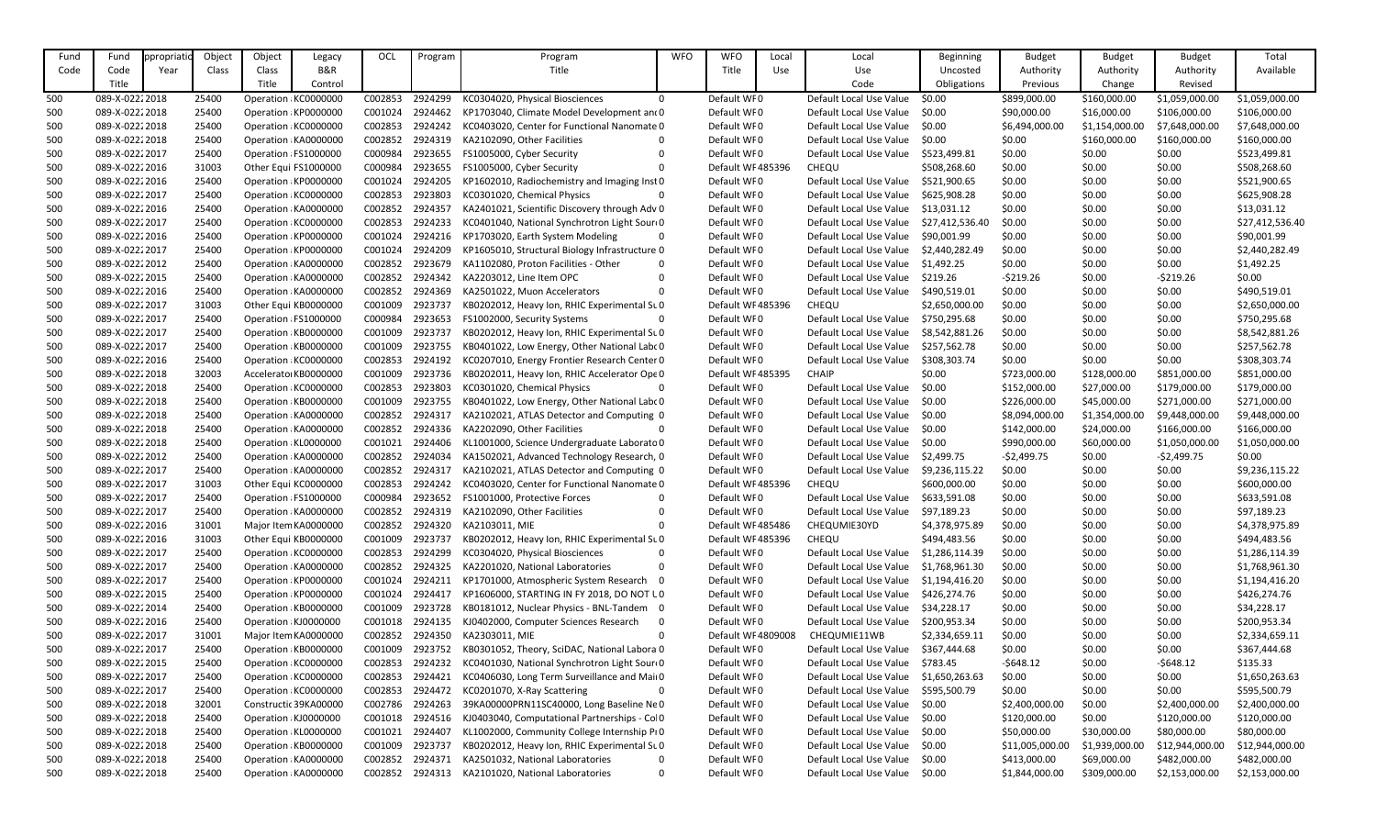| Fund | Fund           | ppropriatic | Object | Object                | Legacy  | OCL     | Program | Program                                        | <b>WFO</b>     | <b>WFO</b>        | Local | Local                                              | Beginning       | <b>Budget</b>   | <b>Budget</b>  | <b>Budget</b>   | Total           |
|------|----------------|-------------|--------|-----------------------|---------|---------|---------|------------------------------------------------|----------------|-------------------|-------|----------------------------------------------------|-----------------|-----------------|----------------|-----------------|-----------------|
| Code | Code           | Year        | Class  | Class                 | B&R     |         |         | Title                                          |                | Title             | Use   | Use                                                | Uncosted        | Authority       | Authority      | Authority       | Available       |
|      | Title          |             |        | Title                 | Control |         |         |                                                |                |                   |       | Code                                               | Obligations     | Previous        | Change         | Revised         |                 |
| 500  | 089-X-02222018 |             | 25400  | Operation KC0000000   |         | C002853 | 2924299 | KC0304020, Physical Biosciences                | $\Omega$       | Default WF0       |       | Default Local Use Value                            | \$0.00          | \$899,000.00    | \$160,000.00   | \$1,059,000.00  | \$1,059,000.00  |
| 500  | 089-X-02222018 |             | 25400  | Operation KP0000000   |         | C001024 | 2924462 | KP1703040, Climate Model Development and 0     |                | Default WF0       |       | Default Local Use Value                            | \$0.00          | \$90,000.00     | \$16,000.00    | \$106,000.00    | \$106,000.00    |
| 500  | 089-X-02222018 |             | 25400  | Operation KC0000000   |         | C002853 | 2924242 | KC0403020, Center for Functional Nanomate 0    |                | Default WF0       |       | Default Local Use Value                            | \$0.00          | \$6,494,000.00  | \$1,154,000.00 | \$7,648,000.00  | \$7,648,000.00  |
| 500  | 089-X-02222018 |             | 25400  | Operation KA0000000   |         | C002852 | 2924319 | KA2102090, Other Facilities                    |                | Default WF0       |       | Default Local Use Value                            | \$0.00          | \$0.00          | \$160,000.00   | \$160,000.00    | \$160,000.00    |
| 500  | 089-X-02222017 |             | 25400  | Operation FS1000000   |         | C000984 | 2923655 | FS1005000, Cyber Security                      |                | Default WF0       |       | Default Local Use Value                            | \$523,499.81    | \$0.00          | \$0.00         | \$0.00          | \$523,499.81    |
| 500  | 089-X-02222016 |             | 31003  | Other Equi FS1000000  |         | C000984 | 2923655 | FS1005000, Cyber Security                      |                | Default WF485396  |       | <b>CHEQU</b>                                       | \$508,268.60    | \$0.00          | \$0.00         | \$0.00          | \$508,268.60    |
| 500  | 089-X-02222016 |             | 25400  | Operation KP0000000   |         | C001024 | 2924205 | KP1602010, Radiochemistry and Imaging Inst 0   |                | Default WF0       |       | Default Local Use Value                            | \$521,900.65    | \$0.00          | \$0.00         | \$0.00          | \$521,900.65    |
| 500  | 089-X-02222017 |             | 25400  | Operation KC0000000   |         | C002853 | 2923803 | KC0301020, Chemical Physics                    | $\Omega$       | Default WF0       |       | Default Local Use Value                            | \$625,908.28    | \$0.00          | \$0.00         | \$0.00          | \$625,908.28    |
| 500  | 089-X-02222016 |             | 25400  | Operation KA0000000   |         | C002852 | 2924357 | KA2401021, Scientific Discovery through Adv 0  |                | Default WF0       |       | Default Local Use Value                            | \$13,031.12     | \$0.00          | \$0.00         | \$0.00          | \$13,031.12     |
| 500  | 089-X-02222017 |             | 25400  | Operation KC0000000   |         | C002853 | 2924233 | KC0401040, National Synchrotron Light Sour(0   |                | Default WF0       |       |                                                    | \$27,412,536.40 | \$0.00          | \$0.00         | \$0.00          | \$27,412,536.40 |
|      |                |             |        |                       |         |         |         |                                                |                |                   |       | Default Local Use Value<br>Default Local Use Value |                 |                 |                |                 |                 |
| 500  | 089-X-02222016 |             | 25400  | Operation KP0000000   |         | C001024 | 2924216 | KP1703020, Earth System Modeling               | $\mathbf 0$    | Default WF0       |       |                                                    | \$90,001.99     | \$0.00          | \$0.00         | \$0.00          | \$90,001.99     |
| 500  | 089-X-02222017 |             | 25400  | Operation KP0000000   |         | C001024 | 2924209 | KP1605010, Structural Biology Infrastructure 0 |                | Default WF0       |       | Default Local Use Value                            | \$2,440,282.49  | \$0.00          | \$0.00         | \$0.00          | \$2,440,282.49  |
| 500  | 089-X-02222012 |             | 25400  | Operation KA0000000   |         | C002852 | 2923679 | KA1102080, Proton Facilities - Other           | 0              | Default WF0       |       | Default Local Use Value                            | \$1,492.25      | \$0.00          | \$0.00         | \$0.00          | \$1,492.25      |
| 500  | 089-X-02222015 |             | 25400  | Operation KA0000000   |         | C002852 | 2924342 | KA2203012, Line Item OPC                       | 0              | Default WF0       |       | Default Local Use Value                            | \$219.26        | $-5219.26$      | \$0.00         | $-5219.26$      | \$0.00          |
| 500  | 089-X-02222016 |             | 25400  | Operation KA0000000   |         | C002852 | 2924369 | KA2501022, Muon Accelerators                   | $\Omega$       | Default WF0       |       | Default Local Use Value                            | \$490,519.01    | \$0.00          | \$0.00         | \$0.00          | \$490,519.01    |
| 500  | 089-X-02222017 |             | 31003  | Other Equi KB0000000  |         | C001009 | 2923737 | KB0202012, Heavy Ion, RHIC Experimental SuO    |                | Default WF485396  |       | CHEQU                                              | \$2,650,000.00  | \$0.00          | \$0.00         | \$0.00          | \$2,650,000.00  |
| 500  | 089-X-02222017 |             | 25400  | Operation FS1000000   |         | C000984 | 2923653 | FS1002000, Security Systems                    | $\mathbf{0}$   | Default WF0       |       | Default Local Use Value                            | \$750,295.68    | \$0.00          | \$0.00         | \$0.00          | \$750,295.68    |
| 500  | 089-X-02222017 |             | 25400  | Operation KB0000000   |         | C001009 | 2923737 | KB0202012, Heavy Ion, RHIC Experimental SuO    |                | Default WF0       |       | Default Local Use Value                            | \$8,542,881.26  | \$0.00          | \$0.00         | \$0.00          | \$8,542,881.26  |
| 500  | 089-X-02222017 |             | 25400  | Operation KB0000000   |         | C001009 | 2923755 | KB0401022, Low Energy, Other National Labo 0   |                | Default WF0       |       | Default Local Use Value                            | \$257,562.78    | \$0.00          | \$0.00         | \$0.00          | \$257,562.78    |
| 500  | 089-X-02222016 |             | 25400  | Operation KC0000000   |         | C002853 | 2924192 | KC0207010, Energy Frontier Research Center 0   |                | Default WF0       |       | Default Local Use Value                            | \$308,303.74    | \$0.00          | \$0.00         | \$0.00          | \$308,303.74    |
| 500  | 089-X-02222018 |             | 32003  | Accelerato KB0000000  |         | C001009 | 2923736 | KB0202011, Heavy Ion, RHIC Accelerator Ope 0   |                | Default WF485395  |       | <b>CHAIP</b>                                       | \$0.00          | \$723,000.00    | \$128,000.00   | \$851,000.00    | \$851,000.00    |
| 500  | 089-X-02222018 |             | 25400  | Operation KC0000000   |         | C002853 | 2923803 | KC0301020, Chemical Physics                    | $\overline{0}$ | Default WF0       |       | Default Local Use Value                            | \$0.00          | \$152,000.00    | \$27,000.00    | \$179,000.00    | \$179,000.00    |
| 500  | 089-X-02222018 |             | 25400  | Operation KB0000000   |         | C001009 | 2923755 | KB0401022, Low Energy, Other National Labo 0   |                | Default WF0       |       | Default Local Use Value                            | \$0.00          | \$226,000.00    | \$45,000.00    | \$271,000.00    | \$271,000.00    |
| 500  | 089-X-02222018 |             | 25400  | Operation KA0000000   |         | C002852 | 2924317 | KA2102021, ATLAS Detector and Computing 0      |                | Default WF0       |       | Default Local Use Value                            | \$0.00          | \$8,094,000.00  | \$1,354,000.00 | \$9,448,000.00  | \$9,448,000.00  |
| 500  | 089-X-02222018 |             | 25400  | Operation KA0000000   |         | C002852 | 2924336 | KA2202090, Other Facilities                    | $\mathbf{0}$   | Default WF0       |       | Default Local Use Value                            | \$0.00          | \$142,000.00    | \$24,000.00    | \$166,000.00    | \$166,000.00    |
| 500  | 089-X-02222018 |             | 25400  | Operation KL0000000   |         | C001021 | 2924406 | KL1001000, Science Undergraduate Laborato 0    |                | Default WF0       |       | Default Local Use Value                            | \$0.00          | \$990,000.00    | \$60,000.00    | \$1,050,000.00  | \$1,050,000.00  |
| 500  | 089-X-02222012 |             | 25400  | Operation KA0000000   |         | C002852 | 2924034 | KA1502021, Advanced Technology Research, 0     |                | Default WF0       |       | Default Local Use Value                            | \$2,499.75      | $-52,499.75$    | \$0.00         | -\$2,499.75     | \$0.00          |
| 500  | 089-X-02222017 |             | 25400  | Operation KA0000000   |         | C002852 | 2924317 | KA2102021, ATLAS Detector and Computing 0      |                | Default WF0       |       | Default Local Use Value                            | \$9,236,115.22  | \$0.00          | \$0.00         | \$0.00          | \$9,236,115.22  |
| 500  | 089-X-02222017 |             | 31003  | Other Equi KC0000000  |         | C002853 | 2924242 | KC0403020, Center for Functional Nanomate 0    |                | Default WF485396  |       | CHEQU                                              | \$600,000.00    | \$0.00          | \$0.00         | \$0.00          | \$600,000.00    |
| 500  | 089-X-02222017 |             | 25400  | Operation FS1000000   |         | C000984 | 2923652 | FS1001000, Protective Forces                   | $\mathbf{0}$   | Default WF0       |       | Default Local Use Value                            | \$633,591.08    | \$0.00          | \$0.00         | \$0.00          | \$633,591.08    |
| 500  | 089-X-02222017 |             | 25400  | Operation KA0000000   |         | C002852 | 2924319 | KA2102090, Other Facilities                    | 0              | Default WF0       |       | Default Local Use Value                            | \$97,189.23     | \$0.00          | \$0.00         | \$0.00          | \$97,189.23     |
| 500  | 089-X-02222016 |             | 31001  | Major Item KA0000000  |         | C002852 | 2924320 | KA2103011, MIE                                 | 0              | Default WF485486  |       | CHEQUMIE30YD                                       | \$4,378,975.89  | \$0.00          | \$0.00         | \$0.00          | \$4,378,975.89  |
| 500  | 089-X-02222016 |             | 31003  | Other Equi KB0000000  |         | C001009 | 2923737 | KB0202012, Heavy Ion, RHIC Experimental SuO    |                | Default WF485396  |       | <b>CHEQU</b>                                       | \$494,483.56    | \$0.00          | \$0.00         | \$0.00          | \$494,483.56    |
| 500  | 089-X-02222017 |             | 25400  | Operation KC0000000   |         | C002853 | 2924299 | KC0304020, Physical Biosciences                | $\overline{0}$ | Default WF0       |       | Default Local Use Value                            | \$1,286,114.39  | \$0.00          | \$0.00         | \$0.00          | \$1,286,114.39  |
| 500  | 089-X-02222017 |             | 25400  | Operation KA0000000   |         | C002852 | 2924325 | KA2201020, National Laboratories               | $\mathbf{0}$   | Default WF0       |       | Default Local Use Value                            | \$1,768,961.30  | \$0.00          | \$0.00         | \$0.00          | \$1,768,961.30  |
| 500  | 089-X-02222017 |             | 25400  | Operation KP0000000   |         | C001024 | 2924211 | KP1701000, Atmospheric System Research 0       |                | Default WF0       |       | Default Local Use Value                            | \$1,194,416.20  | \$0.00          | \$0.00         | \$0.00          | \$1,194,416.20  |
| 500  | 089-X-02222015 |             | 25400  | Operation KP0000000   |         | C001024 | 2924417 | KP1606000, STARTING IN FY 2018, DO NOT LO      |                | Default WF0       |       | Default Local Use Value                            | \$426,274.76    | \$0.00          | \$0.00         | \$0.00          | \$426,274.76    |
| 500  | 089-X-02222014 |             | 25400  | Operation KB0000000   |         | C001009 | 2923728 | KB0181012, Nuclear Physics - BNL-Tandem 0      |                | Default WF0       |       | Default Local Use Value                            | \$34,228.17     | \$0.00          | \$0.00         | \$0.00          | \$34,228.17     |
| 500  | 089-X-02222016 |             | 25400  | Operation KJ0000000   |         | C001018 | 2924135 | KJ0402000, Computer Sciences Research          | 0              | Default WF0       |       | Default Local Use Value                            | \$200,953.34    | \$0.00          | \$0.00         | \$0.00          | \$200,953.34    |
| 500  | 089-X-02222017 |             | 31001  | Major Item KA0000000  |         | C002852 | 2924350 | KA2303011, MIE                                 | $\mathbf{0}$   | Default WF4809008 |       | CHEQUMIE11WB                                       | \$2,334,659.11  | \$0.00          | \$0.00         | \$0.00          | \$2,334,659.11  |
| 500  | 089-X-02222017 |             | 25400  | Operation KB0000000   |         | C001009 | 2923752 | KB0301052, Theory, SciDAC, National Labora 0   |                | Default WF0       |       | Default Local Use Value                            | \$367,444.68    | \$0.00          | \$0.00         | \$0.00          | \$367,444.68    |
| 500  | 089-X-02222015 |             | 25400  | Operation KC0000000   |         | C002853 | 2924232 | KC0401030, National Synchrotron Light Sour(0   |                | Default WF0       |       | Default Local Use Value                            | \$783.45        | $-5648.12$      | \$0.00         | -\$648.12       | \$135.33        |
| 500  | 089-X-02222017 |             | 25400  | Operation KC0000000   |         | C002853 | 2924421 | KC0406030, Long Term Surveillance and Mair0    |                | Default WF0       |       | Default Local Use Value \$1,650,263.63             |                 | \$0.00          | \$0.00         | \$0.00          | \$1,650,263.63  |
| 500  | 089-X-02222017 |             | 25400  | Operation KC0000000   |         | C002853 | 2924472 | KC0201070, X-Ray Scattering                    | $\mathbf{0}$   | Default WF0       |       | Default Local Use Value                            | \$595,500.79    | \$0.00          | \$0.00         | \$0.00          | \$595,500.79    |
| 500  | 089-X-02222018 |             | 32001  | Constructic 39KA00000 |         | C002786 | 2924263 | 39KA00000PRN11SC40000, Long Baseline Ne0       |                | Default WF0       |       | Default Local Use Value                            | \$0.00          | \$2,400,000.00  | \$0.00         | \$2,400,000.00  | \$2,400,000.00  |
| 500  | 089-X-02222018 |             | 25400  | Operation KJ0000000   |         | C001018 | 2924516 | KJ0403040, Computational Partnerships - ColO   |                | Default WF0       |       | Default Local Use Value                            | \$0.00          | \$120,000.00    | \$0.00         | \$120,000.00    | \$120,000.00    |
| 500  | 089-X-02222018 |             | 25400  | Operation KL0000000   |         | C001021 | 2924407 | KL1002000, Community College Internship PIO    |                | Default WF0       |       | Default Local Use Value                            | \$0.00          | \$50,000.00     | \$30,000.00    | \$80,000.00     | \$80,000.00     |
| 500  | 089-X-02222018 |             | 25400  | Operation KB0000000   |         | C001009 | 2923737 | KB0202012, Heavy Ion, RHIC Experimental SuO    |                | Default WF0       |       | Default Local Use Value                            | \$0.00          | \$11,005,000.00 | \$1,939,000.00 | \$12,944,000.00 | \$12,944,000.00 |
| 500  | 089-X-02222018 |             | 25400  | Operation KA0000000   |         | C002852 | 2924371 | KA2501032, National Laboratories               | $\mathbf{0}$   | Default WF0       |       | Default Local Use Value                            | \$0.00          | \$413,000.00    | \$69,000.00    | \$482,000.00    | \$482,000.00    |
| 500  | 089-X-02222018 |             | 25400  | Operation KA0000000   |         | C002852 | 2924313 | KA2101020, National Laboratories               | $\mathbf{0}$   | Default WF0       |       | Default Local Use Value \$0.00                     |                 | \$1,844,000.00  | \$309,000.00   | \$2,153,000.00  | \$2,153,000.00  |
|      |                |             |        |                       |         |         |         |                                                |                |                   |       |                                                    |                 |                 |                |                 |                 |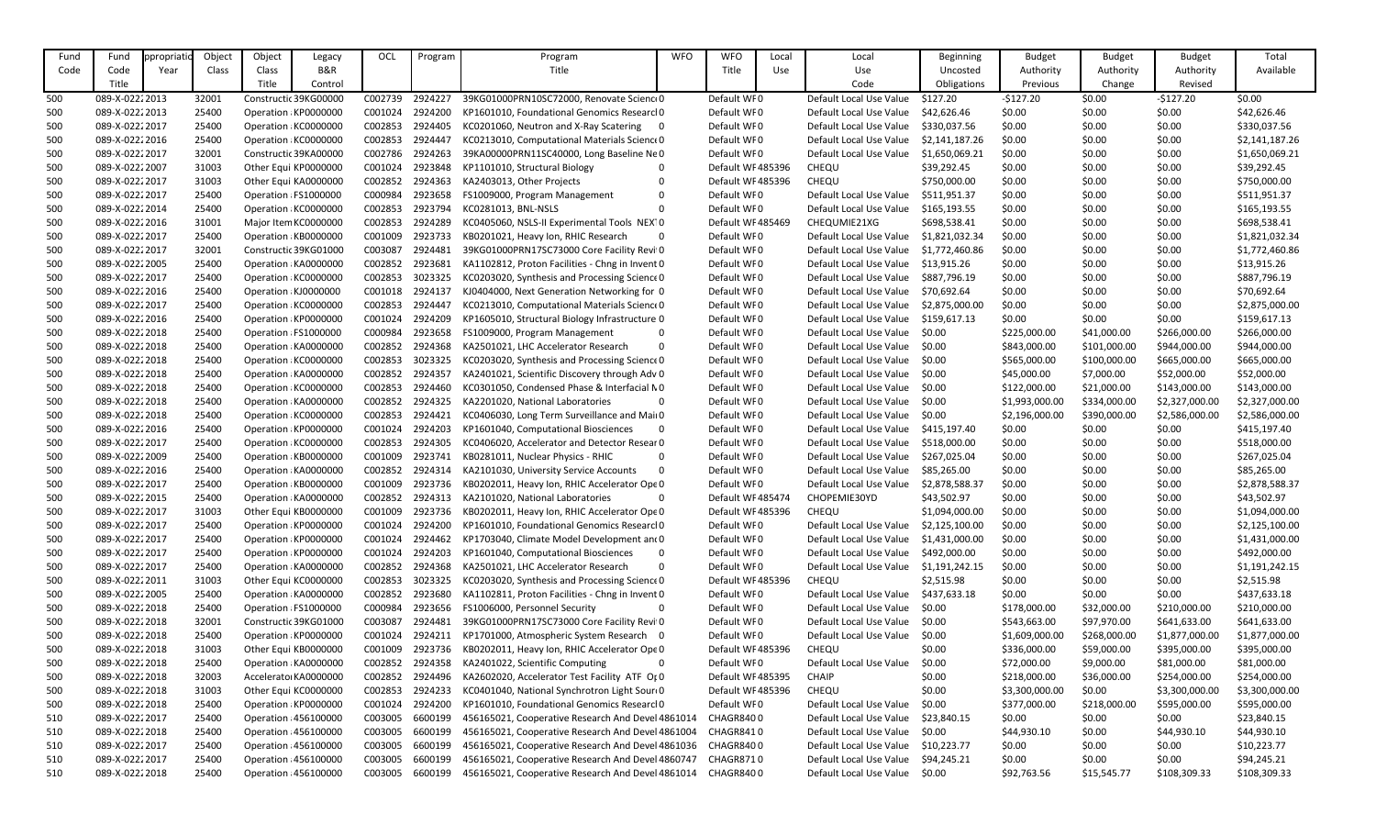| Fund | Fund           | ppropriati | Object | Object                | Legacy                | OCL     | Program | Program                                           | <b>WFO</b>     | <b>WFO</b>       | Local | Local                   | <b>Beginning</b> | <b>Budget</b>  | <b>Budget</b> | <b>Budget</b>  | Total          |
|------|----------------|------------|--------|-----------------------|-----------------------|---------|---------|---------------------------------------------------|----------------|------------------|-------|-------------------------|------------------|----------------|---------------|----------------|----------------|
| Code | Code           | Year       | Class  | Class                 | B&R                   |         |         | Title                                             |                | Title            | Use   | Use                     | Uncosted         | Authority      | Authority     | Authority      | Available      |
|      | Title          |            |        | Title                 | Control               |         |         |                                                   |                |                  |       | Code                    | Obligations      | Previous       | Change        | Revised        |                |
| 500  | 089-X-02222013 |            | 32001  |                       | Constructic 39KG00000 | C002739 | 2924227 | 39KG01000PRN10SC72000, Renovate Science0          |                | Default WF0      |       | Default Local Use Value | \$127.20         | $-$127.20$     | \$0.00        | $-5127.20$     | \$0.00         |
| 500  | 089-X-02222013 |            | 25400  | Operation KP0000000   |                       | C001024 | 2924200 | KP1601010, Foundational Genomics Researcl0        |                | Default WF0      |       | Default Local Use Value | \$42,626.46      | \$0.00         | \$0.00        | \$0.00         | \$42,626.46    |
| 500  | 089-X-02222017 |            | 25400  | Operation KC0000000   |                       | C002853 | 2924405 | KC0201060, Neutron and X-Ray Scatering<br>- 0     |                | Default WF0      |       | Default Local Use Value | \$330,037.56     | \$0.00         | \$0.00        | \$0.00         | \$330,037.56   |
| 500  | 089-X-02222016 |            | 25400  | Operation KC0000000   |                       | C002853 | 2924447 | KC0213010, Computational Materials Science 0      |                | Default WF0      |       | Default Local Use Value | \$2,141,187.26   | \$0.00         | \$0.00        | \$0.00         | \$2,141,187.26 |
| 500  | 089-X-02222017 |            | 32001  | Constructic 39KA00000 |                       | C002786 | 2924263 | 39KA00000PRN11SC40000, Long Baseline Ne0          |                | Default WF0      |       | Default Local Use Value | \$1,650,069.21   | \$0.00         | \$0.00        | \$0.00         | \$1,650,069.21 |
| 500  | 089-X-02222007 |            | 31003  | Other Equi KP0000000  |                       | C001024 | 2923848 | KP1101010, Structural Biology                     | 0              | Default WF485396 |       | CHEQU                   | \$39,292.45      | \$0.00         | \$0.00        | \$0.00         | \$39,292.45    |
| 500  | 089-X-02222017 |            | 31003  | Other Equi KA0000000  |                       | C002852 | 2924363 | KA2403013, Other Projects                         | 0              | Default WF485396 |       | CHEQU                   | \$750,000.00     | \$0.00         | \$0.00        | \$0.00         | \$750,000.00   |
| 500  | 089-X-02222017 |            | 25400  | Operation FS1000000   |                       | C000984 | 2923658 | FS1009000, Program Management<br>-0               |                | Default WF0      |       | Default Local Use Value | \$511,951.37     | \$0.00         | \$0.00        | \$0.00         | \$511,951.37   |
| 500  | 089-X-02222014 |            | 25400  | Operation KC0000000   |                       | C002853 | 2923794 | KC0281013, BNL-NSLS                               | $\Omega$       | Default WF0      |       | Default Local Use Value | \$165,193.55     | \$0.00         | \$0.00        | \$0.00         | \$165,193.55   |
| 500  | 089-X-02222016 |            | 31001  | Major Item KC0000000  |                       | C002853 | 2924289 | KC0405060, NSLS-II Experimental Tools NEX10       |                | Default WF485469 |       | CHEQUMIE21XG            | \$698,538.41     | \$0.00         | \$0.00        | \$0.00         | \$698,538.41   |
| 500  | 089-X-02222017 |            | 25400  | Operation KB0000000   |                       | C001009 | 2923733 | KB0201021, Heavy Ion, RHIC Research               | $\overline{0}$ | Default WF0      |       | Default Local Use Value | \$1,821,032.34   | \$0.00         | \$0.00        | \$0.00         | \$1,821,032.34 |
| 500  | 089-X-02222017 |            | 32001  | Constructic 39KG01000 |                       | C003087 | 2924481 | 39KG01000PRN17SC73000 Core Facility Revi 0        |                | Default WF0      |       | Default Local Use Value | \$1,772,460.86   | \$0.00         | \$0.00        | \$0.00         | \$1,772,460.86 |
| 500  | 089-X-02222005 |            | 25400  | Operation KA0000000   |                       | C002852 | 2923681 | KA1102812, Proton Facilities - Chng in Invent 0   |                | Default WF0      |       | Default Local Use Value | \$13,915.26      | \$0.00         | \$0.00        | \$0.00         | \$13,915.26    |
|      | 089-X-02222017 |            | 25400  |                       |                       |         | 3023325 |                                                   |                |                  |       |                         |                  |                |               |                |                |
| 500  |                |            |        | Operation KC0000000   |                       | C002853 |         | KC0203020, Synthesis and Processing Science 0     |                | Default WF0      |       | Default Local Use Value | \$887,796.19     | \$0.00         | \$0.00        | \$0.00         | \$887,796.19   |
| 500  | 089-X-02222016 |            | 25400  | Operation KJ0000000   |                       | C001018 | 2924137 | KJ0404000, Next Generation Networking for 0       |                | Default WF0      |       | Default Local Use Value | \$70,692.64      | \$0.00         | \$0.00        | \$0.00         | \$70,692.64    |
| 500  | 089-X-02222017 |            | 25400  | Operation KC0000000   |                       | C002853 | 2924447 | KC0213010, Computational Materials Science 0      |                | Default WF0      |       | Default Local Use Value | \$2,875,000.00   | \$0.00         | \$0.00        | \$0.00         | \$2,875,000.00 |
| 500  | 089-X-02222016 |            | 25400  | Operation KP0000000   |                       | C001024 | 2924209 | KP1605010, Structural Biology Infrastructure 0    |                | Default WF0      |       | Default Local Use Value | \$159,617.13     | \$0.00         | \$0.00        | \$0.00         | \$159,617.13   |
| 500  | 089-X-02222018 |            | 25400  | Operation FS1000000   |                       | C000984 | 2923658 | FS1009000, Program Management                     | - 0            | Default WF0      |       | Default Local Use Value | \$0.00           | \$225,000.00   | \$41,000.00   | \$266,000.00   | \$266,000.00   |
| 500  | 089-X-02222018 |            | 25400  | Operation KA0000000   |                       | C002852 | 2924368 | KA2501021, LHC Accelerator Research               | - 0            | Default WF0      |       | Default Local Use Value | \$0.00           | \$843,000.00   | \$101,000.00  | \$944,000.00   | \$944,000.00   |
| 500  | 089-X-02222018 |            | 25400  | Operation KC0000000   |                       | C002853 | 3023325 | KC0203020, Synthesis and Processing Science 0     |                | Default WF0      |       | Default Local Use Value | \$0.00           | \$565,000.00   | \$100,000.00  | \$665,000.00   | \$665,000.00   |
| 500  | 089-X-02222018 |            | 25400  | Operation KA0000000   |                       | C002852 | 2924357 | KA2401021, Scientific Discovery through Adv 0     |                | Default WF0      |       | Default Local Use Value | \$0.00           | \$45,000.00    | \$7,000.00    | \$52,000.00    | \$52,000.00    |
| 500  | 089-X-02222018 |            | 25400  | Operation KC0000000   |                       | C002853 | 2924460 | KC0301050, Condensed Phase & Interfacial NO       |                | Default WF0      |       | Default Local Use Value | \$0.00           | \$122,000.00   | \$21,000.00   | \$143,000.00   | \$143,000.00   |
| 500  | 089-X-02222018 |            | 25400  | Operation KA0000000   |                       | C002852 | 2924325 | KA2201020, National Laboratories                  | - 0            | Default WF0      |       | Default Local Use Value | \$0.00           | \$1,993,000.00 | \$334,000.00  | \$2,327,000.00 | \$2,327,000.00 |
| 500  | 089-X-02222018 |            | 25400  | Operation KC0000000   |                       | C002853 | 2924421 | KC0406030, Long Term Surveillance and Maii 0      |                | Default WF0      |       | Default Local Use Value | \$0.00           | \$2,196,000.00 | \$390,000.00  | \$2,586,000.00 | \$2,586,000.00 |
| 500  | 089-X-02222016 |            | 25400  | Operation KP0000000   |                       | C001024 | 2924203 | KP1601040, Computational Biosciences              | $\overline{0}$ | Default WF0      |       | Default Local Use Value | \$415,197.40     | \$0.00         | \$0.00        | \$0.00         | \$415,197.40   |
| 500  | 089-X-02222017 |            | 25400  | Operation KC0000000   |                       | C002853 | 2924305 | KC0406020, Accelerator and Detector Resear 0      |                | Default WF0      |       | Default Local Use Value | \$518,000.00     | \$0.00         | \$0.00        | \$0.00         | \$518,000.00   |
| 500  | 089-X-02222009 |            | 25400  | Operation KB0000000   |                       | C001009 | 2923741 | KB0281011, Nuclear Physics - RHIC                 | $\mathbf{0}$   | Default WF0      |       | Default Local Use Value | \$267,025.04     | \$0.00         | \$0.00        | \$0.00         | \$267,025.04   |
| 500  | 089-X-02222016 |            | 25400  | Operation KA0000000   |                       | C002852 | 2924314 | KA2101030, University Service Accounts            | - 0            | Default WF0      |       | Default Local Use Value | \$85,265.00      | \$0.00         | \$0.00        | \$0.00         | \$85,265.00    |
| 500  | 089-X-02222017 |            | 25400  | Operation KB0000000   |                       | C001009 | 2923736 | KB0202011, Heavy Ion, RHIC Accelerator Ope 0      |                | Default WF0      |       | Default Local Use Value | \$2,878,588.37   | \$0.00         | \$0.00        | \$0.00         | \$2,878,588.37 |
| 500  | 089-X-02222015 |            | 25400  | Operation KA0000000   |                       | C002852 | 2924313 | KA2101020, National Laboratories                  | $\overline{0}$ | Default WF485474 |       | CHOPEMIE30YD            | \$43,502.97      | \$0.00         | \$0.00        | \$0.00         | \$43,502.97    |
| 500  | 089-X-02222017 |            | 31003  | Other Equi KB0000000  |                       | C001009 | 2923736 | KB0202011, Heavy Ion, RHIC Accelerator Ope 0      |                | Default WF485396 |       | CHEQU                   | \$1,094,000.00   | \$0.00         | \$0.00        | \$0.00         | \$1,094,000.00 |
| 500  | 089-X-02222017 |            | 25400  | Operation KP0000000   |                       | C001024 | 2924200 | KP1601010, Foundational Genomics Researcl0        |                | Default WF0      |       | Default Local Use Value | \$2,125,100.00   | \$0.00         | \$0.00        | \$0.00         | \$2,125,100.00 |
| 500  | 089-X-02222017 |            | 25400  | Operation KP0000000   |                       | C001024 | 2924462 | KP1703040, Climate Model Development and 0        |                | Default WF0      |       | Default Local Use Value | \$1,431,000.00   | \$0.00         | \$0.00        | \$0.00         | \$1,431,000.00 |
| 500  | 089-X-02222017 |            | 25400  | Operation KP0000000   |                       | C001024 | 2924203 | KP1601040, Computational Biosciences              | $\overline{0}$ | Default WF0      |       | Default Local Use Value | \$492,000.00     | \$0.00         | \$0.00        | \$0.00         | \$492,000.00   |
| 500  | 089-X-02222017 |            | 25400  | Operation KA0000000   |                       | C002852 | 2924368 | KA2501021, LHC Accelerator Research               | 0              | Default WF0      |       | Default Local Use Value | \$1,191,242.15   | \$0.00         | \$0.00        | \$0.00         | \$1,191,242.15 |
| 500  | 089-X-02222011 |            | 31003  | Other Equi KC0000000  |                       | C002853 | 3023325 | KC0203020, Synthesis and Processing Science 0     |                | Default WF485396 |       | CHEQU                   | \$2,515.98       | \$0.00         | \$0.00        | \$0.00         | \$2,515.98     |
| 500  | 089-X-02222005 |            | 25400  | Operation KA0000000   |                       | C002852 | 2923680 | KA1102811, Proton Facilities - Chng in Invent 0   |                | Default WF0      |       | Default Local Use Value | \$437,633.18     | \$0.00         | \$0.00        | \$0.00         | \$437,633.18   |
| 500  | 089-X-02222018 |            | 25400  | Operation FS1000000   |                       | C000984 | 2923656 | FS1006000, Personnel Security                     | $\overline{0}$ | Default WF0      |       | Default Local Use Value | \$0.00           | \$178,000.00   | \$32,000.00   | \$210,000.00   | \$210,000.00   |
| 500  | 089-X-02222018 |            | 32001  |                       | Constructic 39KG01000 | C003087 | 2924481 | 39KG01000PRN17SC73000 Core Facility Revi 0        |                | Default WF0      |       | Default Local Use Value | \$0.00           | \$543,663.00   | \$97,970.00   | \$641,633.00   | \$641,633.00   |
| 500  | 089-X-02222018 |            | 25400  | Operation KP0000000   |                       | C001024 | 2924211 | KP1701000, Atmospheric System Research 0          |                | Default WF0      |       | Default Local Use Value | \$0.00           | \$1,609,000.00 | \$268,000.00  | \$1,877,000.00 | \$1,877,000.00 |
| 500  | 089-X-02222018 |            | 31003  | Other Equi KB0000000  |                       | C001009 | 2923736 | KB0202011, Heavy Ion, RHIC Accelerator Ope 0      |                | Default WF485396 |       | CHEQU                   | \$0.00           | \$336,000.00   | \$59,000.00   | \$395,000.00   | \$395,000.00   |
| 500  | 089-X-02222018 |            | 25400  | Operation KA0000000   |                       | C002852 | 2924358 | KA2401022, Scientific Computing                   | -0             | Default WF0      |       | Default Local Use Value | \$0.00           | \$72,000.00    | \$9,000.00    | \$81,000.00    | \$81,000.00    |
| 500  | 089-X-02222018 |            | 32003  | Accelerato KA0000000  |                       | C002852 | 2924496 | KA2602020, Accelerator Test Facility ATF Or 0     |                | Default WF485395 |       | <b>CHAIP</b>            | \$0.00           | \$218,000.00   | \$36,000.00   | \$254,000.00   | \$254,000.00   |
| 500  | 089-X-02222018 |            | 31003  | Other Equi KC0000000  |                       | C002853 | 2924233 | KC0401040, National Synchrotron Light Sour 0      |                | Default WF485396 |       | CHEQU                   | \$0.00           | \$3,300,000.00 | \$0.00        | \$3,300,000.00 | \$3,300,000.00 |
| 500  | 089-X-02222018 |            | 25400  | Operation KP0000000   |                       | C001024 | 2924200 | KP1601010, Foundational Genomics ResearclO        |                | Default WF0      |       | Default Local Use Value | \$0.00           | \$377,000.00   | \$218,000.00  | \$595,000.00   | \$595,000.00   |
| 510  | 089-X-02222017 |            | 25400  | Operation 456100000   |                       | C003005 | 6600199 | 456165021, Cooperative Research And Devel 4861014 |                | CHAGR8400        |       | Default Local Use Value | \$23,840.15      | \$0.00         | \$0.00        | \$0.00         | \$23,840.15    |
| 510  | 089-X-02222018 |            | 25400  | Operation 456100000   |                       | C003005 | 6600199 | 456165021, Cooperative Research And Devel 4861004 |                | CHAGR8410        |       | Default Local Use Value | \$0.00           | \$44,930.10    | \$0.00        | \$44,930.10    | \$44,930.10    |
| 510  | 089-X-02222017 |            | 25400  | Operation 456100000   |                       | C003005 | 6600199 | 456165021, Cooperative Research And Devel 4861036 |                | CHAGR8400        |       | Default Local Use Value | \$10,223.77      | \$0.00         | \$0.00        | \$0.00         | \$10,223.77    |
| 510  | 089-X-02222017 |            | 25400  | Operation 456100000   |                       | C003005 | 6600199 | 456165021, Cooperative Research And Devel 4860747 |                | CHAGR8710        |       | Default Local Use Value | \$94,245.21      | \$0.00         | \$0.00        | \$0.00         | \$94,245.21    |
| 510  | 089-X-02222018 |            | 25400  | Operation 456100000   |                       | C003005 | 6600199 | 456165021, Cooperative Research And Devel 4861014 |                | CHAGR8400        |       | Default Local Use Value | \$0.00           | \$92,763.56    | \$15,545.77   | \$108,309.33   | \$108,309.33   |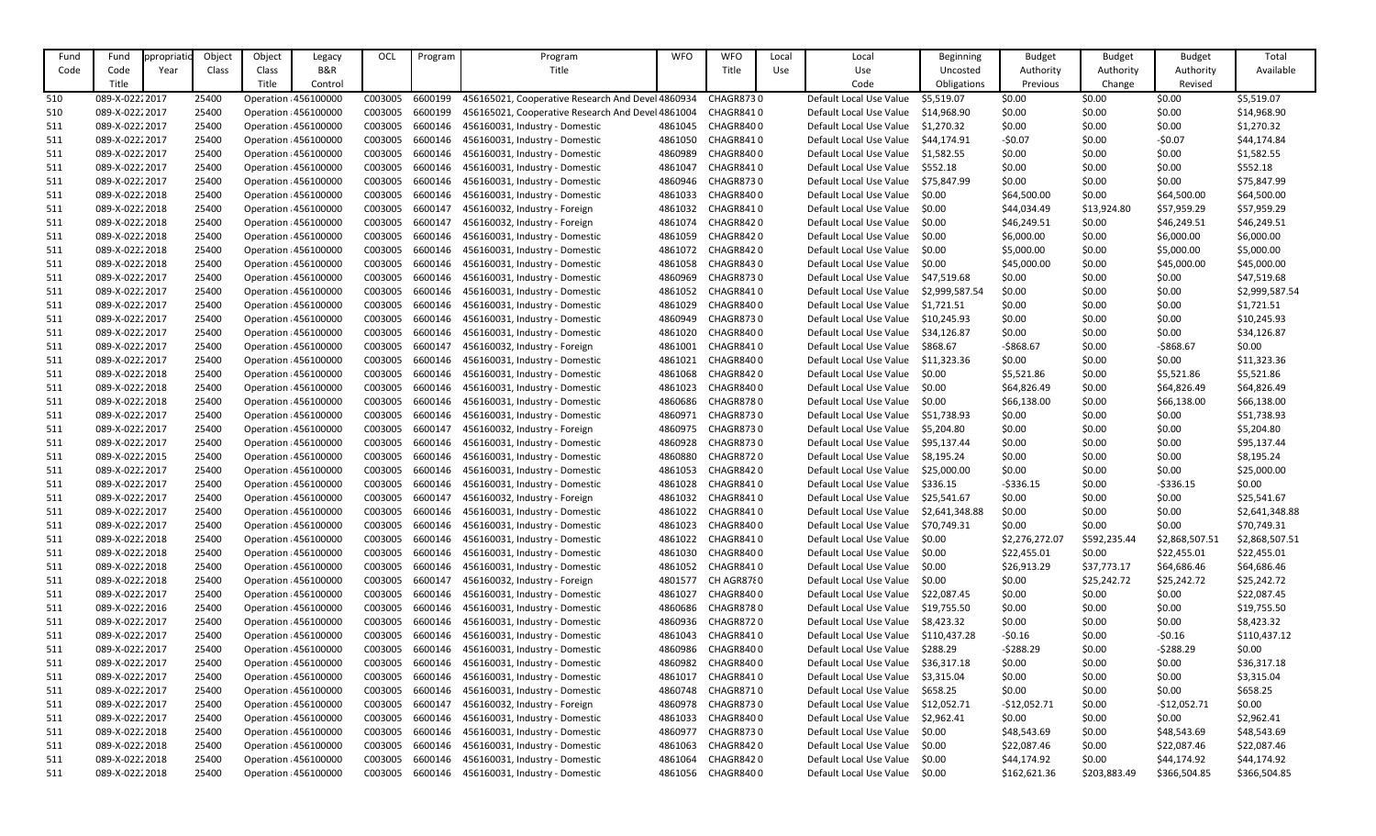| Fund       | Fund           | ppropriatio | Object | Object              | Legacy         | OCL             | Program | Program                                           | <b>WFO</b> | <b>WFO</b>       | Local | Local                   | <b>Beginning</b> | <b>Budget</b>  | <b>Budget</b> | <b>Budget</b>  | Total          |
|------------|----------------|-------------|--------|---------------------|----------------|-----------------|---------|---------------------------------------------------|------------|------------------|-------|-------------------------|------------------|----------------|---------------|----------------|----------------|
| Code       | Code           | Year        | Class  | Class               | <b>B&amp;R</b> |                 |         | Title                                             |            | Title            | Use   | Use                     | Uncosted         | Authority      | Authority     | Authority      | Available      |
|            | Title          |             |        | Title               | Control        |                 |         |                                                   |            |                  |       | Code                    | Obligations      | Previous       | Change        | Revised        |                |
| 510        | 089-X-02222017 |             | 25400  | Operation 456100000 |                | C003005         | 6600199 | 456165021, Cooperative Research And Devel 4860934 |            | <b>CHAGR8730</b> |       | Default Local Use Value | \$5,519.07       | \$0.00         | \$0.00        | \$0.00         | \$5,519.07     |
| 510        | 089-X-02222017 |             | 25400  | Operation 456100000 |                | C003005         | 6600199 | 456165021, Cooperative Research And Devel 4861004 |            | CHAGR8410        |       | Default Local Use Value | \$14,968.90      | \$0.00         | \$0.00        | \$0.00         | \$14,968.90    |
| 511        | 089-X-02222017 |             | 25400  | Operation 456100000 |                | C003005         | 6600146 | 456160031, Industry - Domestic                    | 4861045    | CHAGR8400        |       | Default Local Use Value | \$1,270.32       | \$0.00         | \$0.00        | \$0.00         | \$1,270.32     |
| 511        | 089-X-02222017 |             | 25400  | Operation 456100000 |                | C003005         | 6600146 | 456160031, Industry - Domestic                    | 4861050    | CHAGR8410        |       | Default Local Use Value | \$44,174.91      | $-50.07$       | \$0.00        | $-50.07$       | \$44,174.84    |
| 511        | 089-X-02222017 |             | 25400  | Operation 456100000 |                | C003005         | 6600146 | 456160031, Industry - Domestic                    | 4860989    | CHAGR8400        |       | Default Local Use Value | \$1,582.55       | \$0.00         | \$0.00        | \$0.00         | \$1,582.55     |
| 511        | 089-X-02222017 |             | 25400  | Operation 456100000 |                | C003005         | 6600146 | 456160031, Industry - Domestic                    | 4861047    | CHAGR8410        |       | Default Local Use Value | \$552.18         | \$0.00         | \$0.00        | \$0.00         | \$552.18       |
| 511        | 089-X-02222017 |             | 25400  | Operation 456100000 |                | C003005         | 6600146 | 456160031, Industry - Domestic                    | 4860946    | <b>CHAGR8730</b> |       | Default Local Use Value | \$75,847.99      | \$0.00         | \$0.00        | \$0.00         | \$75,847.99    |
| 511        | 089-X-02222018 |             | 25400  | Operation 456100000 |                | C003005         | 6600146 | 456160031, Industry - Domestic                    | 4861033    | CHAGR8400        |       | Default Local Use Value | \$0.00           | \$64,500.00    | \$0.00        | \$64,500.00    | \$64,500.00    |
| 511        | 089-X-02222018 |             | 25400  | Operation 456100000 |                | C003005         | 6600147 | 456160032, Industry - Foreign                     | 4861032    | CHAGR8410        |       | Default Local Use Value | \$0.00           | \$44,034.49    | \$13,924.80   | \$57,959.29    | \$57,959.29    |
| 511        | 089-X-02222018 |             | 25400  | Operation 456100000 |                | C003005         | 6600147 | 456160032, Industry - Foreign                     | 4861074    | CHAGR8420        |       | Default Local Use Value | \$0.00           | \$46,249.51    | \$0.00        | \$46,249.51    | \$46,249.51    |
| 511        | 089-X-02222018 |             | 25400  | Operation 456100000 |                | C003005         | 6600146 | 456160031, Industry - Domestic                    | 4861059    | CHAGR8420        |       | Default Local Use Value | \$0.00           | \$6,000.00     | \$0.00        | \$6,000.00     | \$6,000.00     |
| 511        | 089-X-02222018 |             | 25400  | Operation 456100000 |                | C003005         | 6600146 | 456160031, Industry - Domestic                    | 4861072    | CHAGR8420        |       | Default Local Use Value | \$0.00           | \$5,000.00     | \$0.00        | \$5,000.00     | \$5,000.00     |
| 511        | 089-X-02222018 |             | 25400  | Operation 456100000 |                | C003005         | 6600146 | 456160031, Industry - Domestic                    | 4861058    | CHAGR8430        |       | Default Local Use Value | \$0.00           | \$45,000.00    | \$0.00        | \$45,000.00    | \$45,000.00    |
| 511        | 089-X-02222017 |             | 25400  | Operation 456100000 |                | C003005         | 6600146 | 456160031, Industry - Domestic                    | 4860969    | <b>CHAGR8730</b> |       | Default Local Use Value | \$47,519.68      | \$0.00         | \$0.00        | \$0.00         | \$47,519.68    |
| 511        | 089-X-02222017 |             | 25400  | Operation 456100000 |                | C003005         | 6600146 | 456160031, Industry - Domestic                    | 4861052    | CHAGR8410        |       | Default Local Use Value | \$2,999,587.54   | \$0.00         | \$0.00        | \$0.00         | \$2,999,587.54 |
| 511        | 089-X-02222017 |             | 25400  | Operation 456100000 |                | C003005         | 6600146 | 456160031, Industry - Domestic                    | 4861029    | CHAGR8400        |       | Default Local Use Value | \$1,721.51       | \$0.00         | \$0.00        | \$0.00         | \$1,721.51     |
| 511        | 089-X-02222017 |             | 25400  | Operation 456100000 |                | C003005         | 6600146 | 456160031, Industry - Domestic                    | 4860949    | CHAGR8730        |       | Default Local Use Value | \$10,245.93      | \$0.00         | \$0.00        | \$0.00         | \$10,245.93    |
| 511        | 089-X-02222017 |             | 25400  | Operation 456100000 |                | C003005         | 6600146 | 456160031, Industry - Domestic                    | 4861020    | CHAGR8400        |       | Default Local Use Value | \$34,126.87      | \$0.00         | \$0.00        | \$0.00         | \$34,126.87    |
| 511        | 089-X-02222017 |             | 25400  | Operation 456100000 |                | C003005         | 6600147 | 456160032, Industry - Foreign                     | 4861001    | CHAGR8410        |       | Default Local Use Value | \$868.67         | $-5868.67$     | \$0.00        | $-5868.67$     | \$0.00         |
|            | 089-X-02222017 |             | 25400  | Operation 456100000 |                | C003005         | 6600146 | 456160031, Industry - Domestic                    | 4861021    | CHAGR8400        |       | Default Local Use Value | \$11,323.36      | \$0.00         | \$0.00        | \$0.00         | \$11,323.36    |
| 511<br>511 | 089-X-02222018 |             | 25400  | Operation 456100000 |                | C003005         | 6600146 | 456160031, Industry - Domestic                    | 4861068    | CHAGR8420        |       | Default Local Use Value | \$0.00           | \$5,521.86     | \$0.00        | \$5,521.86     | \$5,521.86     |
| 511        | 089-X-02222018 |             | 25400  | Operation 456100000 |                | C003005         | 6600146 | 456160031, Industry - Domestic                    | 4861023    | CHAGR8400        |       | Default Local Use Value | \$0.00           | \$64,826.49    | \$0.00        | \$64,826.49    | \$64,826.49    |
| 511        | 089-X-02222018 |             | 25400  | Operation 456100000 |                | C003005         | 6600146 | 456160031, Industry - Domestic                    | 4860686    | CHAGR8780        |       | Default Local Use Value | \$0.00           | \$66,138.00    | \$0.00        | \$66,138.00    | \$66,138.00    |
| 511        | 089-X-02222017 |             | 25400  | Operation 456100000 |                | C003005         | 6600146 | 456160031, Industry - Domestic                    | 4860971    | <b>CHAGR8730</b> |       | Default Local Use Value | \$51,738.93      | \$0.00         | \$0.00        | \$0.00         | \$51,738.93    |
| 511        | 089-X-02222017 |             | 25400  | Operation 456100000 |                | C003005         | 6600147 | 456160032, Industry - Foreign                     | 4860975    | <b>CHAGR8730</b> |       | Default Local Use Value | \$5,204.80       | \$0.00         | \$0.00        | \$0.00         | \$5,204.80     |
| 511        | 089-X-02222017 |             | 25400  | Operation 456100000 |                | C003005         | 6600146 | 456160031, Industry - Domestic                    | 4860928    | <b>CHAGR8730</b> |       | Default Local Use Value | \$95,137.44      | \$0.00         | \$0.00        | \$0.00         | \$95,137.44    |
| 511        | 089-X-02222015 |             | 25400  | Operation 456100000 |                | C003005         | 6600146 | 456160031, Industry - Domestic                    | 4860880    | CHAGR8720        |       | Default Local Use Value | \$8,195.24       | \$0.00         | \$0.00        | \$0.00         | \$8,195.24     |
| 511        | 089-X-02222017 |             | 25400  | Operation 456100000 |                | C003005         | 6600146 | 456160031, Industry - Domestic                    | 4861053    | CHAGR8420        |       | Default Local Use Value | \$25,000.00      | \$0.00         | \$0.00        | \$0.00         | \$25,000.00    |
| 511        | 089-X-02222017 |             | 25400  | Operation 456100000 |                | C003005         | 6600146 | 456160031, Industry - Domestic                    | 4861028    | CHAGR8410        |       | Default Local Use Value | \$336.15         | $-5336.15$     | \$0.00        | $-5336.15$     | \$0.00         |
| 511        | 089-X-02222017 |             | 25400  | Operation 456100000 |                | C003005         | 6600147 | 456160032, Industry - Foreign                     | 4861032    | CHAGR8410        |       | Default Local Use Value | \$25,541.67      | \$0.00         | \$0.00        | \$0.00         | \$25,541.67    |
| 511        | 089-X-02222017 |             | 25400  | Operation 456100000 |                | C003005         | 6600146 | 456160031, Industry - Domestic                    | 4861022    | CHAGR8410        |       | Default Local Use Value | \$2,641,348.88   | \$0.00         | \$0.00        | \$0.00         | \$2,641,348.88 |
| 511        | 089-X-02222017 |             | 25400  | Operation 456100000 |                | C003005 6600146 |         | 456160031, Industry - Domestic                    | 4861023    | CHAGR8400        |       | Default Local Use Value | \$70,749.31      | \$0.00         | \$0.00        | \$0.00         | \$70,749.31    |
| 511        | 089-X-02222018 |             | 25400  | Operation 456100000 |                | C003005         | 6600146 | 456160031, Industry - Domestic                    | 4861022    | CHAGR8410        |       | Default Local Use Value | \$0.00           | \$2,276,272.07 | \$592,235.44  | \$2,868,507.51 | \$2,868,507.51 |
| 511        | 089-X-02222018 |             | 25400  | Operation 456100000 |                | C003005 6600146 |         | 456160031, Industry - Domestic                    | 4861030    | CHAGR8400        |       | Default Local Use Value | \$0.00           | \$22,455.01    | \$0.00        | \$22,455.01    | \$22,455.01    |
| 511        | 089-X-02222018 |             | 25400  | Operation 456100000 |                | C003005         | 6600146 | 456160031, Industry - Domestic                    | 4861052    | CHAGR8410        |       | Default Local Use Value | \$0.00           | \$26,913.29    | \$37,773.17   | \$64,686.46    | \$64,686.46    |
| 511        | 089-X-02222018 |             | 25400  | Operation 456100000 |                | C003005         | 6600147 | 456160032, Industry - Foreign                     | 4801577    | CH AGR8780       |       | Default Local Use Value | \$0.00           | \$0.00         | \$25,242.72   | \$25,242.72    | \$25,242.72    |
| 511        | 089-X-02222017 |             | 25400  | Operation 456100000 |                | C003005 6600146 |         | 456160031, Industry - Domestic                    | 4861027    | CHAGR8400        |       | Default Local Use Value | \$22,087.45      | \$0.00         | \$0.00        | \$0.00         | \$22,087.45    |
| 511        | 089-X-02222016 |             | 25400  | Operation 456100000 |                | C003005         | 6600146 | 456160031, Industry - Domestic                    | 4860686    | CHAGR8780        |       | Default Local Use Value | \$19,755.50      | \$0.00         | \$0.00        | \$0.00         | \$19,755.50    |
| 511        | 089-X-02222017 |             | 25400  | Operation 456100000 |                | C003005         | 6600146 | 456160031, Industry - Domestic                    | 4860936    | CHAGR8720        |       | Default Local Use Value | \$8,423.32       | \$0.00         | \$0.00        | \$0.00         | \$8,423.32     |
| 511        | 089-X-02222017 |             | 25400  | Operation 456100000 |                | C003005         | 6600146 | 456160031, Industry - Domestic                    | 4861043    | CHAGR8410        |       | Default Local Use Value | \$110,437.28     | $-50.16$       | \$0.00        | $-50.16$       | \$110,437.12   |
| 511        | 089-X-02222017 |             | 25400  | Operation 456100000 |                | C003005         | 6600146 | 456160031, Industry - Domestic                    | 4860986    | CHAGR8400        |       | Default Local Use Value | \$288.29         | $-5288.29$     | \$0.00        | $-5288.29$     | \$0.00         |
| 511        | 089-X-02222017 |             | 25400  | Operation 456100000 |                | C003005         | 6600146 | 456160031, Industry - Domestic                    | 4860982    | CHAGR8400        |       | Default Local Use Value | \$36,317.18      | \$0.00         | \$0.00        | \$0.00         | \$36,317.18    |
| 511        | 089-X-02222017 |             | 25400  | Operation 456100000 |                | C003005         | 6600146 | 456160031, Industry - Domestic                    | 4861017    | CHAGR8410        |       | Default Local Use Value | \$3,315.04       | \$0.00         | \$0.00        | \$0.00         | \$3,315.04     |
| 511        | 089-X-02222017 |             | 25400  | Operation 456100000 |                | C003005         | 6600146 | 456160031, Industry - Domestic                    | 4860748    | CHAGR8710        |       | Default Local Use Value | \$658.25         | \$0.00         | \$0.00        | \$0.00         | \$658.25       |
| 511        | 089-X-02222017 |             | 25400  | Operation 456100000 |                | C003005         | 6600147 | 456160032, Industry - Foreign                     | 4860978    | CHAGR8730        |       | Default Local Use Value | \$12,052.71      | $-$12,052.71$  | \$0.00        | $-$12,052.71$  | \$0.00         |
| 511        | 089-X-02222017 |             | 25400  | Operation 456100000 |                | C003005         | 6600146 | 456160031, Industry - Domestic                    | 4861033    | CHAGR8400        |       | Default Local Use Value | \$2,962.41       | \$0.00         | \$0.00        | \$0.00         | \$2,962.41     |
| 511        | 089-X-02222018 |             | 25400  | Operation 456100000 |                | C003005         | 6600146 | 456160031, Industry - Domestic                    | 4860977    | CHAGR8730        |       | Default Local Use Value | \$0.00           | \$48,543.69    | \$0.00        | \$48,543.69    | \$48,543.69    |
| 511        | 089-X-02222018 |             | 25400  | Operation 456100000 |                | C003005         | 6600146 | 456160031, Industry - Domestic                    | 4861063    | CHAGR8420        |       | Default Local Use Value | \$0.00           | \$22,087.46    | \$0.00        | \$22,087.46    | \$22,087.46    |
| 511        | 089-X-02222018 |             | 25400  | Operation 456100000 |                | C003005         | 6600146 | 456160031, Industry - Domestic                    | 4861064    | CHAGR8420        |       | Default Local Use Value | \$0.00           | \$44,174.92    | \$0.00        | \$44,174.92    | \$44,174.92    |
| 511        | 089-X-02222018 |             | 25400  | Operation 456100000 |                | C003005         | 6600146 | 456160031, Industry - Domestic                    | 4861056    | CHAGR8400        |       | Default Local Use Value | \$0.00           | \$162,621.36   | \$203,883.49  | \$366,504.85   | \$366,504.85   |
|            |                |             |        |                     |                |                 |         |                                                   |            |                  |       |                         |                  |                |               |                |                |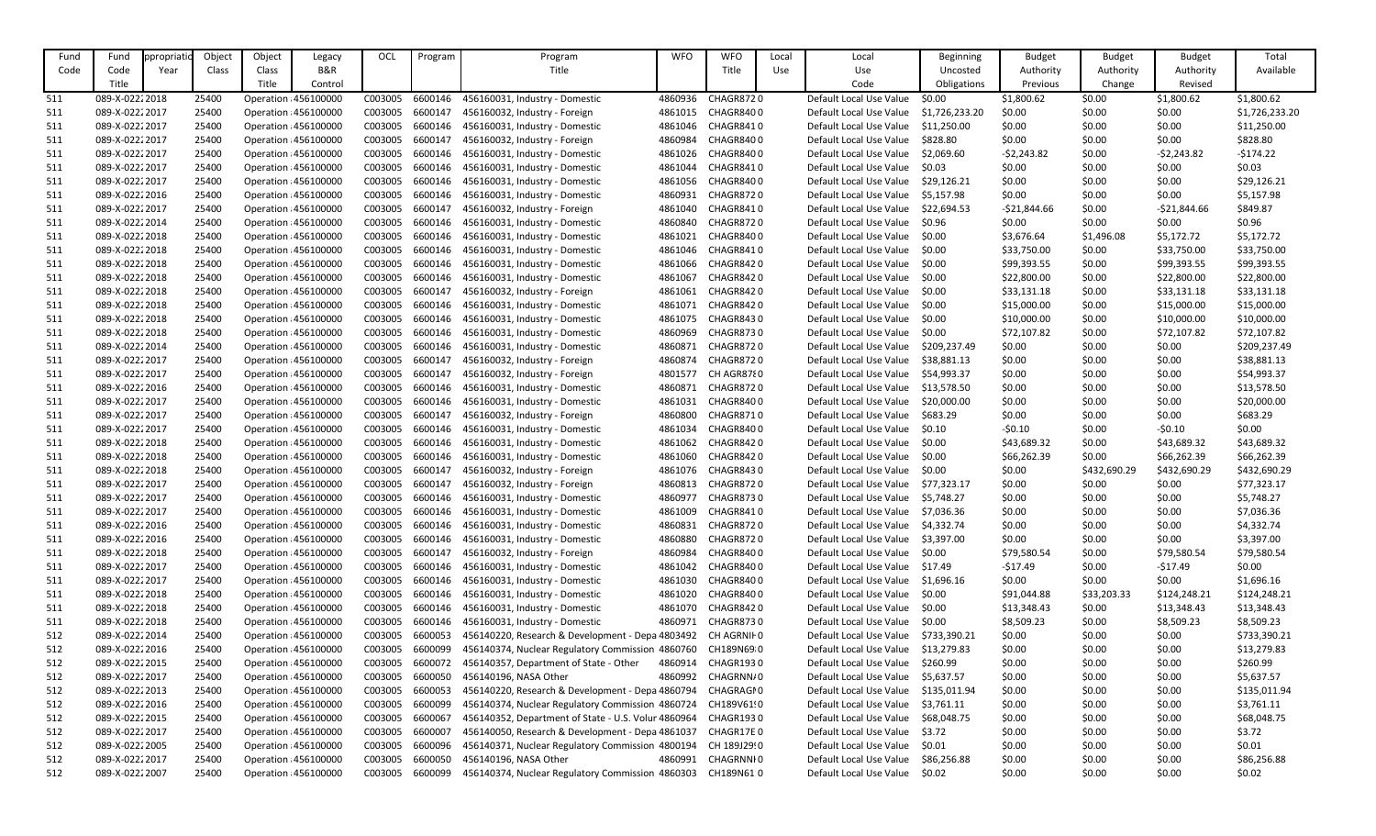| Fund | Fund           | ppropriatio | Object | Object | Legacy              | OCL     | Program | Program                                             | <b>WFO</b> | <b>WFO</b>        | Local | Local                               | <b>Beginning</b> | <b>Budget</b> | <b>Budget</b> | <b>Budget</b> | Total          |
|------|----------------|-------------|--------|--------|---------------------|---------|---------|-----------------------------------------------------|------------|-------------------|-------|-------------------------------------|------------------|---------------|---------------|---------------|----------------|
| Code | Code           | Year        | Class  | Class  | B&R                 |         |         | Title                                               |            | Title             | Use   | Use                                 | Uncosted         | Authority     | Authority     | Authority     | Available      |
|      | Title          |             |        | Title  | Control             |         |         |                                                     |            |                   |       | Code                                | Obligations      | Previous      | Change        | Revised       |                |
| 511  | 089-X-02222018 |             | 25400  |        | Operation 456100000 | C003005 | 6600146 | 456160031, Industry - Domestic                      | 4860936    | CHAGR8720         |       | Default Local Use Value             | \$0.00           | \$1,800.62    | \$0.00        | \$1,800.62    | \$1,800.62     |
| 511  | 089-X-02222017 |             | 25400  |        | Operation 456100000 | C003005 | 6600147 | 456160032, Industry - Foreign                       | 4861015    | CHAGR8400         |       | Default Local Use Value             | \$1,726,233.20   | \$0.00        | \$0.00        | \$0.00        | \$1,726,233.20 |
| 511  | 089-X-02222017 |             | 25400  |        | Operation 456100000 | C003005 | 6600146 | 456160031, Industry - Domestic                      | 4861046    | CHAGR8410         |       | Default Local Use Value             | \$11,250.00      | \$0.00        | \$0.00        | \$0.00        | \$11,250.00    |
| 511  | 089-X-02222017 |             | 25400  |        | Operation 456100000 | C003005 | 6600147 | 456160032, Industry - Foreign                       | 4860984    | CHAGR8400         |       | Default Local Use Value             | \$828.80         | \$0.00        | \$0.00        | \$0.00        | \$828.80       |
| 511  | 089-X-02222017 |             | 25400  |        | Operation 456100000 | C003005 | 6600146 | 456160031, Industry - Domestic                      | 4861026    | CHAGR8400         |       | Default Local Use Value             | \$2,069.60       | $-52,243.82$  | \$0.00        | $-52,243.82$  | $-5174.22$     |
| 511  | 089-X-02222017 |             | 25400  |        | Operation 456100000 | C003005 | 6600146 | 456160031, Industry - Domestic                      | 4861044    | CHAGR8410         |       | Default Local Use Value             | \$0.03           | \$0.00        | \$0.00        | \$0.00        | \$0.03         |
| 511  | 089-X-02222017 |             | 25400  |        | Operation 456100000 | C003005 | 6600146 | 456160031, Industry - Domestic                      | 4861056    | CHAGR8400         |       | Default Local Use Value             | \$29,126.21      | \$0.00        | \$0.00        | \$0.00        | \$29,126.21    |
| 511  | 089-X-02222016 |             | 25400  |        | Operation 456100000 | C003005 | 6600146 | 456160031, Industry - Domestic                      | 4860931    | CHAGR8720         |       | Default Local Use Value             | \$5,157.98       | \$0.00        | \$0.00        | \$0.00        | \$5,157.98     |
| 511  | 089-X-02222017 |             | 25400  |        | Operation 456100000 | C003005 | 6600147 | 456160032, Industry - Foreign                       | 4861040    | CHAGR8410         |       | Default Local Use Value             | \$22,694.53      | $-521,844.66$ | \$0.00        | $-521,844.66$ | \$849.87       |
| 511  | 089-X-02222014 |             | 25400  |        | Operation 456100000 | C003005 | 6600146 | 456160031, Industry - Domestic                      | 4860840    | CHAGR8720         |       | Default Local Use Value             | \$0.96           | \$0.00        | \$0.00        | \$0.00        | \$0.96         |
| 511  | 089-X-02222018 |             | 25400  |        | Operation 456100000 | C003005 | 6600146 | 456160031, Industry - Domestic                      | 4861021    | CHAGR8400         |       | Default Local Use Value             | \$0.00           | \$3,676.64    | \$1,496.08    | \$5,172.72    | \$5,172.72     |
| 511  | 089-X-02222018 |             | 25400  |        | Operation 456100000 | C003005 | 6600146 | 456160031, Industry - Domestic                      | 4861046    | CHAGR8410         |       | Default Local Use Value             | \$0.00           | \$33,750.00   | \$0.00        | \$33,750.00   | \$33,750.00    |
| 511  | 089-X-02222018 |             | 25400  |        | Operation 456100000 | C003005 | 6600146 | 456160031, Industry - Domestic                      | 4861066    | CHAGR8420         |       | Default Local Use Value             | \$0.00           | \$99,393.55   | \$0.00        | \$99,393.55   | \$99,393.55    |
| 511  | 089-X-02222018 |             | 25400  |        | Operation 456100000 | C003005 | 6600146 | 456160031, Industry - Domestic                      | 4861067    | CHAGR8420         |       | Default Local Use Value             | \$0.00           | \$22,800.00   | \$0.00        | \$22,800.00   | \$22,800.00    |
| 511  | 089-X-02222018 |             | 25400  |        | Operation 456100000 | C003005 | 6600147 | 456160032, Industry - Foreign                       | 4861061    | CHAGR8420         |       | Default Local Use Value             | \$0.00           | \$33,131.18   | \$0.00        | \$33,131.18   | \$33,131.18    |
| 511  | 089-X-02222018 |             | 25400  |        | Operation 456100000 | C003005 | 6600146 | 456160031, Industry - Domestic                      | 4861071    | CHAGR8420         |       | Default Local Use Value             | \$0.00           | \$15,000.00   | \$0.00        | \$15,000.00   | \$15,000.00    |
| 511  | 089-X-02222018 |             | 25400  |        | Operation 456100000 | C003005 | 6600146 | 456160031, Industry - Domestic                      | 4861075    | CHAGR8430         |       | Default Local Use Value             | \$0.00           | \$10,000.00   | \$0.00        | \$10,000.00   | \$10,000.00    |
| 511  | 089-X-02222018 |             | 25400  |        | Operation 456100000 | C003005 | 6600146 | 456160031, Industry - Domestic                      | 4860969    | CHAGR8730         |       | Default Local Use Value             | \$0.00           | \$72,107.82   | \$0.00        | \$72,107.82   | \$72,107.82    |
| 511  | 089-X-02222014 |             | 25400  |        | Operation 456100000 | C003005 | 6600146 | 456160031, Industry - Domestic                      | 4860871    | CHAGR8720         |       | Default Local Use Value             | \$209,237.49     | \$0.00        | \$0.00        | \$0.00        | \$209,237.49   |
| 511  | 089-X-02222017 |             | 25400  |        | Operation 456100000 | C003005 | 6600147 | 456160032, Industry - Foreign                       | 4860874    | CHAGR8720         |       | Default Local Use Value             | \$38,881.13      | \$0.00        | \$0.00        | \$0.00        | \$38,881.13    |
| 511  | 089-X-02222017 |             | 25400  |        | Operation 456100000 | C003005 | 6600147 | 456160032, Industry - Foreign                       | 4801577    | CH AGR8780        |       | Default Local Use Value             | \$54,993.37      | \$0.00        | \$0.00        | \$0.00        | \$54,993.37    |
| 511  | 089-X-02222016 |             | 25400  |        | Operation 456100000 | C003005 | 6600146 | 456160031, Industry - Domestic                      | 4860871    | CHAGR8720         |       | Default Local Use Value             | \$13,578.50      | \$0.00        | \$0.00        | \$0.00        | \$13,578.50    |
| 511  | 089-X-02222017 |             | 25400  |        | Operation 456100000 | C003005 | 6600146 | 456160031, Industry - Domestic                      | 4861031    | CHAGR8400         |       | Default Local Use Value             | \$20,000.00      | \$0.00        | \$0.00        | \$0.00        | \$20,000.00    |
| 511  | 089-X-02222017 |             | 25400  |        | Operation 456100000 | C003005 | 6600147 | 456160032, Industry - Foreign                       | 4860800    | CHAGR8710         |       | Default Local Use Value             | \$683.29         | \$0.00        | \$0.00        | \$0.00        | \$683.29       |
| 511  | 089-X-02222017 |             | 25400  |        | Operation 456100000 | C003005 | 6600146 | 456160031, Industry - Domestic                      | 4861034    | CHAGR8400         |       | Default Local Use Value             | \$0.10           | $-50.10$      | \$0.00        | $-50.10$      | \$0.00         |
| 511  | 089-X-02222018 |             | 25400  |        | Operation 456100000 | C003005 | 6600146 | 456160031, Industry - Domestic                      | 4861062    | CHAGR8420         |       | Default Local Use Value             | \$0.00           | \$43,689.32   | \$0.00        | \$43,689.32   | \$43,689.32    |
| 511  | 089-X-02222018 |             | 25400  |        | Operation 456100000 | C003005 | 6600146 | 456160031, Industry - Domestic                      | 4861060    | CHAGR8420         |       | Default Local Use Value             | \$0.00           | \$66,262.39   | \$0.00        | \$66,262.39   | \$66,262.39    |
| 511  | 089-X-02222018 |             | 25400  |        | Operation 456100000 | C003005 | 6600147 | 456160032, Industry - Foreign                       |            | 4861076 CHAGR8430 |       | Default Local Use Value \$0.00      |                  | \$0.00        | \$432,690.29  | \$432,690.29  | \$432,690.29   |
| 511  | 089-X-02222017 |             | 25400  |        | Operation 456100000 | C003005 | 6600147 | 456160032, Industry - Foreign                       | 4860813    | CHAGR8720         |       | Default Local Use Value \$77,323.17 |                  | \$0.00        | \$0.00        | \$0.00        | \$77,323.17    |
| 511  | 089-X-02222017 |             | 25400  |        | Operation 456100000 | C003005 | 6600146 | 456160031, Industry - Domestic                      | 4860977    | CHAGR8730         |       | Default Local Use Value             | \$5,748.27       | \$0.00        | \$0.00        | \$0.00        | \$5,748.27     |
| 511  | 089-X-02222017 |             | 25400  |        | Operation 456100000 | C003005 | 6600146 | 456160031, Industry - Domestic                      | 4861009    | CHAGR8410         |       | Default Local Use Value             | \$7,036.36       | \$0.00        | \$0.00        | \$0.00        | \$7,036.36     |
| 511  | 089-X-02222016 |             | 25400  |        | Operation 456100000 | C003005 | 6600146 | 456160031, Industry - Domestic                      | 4860831    | CHAGR8720         |       | Default Local Use Value \$4,332.74  |                  | \$0.00        | \$0.00        | \$0.00        | \$4,332.74     |
| 511  | 089-X-02222016 |             | 25400  |        | Operation 456100000 | C003005 | 6600146 | 456160031, Industry - Domestic                      | 4860880    | CHAGR8720         |       | Default Local Use Value             | \$3,397.00       | \$0.00        | \$0.00        | \$0.00        | \$3,397.00     |
| 511  | 089-X-02222018 |             | 25400  |        | Operation 456100000 | C003005 | 6600147 | 456160032, Industry - Foreign                       | 4860984    | CHAGR8400         |       | Default Local Use Value             | \$0.00           | \$79,580.54   | \$0.00        | \$79,580.54   | \$79,580.54    |
| 511  | 089-X-02222017 |             | 25400  |        | Operation 456100000 | C003005 | 6600146 | 456160031, Industry - Domestic                      | 4861042    | CHAGR8400         |       | Default Local Use Value             | \$17.49          | -\$17.49      | \$0.00        | -\$17.49      | \$0.00         |
| 511  | 089-X-02222017 |             | 25400  |        | Operation 456100000 | C003005 | 6600146 | 456160031, Industry - Domestic                      | 4861030    | CHAGR8400         |       | Default Local Use Value             | \$1,696.16       | \$0.00        | \$0.00        | \$0.00        | \$1,696.16     |
| 511  | 089-X-02222018 |             | 25400  |        | Operation 456100000 | C003005 | 6600146 | 456160031, Industry - Domestic                      | 4861020    | CHAGR8400         |       | Default Local Use Value             | \$0.00           | \$91,044.88   | \$33,203.33   | \$124,248.21  | \$124,248.21   |
| 511  | 089-X-02222018 |             | 25400  |        | Operation 456100000 | C003005 | 6600146 | 456160031, Industry - Domestic                      | 4861070    | CHAGR8420         |       | Default Local Use Value             | \$0.00           | \$13,348.43   | \$0.00        | \$13,348.43   | \$13,348.43    |
| 511  | 089-X-02222018 |             | 25400  |        | Operation 456100000 | C003005 | 6600146 | 456160031, Industry - Domestic                      | 4860971    | CHAGR8730         |       | Default Local Use Value             | \$0.00           | \$8,509.23    | \$0.00        | \$8,509.23    | \$8,509.23     |
| 512  | 089-X-02222014 |             | 25400  |        | Operation 456100000 | C003005 | 6600053 | 456140220, Research & Development - Depa 4803492    |            | CH AGRNIF 0       |       | Default Local Use Value             | \$733,390.21     | \$0.00        | \$0.00        | \$0.00        | \$733,390.21   |
| 512  | 089-X-02222016 |             | 25400  |        | Operation 456100000 | C003005 | 6600099 | 456140374, Nuclear Regulatory Commission 4860760    |            | CH189N69 0        |       | Default Local Use Value             | \$13,279.83      | \$0.00        | \$0.00        | \$0.00        | \$13,279.83    |
| 512  | 089-X-02222015 |             | 25400  |        | Operation 456100000 | C003005 | 6600072 | 456140357, Department of State - Other              | 4860914    | CHAGR1930         |       | Default Local Use Value             | \$260.99         | \$0.00        | \$0.00        | \$0.00        | \$260.99       |
| 512  | 089-X-02222017 |             | 25400  |        | Operation 456100000 | C003005 | 6600050 | 456140196, NASA Other                               |            | 4860992 CHAGRNN/0 |       | Default Local Use Value             | \$5,637.57       | \$0.00        | \$0.00        | \$0.00        | \$5,637.57     |
| 512  | 089-X-02222013 |             | 25400  |        | Operation 456100000 | C003005 | 6600053 | 456140220, Research & Development - Depa 4860794    |            | CHAGRAGN0         |       | Default Local Use Value             | \$135,011.94     | \$0.00        | \$0.00        | \$0.00        | \$135,011.94   |
| 512  | 089-X-02222016 |             | 25400  |        | Operation 456100000 | C003005 | 6600099 | 456140374, Nuclear Regulatory Commission 4860724    |            | CH189V61!0        |       | Default Local Use Value             | \$3,761.11       | \$0.00        | \$0.00        | \$0.00        | \$3,761.11     |
| 512  | 089-X-02222015 |             | 25400  |        | Operation 456100000 | C003005 | 6600067 | 456140352, Department of State - U.S. Volur 4860964 |            | CHAGR1930         |       | Default Local Use Value             | \$68,048.75      | \$0.00        | \$0.00        | \$0.00        | \$68,048.75    |
| 512  | 089-X-02222017 |             | 25400  |        | Operation 456100000 | C003005 | 6600007 | 456140050, Research & Development - Depa 4861037    |            | CHAGR17E0         |       | Default Local Use Value             | \$3.72           | \$0.00        | \$0.00        | \$0.00        | \$3.72         |
| 512  | 089-X-02222005 |             | 25400  |        | Operation 456100000 | C003005 | 6600096 | 456140371, Nuclear Regulatory Commission 4800194    |            | CH 189J29!0       |       | Default Local Use Value             | \$0.01           | \$0.00        | \$0.00        | \$0.00        | \$0.01         |
| 512  | 089-X-02222017 |             | 25400  |        | Operation 456100000 | C003005 | 6600050 | 456140196, NASA Other                               | 4860991    | CHAGRNNI 0        |       | Default Local Use Value             | \$86,256.88      | \$0.00        | \$0.00        | \$0.00        | \$86,256.88    |
| 512  | 089-X-02222007 |             | 25400  |        | Operation 456100000 | C003005 | 6600099 | 456140374, Nuclear Regulatory Commission 4860303    |            | CH189N61 0        |       | Default Local Use Value \$0.02      |                  | \$0.00        | \$0.00        | \$0.00        | \$0.02         |
|      |                |             |        |        |                     |         |         |                                                     |            |                   |       |                                     |                  |               |               |               |                |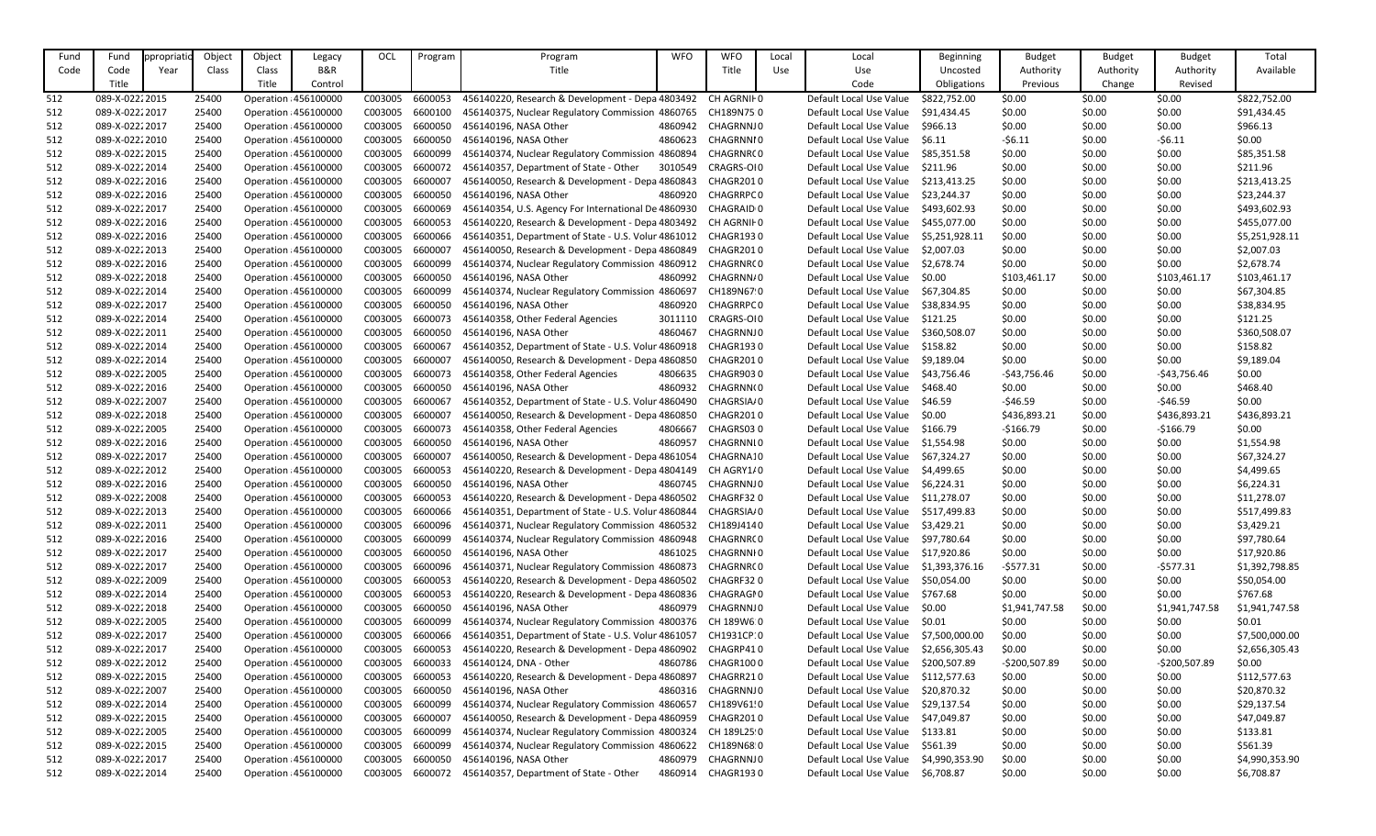| Fund | Fund           | ppropriati | Object       | Object              | Legacy              | OCL     | Program | Program                                                        | <b>WFO</b> | <b>WFO</b>              | Local | Local                              | <b>Beginning</b> | <b>Budget</b>  | <b>Budget</b> | <b>Budget</b>  | Total          |
|------|----------------|------------|--------------|---------------------|---------------------|---------|---------|----------------------------------------------------------------|------------|-------------------------|-------|------------------------------------|------------------|----------------|---------------|----------------|----------------|
| Code | Code           | Year       | <b>Class</b> | Class               | B&R                 |         |         | Title                                                          |            | Title                   | Use   | Use                                | Uncosted         | Authority      | Authority     | Authority      | Available      |
|      | Title          |            |              | Title               | Control             |         |         |                                                                |            |                         |       | Code                               | Obligations      | Previous       | Change        | Revised        |                |
|      |                |            |              |                     |                     |         |         |                                                                |            |                         |       |                                    |                  |                |               |                |                |
| 512  | 089-X-02222015 |            | 25400        | Operation 456100000 |                     | C003005 | 6600053 | 456140220, Research & Development - Depa 4803492               |            | CH AGRNIF 0             |       | Default Local Use Value            | \$822,752.00     | \$0.00         | \$0.00        | \$0.00         | \$822,752.00   |
| 512  | 089-X-02222017 |            | 25400        | Operation 456100000 |                     | C003005 | 6600100 | 456140375, Nuclear Regulatory Commission 4860765 CH189N75.0    |            |                         |       | Default Local Use Value            | \$91,434.45      | \$0.00         | \$0.00        | \$0.00         | \$91,434.45    |
| 512  | 089-X-02222017 |            | 25400        | Operation 456100000 |                     | C003005 | 6600050 | 456140196, NASA Other                                          |            | 4860942 CHAGRNNJ0       |       | Default Local Use Value            | \$966.13         | \$0.00         | \$0.00        | \$0.00         | \$966.13       |
| 512  | 089-X-02222010 |            | 25400        | Operation 456100000 |                     | C003005 | 6600050 | 456140196, NASA Other                                          | 4860623    | <b>CHAGRNNIO</b>        |       | Default Local Use Value            | \$6.11           | $-56.11$       | \$0.00        | $-56.11$       | \$0.00         |
| 512  | 089-X-02222015 |            | 25400        | Operation 456100000 |                     | C003005 | 6600099 | 456140374, Nuclear Regulatory Commission 4860894               |            | CHAGRNRC0               |       | Default Local Use Value            | \$85,351.58      | \$0.00         | \$0.00        | \$0.00         | \$85,351.58    |
| 512  | 089-X-02222014 |            | 25400        | Operation 456100000 |                     | C003005 | 6600072 | 456140357, Department of State - Other                         | 3010549    | CRAGRS-OI0              |       | Default Local Use Value            | \$211.96         | \$0.00         | \$0.00        | \$0.00         | \$211.96       |
| 512  | 089-X-02222016 |            | 25400        | Operation 456100000 |                     | C003005 | 6600007 | 456140050, Research & Development - Depa 4860843 CHAGR2010     |            |                         |       | Default Local Use Value            | \$213,413.25     | \$0.00         | \$0.00        | \$0.00         | \$213,413.25   |
| 512  | 089-X-02222016 |            | 25400        | Operation 456100000 |                     | C003005 | 6600050 | 456140196, NASA Other                                          | 4860920    | <b>CHAGRRPC0</b>        |       | Default Local Use Value            | \$23,244.37      | \$0.00         | \$0.00        | \$0.00         | \$23,244.37    |
| 512  | 089-X-02222017 |            | 25400        | Operation 456100000 |                     | C003005 | 6600069 | 456140354, U.S. Agency For International De 4860930            |            | CHAGRAID <sub>1</sub> 0 |       | Default Local Use Value            | \$493,602.93     | \$0.00         | \$0.00        | \$0.00         | \$493,602.93   |
| 512  | 089-X-02222016 |            | 25400        | Operation 456100000 |                     | C003005 | 6600053 | 456140220, Research & Development - Depa 4803492 CH AGRNIFO    |            |                         |       | Default Local Use Value            | \$455,077.00     | \$0.00         | \$0.00        | \$0.00         | \$455,077.00   |
| 512  | 089-X-02222016 |            | 25400        | Operation 456100000 |                     | C003005 | 6600066 | 456140351, Department of State - U.S. Volur 4861012 CHAGR1930  |            |                         |       | Default Local Use Value            | \$5,251,928.11   | \$0.00         | \$0.00        | \$0.00         | \$5,251,928.11 |
| 512  | 089-X-02222013 |            | 25400        | Operation 456100000 |                     | C003005 | 6600007 | 456140050, Research & Development - Depa 4860849 CHAGR2010     |            |                         |       | Default Local Use Value            | \$2,007.03       | \$0.00         | \$0.00        | \$0.00         | \$2,007.03     |
| 512  | 089-X-02222016 |            | 25400        | Operation 456100000 |                     | C003005 | 6600099 | 456140374, Nuclear Regulatory Commission 4860912 CHAGRNRCO     |            |                         |       | Default Local Use Value            | \$2,678.74       | \$0.00         | \$0.00        | \$0.00         | \$2,678.74     |
| 512  | 089-X-02222018 |            | 25400        | Operation 456100000 |                     | C003005 | 6600050 | 456140196, NASA Other                                          | 4860992    | CHAGRNN/0               |       | Default Local Use Value            | \$0.00           | \$103,461.17   | \$0.00        | \$103,461.17   | \$103,461.17   |
| 512  | 089-X-02222014 |            | 25400        | Operation 456100000 |                     | C003005 | 6600099 | 456140374, Nuclear Regulatory Commission 4860697               |            | CH189N67!0              |       | Default Local Use Value            | \$67,304.85      | \$0.00         | \$0.00        | \$0.00         | \$67,304.85    |
| 512  | 089-X-02222017 |            | 25400        | Operation 456100000 |                     | C003005 | 6600050 | 456140196, NASA Other                                          | 4860920    | <b>CHAGRRPC0</b>        |       | Default Local Use Value            | \$38,834.95      | \$0.00         | \$0.00        | \$0.00         | \$38,834.95    |
| 512  | 089-X-02222014 |            | 25400        | Operation 456100000 |                     | C003005 | 6600073 | 456140358, Other Federal Agencies                              | 3011110    | CRAGRS-OI 0             |       | Default Local Use Value            | \$121.25         | \$0.00         | \$0.00        | \$0.00         | \$121.25       |
| 512  | 089-X-02222011 |            | 25400        | Operation 456100000 |                     | C003005 | 6600050 | 456140196, NASA Other                                          | 4860467    | CHAGRNNJ0               |       | Default Local Use Value            | \$360,508.07     | \$0.00         | \$0.00        | \$0.00         | \$360,508.07   |
| 512  | 089-X-02222014 |            | 25400        | Operation 456100000 |                     | C003005 | 6600067 | 456140352, Department of State - U.S. Volur 4860918            |            | CHAGR1930               |       | Default Local Use Value            | \$158.82         | \$0.00         | \$0.00        | \$0.00         | \$158.82       |
| 512  | 089-X-02222014 |            | 25400        | Operation 456100000 |                     | C003005 | 6600007 | 456140050, Research & Development - Depa 4860850               |            | CHAGR2010               |       | Default Local Use Value            | \$9,189.04       | \$0.00         | \$0.00        | \$0.00         | \$9,189.04     |
| 512  | 089-X-02222005 |            | 25400        | Operation 456100000 |                     | C003005 | 6600073 | 456140358, Other Federal Agencies                              | 4806635    | CHAGR9030               |       | Default Local Use Value            | \$43,756.46      | $-$43,756.46$  | \$0.00        | $-$43,756.46$  | \$0.00         |
| 512  | 089-X-02222016 |            | 25400        | Operation 456100000 |                     | C003005 | 6600050 | 456140196, NASA Other                                          | 4860932    | CHAGRNN(0               |       | Default Local Use Value            | \$468.40         | \$0.00         | \$0.00        | \$0.00         | \$468.40       |
| 512  | 089-X-02222007 |            | 25400        |                     |                     | C003005 | 6600067 |                                                                |            | CHAGRSIA/0              |       | Default Local Use Value            | \$46.59          |                |               | $-546.59$      | \$0.00         |
|      |                |            |              | Operation 456100000 |                     |         |         | 456140352, Department of State - U.S. Volur 4860490            |            |                         |       |                                    |                  | -\$46.59       | \$0.00        |                |                |
| 512  | 089-X-02222018 |            | 25400        | Operation 456100000 |                     | C003005 | 6600007 | 456140050, Research & Development - Depa 4860850               |            | CHAGR2010               |       | Default Local Use Value            | \$0.00           | \$436,893.21   | \$0.00        | \$436,893.21   | \$436,893.21   |
| 512  | 089-X-02222005 |            | 25400        | Operation 456100000 |                     | C003005 | 6600073 | 456140358, Other Federal Agencies                              | 4806667    | CHAGRS030               |       | Default Local Use Value            | \$166.79         | $-5166.79$     | \$0.00        | $-$166.79$     | \$0.00         |
| 512  | 089-X-02222016 |            | 25400        | Operation 456100000 |                     | C003005 | 6600050 | 456140196, NASA Other                                          | 4860957    | CHAGRNNI0               |       | Default Local Use Value            | \$1,554.98       | \$0.00         | \$0.00        | \$0.00         | \$1,554.98     |
| 512  | 089-X-02222017 |            | 25400        | Operation 456100000 |                     | C003005 | 6600007 | 456140050, Research & Development - Depa 4861054               |            | CHAGRNA10               |       | Default Local Use Value            | \$67,324.27      | \$0.00         | \$0.00        | \$0.00         | \$67,324.27    |
| 512  | 089-X-02222012 |            | 25400        | Operation 456100000 |                     | C003005 | 6600053 | 456140220, Research & Development - Depa 4804149 CH AGRY1/0    |            |                         |       | Default Local Use Value \$4,499.65 |                  | \$0.00         | \$0.00        | \$0.00         | \$4,499.65     |
| 512  | 089-X-02222016 |            | 25400        | Operation 456100000 |                     | C003005 | 6600050 | 456140196, NASA Other                                          | 4860745    | CHAGRNNJO               |       | Default Local Use Value            | \$6,224.31       | \$0.00         | \$0.00        | \$0.00         | \$6,224.31     |
| 512  | 089-X-02222008 |            | 25400        | Operation 456100000 |                     | C003005 | 6600053 | 456140220, Research & Development - Depa 4860502 CHAGRF320     |            |                         |       | Default Local Use Value            | \$11,278.07      | \$0.00         | \$0.00        | \$0.00         | \$11,278.07    |
| 512  | 089-X-02222013 |            | 25400        | Operation 456100000 |                     | C003005 | 6600066 | 456140351, Department of State - U.S. Volur 4860844            |            | CHAGRSIA/0              |       | Default Local Use Value            | \$517,499.83     | \$0.00         | \$0.00        | \$0.00         | \$517,499.83   |
| 512  | 089-X-02222011 |            | 25400        |                     | Operation 456100000 | C003005 | 6600096 | 456140371, Nuclear Regulatory Commission 4860532 CH189J4140    |            |                         |       | Default Local Use Value \$3,429.21 |                  | \$0.00         | \$0.00        | \$0.00         | \$3,429.21     |
| 512  | 089-X-02222016 |            | 25400        | Operation 456100000 |                     | C003005 | 6600099 | 456140374, Nuclear Regulatory Commission 4860948               |            | CHAGRNRC0               |       | Default Local Use Value            | \$97,780.64      | \$0.00         | \$0.00        | \$0.00         | \$97,780.64    |
| 512  | 089-X-02222017 |            | 25400        | Operation 456100000 |                     | C003005 | 6600050 | 456140196, NASA Other                                          | 4861025    | CHAGRNNI0               |       | Default Local Use Value            | \$17,920.86      | \$0.00         | \$0.00        | \$0.00         | \$17,920.86    |
| 512  | 089-X-02222017 |            | 25400        |                     | Operation 456100000 | C003005 | 6600096 | 456140371, Nuclear Regulatory Commission 4860873               |            | CHAGRNRC 0              |       | Default Local Use Value            | \$1,393,376.16   | $-5577.31$     | \$0.00        | $-5577.31$     | \$1,392,798.85 |
| 512  | 089-X-02222009 |            | 25400        | Operation 456100000 |                     | C003005 | 6600053 | 456140220, Research & Development - Depa 4860502               |            | CHAGRF320               |       | Default Local Use Value            | \$50,054.00      | \$0.00         | \$0.00        | \$0.00         | \$50,054.00    |
| 512  | 089-X-02222014 |            | 25400        | Operation 456100000 |                     | C003005 | 6600053 | 456140220, Research & Development - Depa 4860836 CHAGRAGIO     |            |                         |       | Default Local Use Value            | \$767.68         | \$0.00         | \$0.00        | \$0.00         | \$767.68       |
| 512  | 089-X-02222018 |            | 25400        | Operation 456100000 |                     | C003005 | 6600050 | 456140196, NASA Other                                          |            | 4860979 CHAGRNNJ0       |       | Default Local Use Value            | \$0.00           | \$1,941,747.58 | \$0.00        | \$1,941,747.58 | \$1,941,747.58 |
| 512  | 089-X-02222005 |            | 25400        | Operation 456100000 |                     | C003005 | 6600099 | 456140374, Nuclear Regulatory Commission 4800376 CH 189W6:0    |            |                         |       | Default Local Use Value            | \$0.01           | \$0.00         | \$0.00        | \$0.00         | \$0.01         |
| 512  | 089-X-02222017 |            | 25400        | Operation 456100000 |                     | C003005 | 6600066 | 456140351, Department of State - U.S. Volur 4861057 CH1931CP:0 |            |                         |       | Default Local Use Value            | \$7,500,000.00   | \$0.00         | \$0.00        | \$0.00         | \$7,500,000.00 |
| 512  | 089-X-02222017 |            | 25400        | Operation 456100000 |                     | C003005 | 6600053 | 456140220, Research & Development - Depa 4860902 CHAGRP410     |            |                         |       | Default Local Use Value            | \$2,656,305.43   | \$0.00         | \$0.00        | \$0.00         | \$2,656,305.43 |
| 512  | 089-X-02222012 |            | 25400        | Operation 456100000 |                     | C003005 | 6600033 | 456140124, DNA - Other                                         | 4860786    | CHAGR1000               |       | Default Local Use Value            | \$200,507.89     | -\$200,507.89  | \$0.00        | -\$200,507.89  | \$0.00         |
| 512  | 089-X-02222015 |            | 25400        |                     | Operation 456100000 | C003005 | 6600053 | 456140220, Research & Development - Depa 4860897               |            | CHAGRR210               |       | Default Local Use Value            | \$112,577.63     | \$0.00         | \$0.00        | \$0.00         | \$112,577.63   |
| 512  | 089-X-02222007 |            | 25400        | Operation 456100000 |                     | C003005 | 6600050 | 456140196, NASA Other                                          |            | 4860316 CHAGRNNJ0       |       | Default Local Use Value            | \$20,870.32      | \$0.00         | \$0.00        | \$0.00         | \$20,870.32    |
| 512  | 089-X-02222014 |            | 25400        | Operation 456100000 |                     | C003005 | 6600099 | 456140374, Nuclear Regulatory Commission 4860657               |            | CH189V61!0              |       | Default Local Use Value            | \$29,137.54      | \$0.00         | \$0.00        | \$0.00         | \$29,137.54    |
| 512  | 089-X-02222015 |            | 25400        | Operation 456100000 |                     | C003005 | 6600007 | 456140050, Research & Development - Depa 4860959               |            | CHAGR2010               |       | Default Local Use Value            | \$47,049.87      | \$0.00         | \$0.00        | \$0.00         | \$47,049.87    |
| 512  | 089-X-02222005 |            | 25400        | Operation 456100000 |                     | C003005 | 6600099 | 456140374, Nuclear Regulatory Commission 4800324               |            | CH 189L25:0             |       | Default Local Use Value            | \$133.81         | \$0.00         | \$0.00        | \$0.00         | \$133.81       |
| 512  | 089-X-02222015 |            | 25400        | Operation 456100000 |                     | C003005 | 6600099 | 456140374, Nuclear Regulatory Commission 4860622 CH189N68 0    |            |                         |       | Default Local Use Value            | \$561.39         | \$0.00         | \$0.00        | \$0.00         | \$561.39       |
| 512  | 089-X-02222017 |            | 25400        | Operation 456100000 |                     | C003005 | 6600050 | 456140196, NASA Other                                          | 4860979    | CHAGRNNJ0               |       | Default Local Use Value            | \$4,990,353.90   | \$0.00         | \$0.00        | \$0.00         | \$4,990,353.90 |
| 512  | 089-X-02222014 |            | 25400        |                     | Operation 456100000 | C003005 | 6600072 | 456140357, Department of State - Other                         | 4860914    | CHAGR1930               |       | Default Local Use Value \$6,708.87 |                  | \$0.00         | \$0.00        | \$0.00         | \$6,708.87     |
|      |                |            |              |                     |                     |         |         |                                                                |            |                         |       |                                    |                  |                |               |                |                |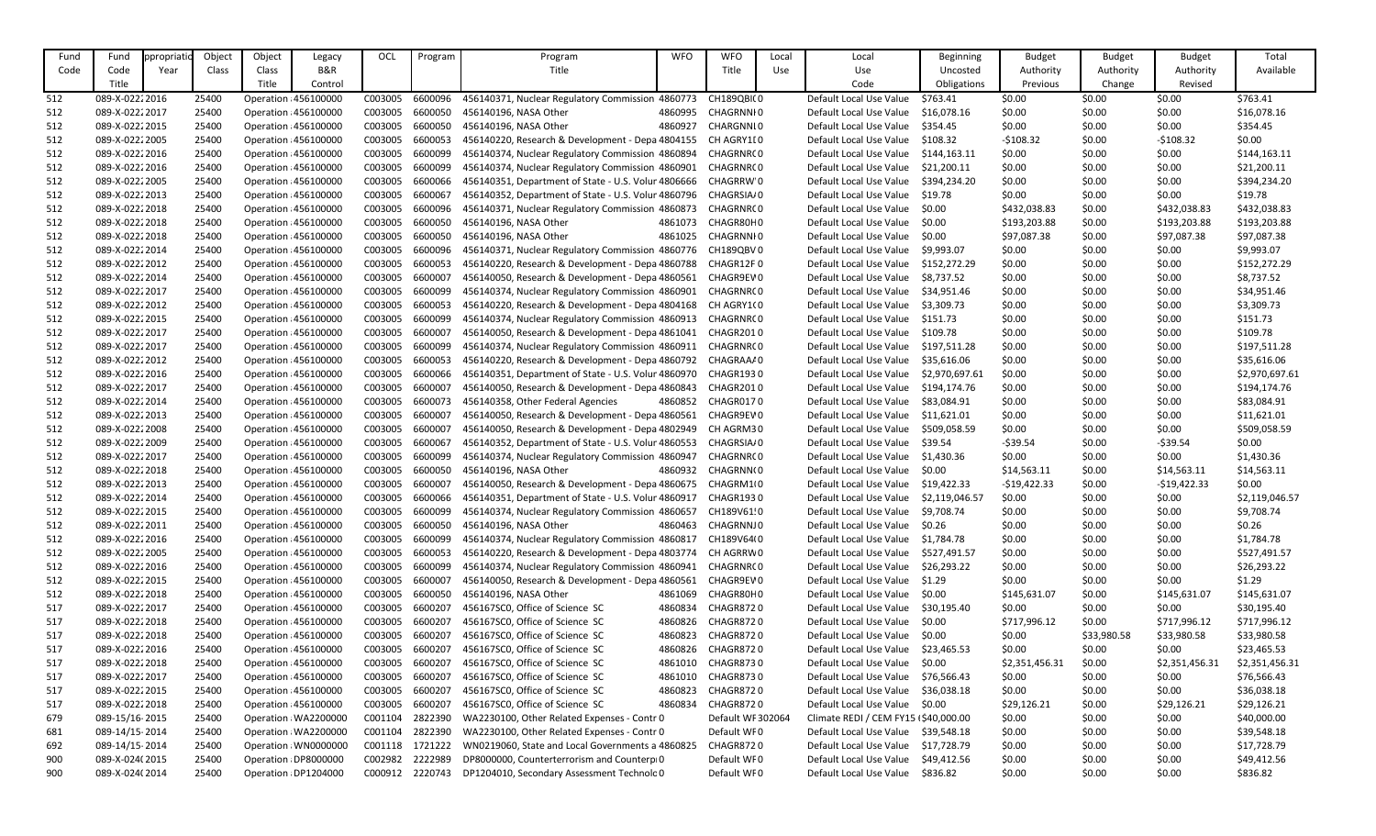| Fund | Fund           | ppropriatio | Object | Object              | Legacy              | OCL             | Program | Program                                             | <b>WFO</b> | <b>WFO</b>         | Local | Local                                                                  | <b>Beginning</b> | <b>Budget</b>         | <b>Budget</b>    | <b>Budget</b>  | Total                      |
|------|----------------|-------------|--------|---------------------|---------------------|-----------------|---------|-----------------------------------------------------|------------|--------------------|-------|------------------------------------------------------------------------|------------------|-----------------------|------------------|----------------|----------------------------|
| Code | Code           | Year        | Class  | Class               | B&R                 |                 |         | Title                                               |            | Title              | Use   | Use                                                                    | Uncosted         | Authority             | Authority        | Authority      | Available                  |
|      | Title          |             |        | Title               | Control             |                 |         |                                                     |            |                    |       | Code                                                                   | Obligations      | Previous              | Change           | Revised        |                            |
| 512  | 089-X-02222016 |             | 25400  | Operation 456100000 |                     | C003005         | 6600096 | 456140371, Nuclear Regulatory Commission 4860773    |            | CH189QBI(0         |       | Default Local Use Value                                                | \$763.41         | \$0.00                | \$0.00           | \$0.00         | \$763.41                   |
| 512  | 089-X-02222017 |             | 25400  | Operation 456100000 |                     | C003005         | 6600050 | 456140196, NASA Other                               | 4860995    | CHAGRNNI 0         |       | Default Local Use Value                                                | \$16,078.16      | \$0.00                | \$0.00           | \$0.00         | \$16,078.16                |
|      |                |             |        |                     |                     |                 |         |                                                     |            |                    |       |                                                                        |                  |                       |                  |                |                            |
| 512  | 089-X-02222015 |             | 25400  | Operation 456100000 |                     | C003005         | 6600050 | 456140196, NASA Other                               | 4860927    | CHARGNNI0          |       | Default Local Use Value                                                | \$354.45         | \$0.00                | \$0.00           | \$0.00         | \$354.45                   |
| 512  | 089-X-02222005 |             | 25400  | Operation 456100000 |                     | C003005         | 6600053 | 456140220, Research & Development - Depa 4804155    |            | CH AGRY1[0         |       | Default Local Use Value                                                | \$108.32         | $-5108.32$            | \$0.00           | $-5108.32$     | \$0.00                     |
| 512  | 089-X-02222016 |             | 25400  | Operation 456100000 |                     | C003005         | 6600099 | 456140374, Nuclear Regulatory Commission 4860894    |            | CHAGRNRC 0         |       | Default Local Use Value                                                | \$144,163.11     | \$0.00                | \$0.00           | \$0.00         | \$144,163.11               |
| 512  | 089-X-02222016 |             | 25400  | Operation 456100000 |                     | C003005         | 6600099 | 456140374, Nuclear Regulatory Commission 4860901    |            | CHAGRNRC0          |       | Default Local Use Value                                                | \$21,200.11      | \$0.00                | \$0.00           | \$0.00         | \$21,200.11                |
| 512  | 089-X-02222005 |             | 25400  | Operation 456100000 |                     | C003005         | 6600066 | 456140351, Department of State - U.S. Volur 4806666 |            | CHAGRRW'0          |       | Default Local Use Value                                                | \$394,234.20     | \$0.00                | \$0.00           | \$0.00         | \$394,234.20               |
| 512  | 089-X-02222013 |             | 25400  | Operation 456100000 |                     | C003005         | 6600067 | 456140352, Department of State - U.S. Volur 4860796 |            | CHAGRSIA/0         |       | Default Local Use Value                                                | \$19.78          | \$0.00                | \$0.00           | \$0.00         | \$19.78                    |
| 512  | 089-X-02222018 |             | 25400  | Operation 456100000 |                     | C003005         | 6600096 | 456140371, Nuclear Regulatory Commission 4860873    |            | CHAGRNRC0          |       | Default Local Use Value                                                | \$0.00           | \$432,038.83          | \$0.00           | \$432,038.83   | \$432,038.83               |
| 512  | 089-X-02222018 |             | 25400  | Operation 456100000 |                     | C003005         | 6600050 | 456140196, NASA Other                               | 4861073    | CHAGR80H0          |       | Default Local Use Value                                                | \$0.00           | \$193,203.88          | \$0.00           | \$193,203.88   | \$193,203.88               |
| 512  | 089-X-02222018 |             | 25400  | Operation 456100000 |                     | C003005         | 6600050 | 456140196, NASA Other                               | 4861025    | CHAGRNNI0          |       | Default Local Use Value                                                | \$0.00           | \$97,087.38           | \$0.00           | \$97,087.38    | \$97,087.38                |
| 512  | 089-X-02222014 |             | 25400  | Operation 456100000 |                     | C003005         | 6600096 | 456140371, Nuclear Regulatory Commission 4860776    |            | CH189QBV0          |       | Default Local Use Value                                                | \$9,993.07       | \$0.00                | \$0.00           | \$0.00         | \$9,993.07                 |
| 512  | 089-X-02222012 |             | 25400  | Operation 456100000 |                     | C003005         | 6600053 | 456140220, Research & Development - Depa 4860788    |            | CHAGR12F0          |       | Default Local Use Value                                                | \$152,272.29     | \$0.00                | \$0.00           | \$0.00         | \$152,272.29               |
| 512  | 089-X-02222014 |             | 25400  | Operation 456100000 |                     | C003005         | 6600007 | 456140050, Research & Development - Depa 4860561    |            | CHAGR9EV0          |       | Default Local Use Value                                                | \$8,737.52       | \$0.00                | \$0.00           | \$0.00         | \$8,737.52                 |
| 512  | 089-X-02222017 |             | 25400  | Operation 456100000 |                     | C003005         | 6600099 | 456140374, Nuclear Regulatory Commission 4860901    |            | CHAGRNRC0          |       | Default Local Use Value                                                | \$34,951.46      | \$0.00                | \$0.00           | \$0.00         | \$34,951.46                |
| 512  | 089-X-02222012 |             | 25400  | Operation 456100000 |                     | C003005         | 6600053 | 456140220, Research & Development - Depa 4804168    |            | CH AGRY1(0         |       | Default Local Use Value                                                | \$3,309.73       | \$0.00                | \$0.00           | \$0.00         | \$3,309.73                 |
| 512  | 089-X-02222015 |             | 25400  | Operation 456100000 |                     | C003005         | 6600099 | 456140374, Nuclear Regulatory Commission 4860913    |            | CHAGRNRC 0         |       | Default Local Use Value                                                | \$151.73         | \$0.00                | \$0.00           | \$0.00         | \$151.73                   |
| 512  | 089-X-02222017 |             | 25400  | Operation 456100000 |                     | C003005         | 6600007 | 456140050, Research & Development - Depa 4861041    |            | CHAGR2010          |       | Default Local Use Value                                                | \$109.78         | \$0.00                | \$0.00           | \$0.00         | \$109.78                   |
| 512  | 089-X-02222017 |             | 25400  | Operation 456100000 |                     | C003005         | 6600099 | 456140374, Nuclear Regulatory Commission 4860911    |            | CHAGRNRC0          |       | Default Local Use Value                                                | \$197,511.28     | \$0.00                | \$0.00           | \$0.00         | \$197,511.28               |
| 512  | 089-X-02222012 |             | 25400  | Operation 456100000 |                     | C003005         | 6600053 | 456140220, Research & Development - Depa 4860792    |            | CHAGRAA <i>l</i> 0 |       | Default Local Use Value                                                | \$35,616.06      | \$0.00                | \$0.00           | \$0.00         | \$35,616.06                |
| 512  | 089-X-02222016 |             | 25400  | Operation 456100000 |                     | C003005         | 6600066 | 456140351, Department of State - U.S. Volur 4860970 |            | CHAGR1930          |       | Default Local Use Value                                                | \$2,970,697.6    | \$0.00                | \$0.00           | \$0.00         | \$2,970,697.61             |
| 512  | 089-X-02222017 |             | 25400  | Operation 456100000 |                     | C003005         | 6600007 | 456140050, Research & Development - Depa 4860843    |            | CHAGR2010          |       | Default Local Use Value                                                | \$194,174.76     | \$0.00                | \$0.00           | \$0.00         | \$194,174.76               |
| 512  | 089-X-02222014 |             | 25400  | Operation 456100000 |                     | C003005         | 6600073 | 456140358, Other Federal Agencies                   | 4860852    | CHAGR0170          |       | Default Local Use Value                                                | \$83,084.91      | \$0.00                | \$0.00           | \$0.00         | \$83,084.91                |
| 512  | 089-X-02222013 |             | 25400  | Operation 456100000 |                     | C003005         | 6600007 | 456140050, Research & Development - Depa 4860561    |            | CHAGR9EV0          |       | Default Local Use Value                                                | \$11,621.01      | \$0.00                | \$0.00           | \$0.00         | \$11,621.01                |
| 512  | 089-X-02222008 |             | 25400  | Operation 456100000 |                     | C003005         | 6600007 | 456140050, Research & Development - Depa 4802949    |            | CH AGRM30          |       | Default Local Use Value                                                | \$509,058.59     | \$0.00                | \$0.00           | \$0.00         | \$509,058.59               |
| 512  | 089-X-02222009 |             | 25400  | Operation 456100000 |                     | C003005         | 6600067 | 456140352, Department of State - U.S. Volur 4860553 |            | CHAGRSIA/0         |       | Default Local Use Value                                                | \$39.54          | $-539.54$             | \$0.00           | $-539.54$      | \$0.00                     |
| 512  | 089-X-02222017 |             | 25400  | Operation 456100000 |                     | C003005         | 6600099 | 456140374, Nuclear Regulatory Commission 4860947    |            | CHAGRNRC0          |       | Default Local Use Value                                                | \$1,430.36       | \$0.00                | \$0.00           | \$0.00         | \$1,430.36                 |
| 512  | 089-X-02222018 |             | 25400  | Operation 456100000 |                     | C003005         | 6600050 | 456140196, NASA Other                               | 4860932    | CHAGRNN(0          |       | Default Local Use Value \$0.00                                         |                  | \$14,563.11           | \$0.00           | \$14,563.11    | \$14,563.11                |
| 512  | 089-X-02222013 |             | 25400  | Operation 456100000 |                     | C003005         | 6600007 | 456140050, Research & Development - Depa 4860675    |            | CHAGRM1(0          |       | Default Local Use Value                                                | \$19,422.33      | -\$19,422.33          | \$0.00           | $-$19,422.33$  | \$0.00                     |
| 512  | 089-X-02222014 |             | 25400  | Operation 456100000 |                     | C003005 6600066 |         | 456140351, Department of State - U.S. Volur 4860917 |            | CHAGR1930          |       | Default Local Use Value                                                | \$2,119,046.57   | \$0.00                | \$0.00           | \$0.00         | \$2,119,046.57             |
| 512  | 089-X-02222015 |             | 25400  | Operation 456100000 |                     | C003005         | 6600099 | 456140374, Nuclear Regulatory Commission 4860657    |            | CH189V61!0         |       | Default Local Use Value                                                | \$9,708.74       | \$0.00                | \$0.00           | \$0.00         | \$9,708.74                 |
| 512  | 089-X-02222011 |             | 25400  | Operation 456100000 |                     | C003005 6600050 |         | 456140196, NASA Other                               | 4860463    | CHAGRNNJ0          |       | Default Local Use Value                                                | \$0.26           | \$0.00                | \$0.00           | \$0.00         | \$0.26                     |
| 512  | 089-X-02222016 |             | 25400  | Operation 456100000 |                     | C003005         | 6600099 | 456140374, Nuclear Regulatory Commission 4860817    |            | CH189V64(0         |       | Default Local Use Value                                                | \$1,784.78       | \$0.00                | \$0.00           | \$0.00         | \$1,784.78                 |
| 512  | 089-X-02222005 |             | 25400  | Operation 456100000 |                     | C003005 6600053 |         | 456140220, Research & Development - Depa 4803774    |            | CH AGRRW0          |       | Default Local Use Value                                                | \$527,491.57     | \$0.00                | \$0.00           | \$0.00         | \$527,491.57               |
| 512  | 089-X-02222016 |             | 25400  | Operation 456100000 |                     | C003005         | 6600099 | 456140374, Nuclear Regulatory Commission 4860941    |            | CHAGRNRC0          |       | Default Local Use Value                                                | \$26,293.22      | \$0.00                | \$0.00           | \$0.00         | \$26,293.22                |
| 512  | 089-X-02222015 |             | 25400  | Operation 456100000 |                     | C003005         | 6600007 | 456140050, Research & Development - Depa 4860561    |            | CHAGR9EV0          |       | Default Local Use Value                                                | \$1.29           | \$0.00                | \$0.00           | \$0.00         | \$1.29                     |
| 512  | 089-X-02222018 |             | 25400  | Operation 456100000 |                     | C003005 6600050 |         | 456140196, NASA Other                               | 4861069    | CHAGR80H0          |       | Default Local Use Value                                                | \$0.00           | \$145,631.07          | \$0.00           | \$145,631.07   | \$145,631.07               |
| 517  | 089-X-02222017 |             | 25400  | Operation 456100000 |                     | C003005         | 6600207 | 456167SC0, Office of Science SC                     | 4860834    | CHAGR8720          |       | Default Local Use Value                                                | \$30,195.40      | \$0.00                | \$0.00           | \$0.00         | \$30,195.40                |
| 517  | 089-X-02222018 |             | 25400  | Operation 456100000 |                     | C003005         | 6600207 | 456167SC0, Office of Science SC                     | 4860826    | CHAGR8720          |       | Default Local Use Value                                                | \$0.00           | \$717,996.12          | \$0.00           | \$717,996.12   | \$717,996.12               |
| 517  | 089-X-02222018 |             | 25400  | Operation 456100000 |                     | C003005         | 6600207 | 456167SC0, Office of Science SC                     | 4860823    | CHAGR8720          |       | Default Local Use Value                                                | \$0.00           | \$0.00                | \$33,980.58      | \$33,980.58    | \$33,980.58                |
| 517  | 089-X-02222016 |             | 25400  | Operation 456100000 |                     | C003005         | 6600207 | 456167SC0, Office of Science SC                     | 4860826    | CHAGR8720          |       | Default Local Use Value                                                | \$23,465.53      | \$0.00                | \$0.00           | \$0.00         | \$23,465.53                |
| 517  | 089-X-02222018 |             | 25400  | Operation 456100000 |                     | C003005         | 6600207 | 456167SC0, Office of Science SC                     | 4861010    | CHAGR8730          |       | Default Local Use Value                                                | \$0.00           | \$2,351,456.31        | \$0.00           | \$2,351,456.31 | \$2,351,456.31             |
| 517  | 089-X-02222017 |             | 25400  | Operation 456100000 |                     | C003005 6600207 |         | 456167SC0, Office of Science SC                     | 4861010    | CHAGR8730          |       | Default Local Use Value                                                | \$76,566.43      | \$0.00                | \$0.00           | \$0.00         | \$76,566.43                |
| 517  | 089-X-02222015 |             | 25400  | Operation 456100000 |                     | C003005         | 6600207 | 456167SC0, Office of Science SC                     | 4860823    | CHAGR8720          |       | Default Local Use Value                                                | \$36,038.18      | \$0.00                | \$0.00           | \$0.00         | \$36,038.18                |
|      | 089-X-02222018 |             | 25400  |                     |                     | C003005 6600207 |         | 456167SC0, Office of Science SC                     | 4860834    | CHAGR8720          |       |                                                                        |                  |                       |                  |                |                            |
| 517  | 089-15/16-2015 |             | 25400  | Operation 456100000 | Operation WA2200000 | C001104         | 2822390 | WA2230100, Other Related Expenses - Contr 0         |            | Default WF 302064  |       | Default Local Use Value \$0.00<br>Climate REDI / CEM FY15 (\$40,000.00 |                  | \$29,126.21<br>\$0.00 | \$0.00<br>\$0.00 | \$29,126.21    | \$29,126.21<br>\$40,000.00 |
| 679  |                |             |        |                     |                     |                 |         |                                                     |            |                    |       |                                                                        |                  |                       |                  | \$0.00         |                            |
| 681  | 089-14/15-2014 |             | 25400  |                     | Operation WA2200000 | C001104         | 2822390 | WA2230100, Other Related Expenses - Contr 0         |            | Default WF0        |       | Default Local Use Value \$39,548.18                                    |                  | \$0.00                | \$0.00           | \$0.00         | \$39,548.18                |
| 692  | 089-14/15-2014 |             | 25400  |                     | Operation WN0000000 | C001118 1721222 |         | WN0219060, State and Local Governments a 4860825    |            | CHAGR8720          |       | Default Local Use Value                                                | \$17,728.79      | \$0.00                | \$0.00           | \$0.00         | \$17,728.79                |
| 900  | 089-X-024(2015 |             | 25400  | Operation DP8000000 |                     | C002982         | 2222989 | DP8000000, Counterterrorism and Counterpi0          |            | Default WF0        |       | Default Local Use Value                                                | \$49,412.56      | \$0.00                | \$0.00           | \$0.00         | \$49,412.56                |
| 900  | 089-X-024(2014 |             | 25400  | Operation DP1204000 |                     | C000912         | 2220743 | DP1204010, Secondary Assessment Technolc 0          |            | Default WF0        |       | Default Local Use Value                                                | \$836.82         | \$0.00                | \$0.00           | \$0.00         | \$836.82                   |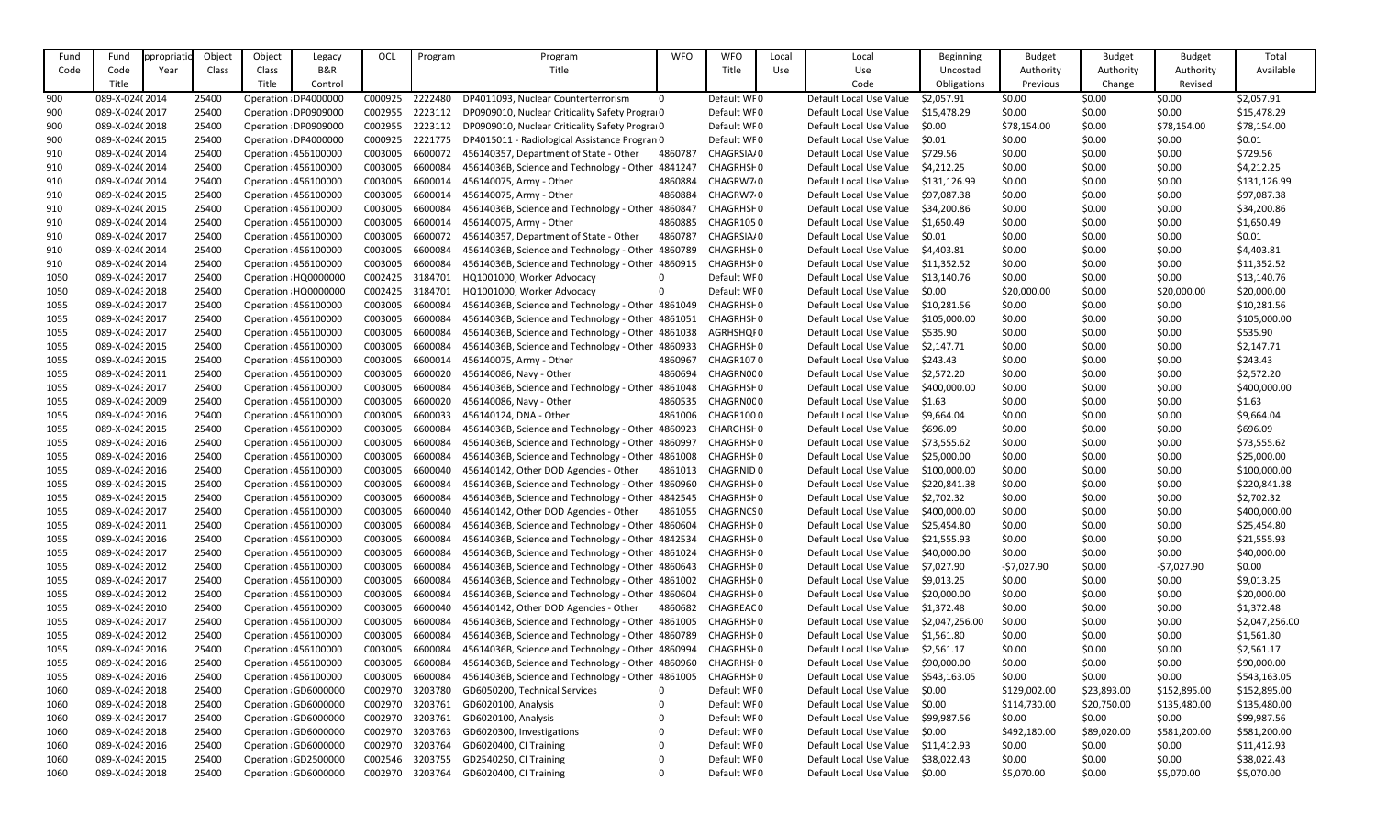| Fund | Fund            | ppropriatio | Object | Object              | Legacy              | OCL     | Program | Program                                           | <b>WFO</b>  | <b>WFO</b>           | Local | Local                                | <b>Beginning</b> | <b>Budget</b> | <b>Budget</b> | <b>Budget</b> | Total          |
|------|-----------------|-------------|--------|---------------------|---------------------|---------|---------|---------------------------------------------------|-------------|----------------------|-------|--------------------------------------|------------------|---------------|---------------|---------------|----------------|
| Code | Code            | Year        | Class  | Class               | <b>B&amp;R</b>      |         |         | Title                                             |             | Title                | Use   | Use                                  | Uncosted         | Authority     | Authority     | Authority     | Available      |
|      | Title           |             |        | Title               | Control             |         |         |                                                   |             |                      |       | Code                                 | Obligations      | Previous      | Change        | Revised       |                |
| 900  | 089-X-024(2014  |             | 25400  | Operation DP4000000 |                     | C000925 | 2222480 | DP4011093, Nuclear Counterterrorism               | $\Omega$    | Default WF0          |       | Default Local Use Value              | \$2,057.91       | \$0.00        | \$0.00        | \$0.00        | \$2,057.91     |
|      |                 |             |        |                     |                     |         |         |                                                   |             |                      |       |                                      |                  |               |               |               |                |
| 900  | 089-X-024(2017  |             | 25400  | Operation DP0909000 |                     | C002955 | 2223112 | DP0909010, Nuclear Criticality Safety Prograi 0   |             | Default WF0          |       | Default Local Use Value              | \$15,478.29      | \$0.00        | \$0.00        | \$0.00        | \$15,478.29    |
| 900  | 089-X-024(2018  |             | 25400  | Operation DP0909000 |                     | C002955 | 2223112 | DP0909010, Nuclear Criticality Safety Prograi 0   |             | Default WF0          |       | Default Local Use Value              | \$0.00           | \$78,154.00   | \$0.00        | \$78,154.00   | \$78,154.00    |
| 900  | 089-X-024(2015  |             | 25400  | Operation DP4000000 |                     | C000925 | 2221775 | DP4015011 - Radiological Assistance Progran 0     |             | Default WF0          |       | Default Local Use Value              | \$0.01           | \$0.00        | \$0.00        | \$0.00        | \$0.01         |
| 910  | 089-X-024(2014  |             | 25400  | Operation 456100000 |                     | C003005 | 6600072 | 456140357, Department of State - Other            | 4860787     | CHAGRSIA/0           |       | Default Local Use Value              | \$729.56         | \$0.00        | \$0.00        | \$0.00        | \$729.56       |
| 910  | 089-X-024(2014  |             | 25400  | Operation 456100000 |                     | C003005 | 6600084 | 45614036B, Science and Technology - Other 4841247 |             | CHAGRHSH0            |       | Default Local Use Value              | \$4,212.25       | \$0.00        | \$0.00        | \$0.00        | \$4,212.25     |
| 910  | 089-X-024(2014  |             | 25400  | Operation 456100000 |                     | C003005 | 6600014 | 456140075, Army - Other                           | 4860884     | CHAGRW7 <sub>0</sub> |       | Default Local Use Value              | \$131,126.99     | \$0.00        | \$0.00        | \$0.00        | \$131,126.99   |
| 910  | 089-X-024(2015  |             | 25400  | Operation 456100000 |                     | C003005 | 6600014 | 456140075, Army - Other                           | 4860884     | CHAGRW7 <sub>0</sub> |       | Default Local Use Value              | \$97,087.38      | \$0.00        | \$0.00        | \$0.00        | \$97,087.38    |
| 910  | 089-X-024(2015  |             | 25400  | Operation 456100000 |                     | C003005 | 6600084 | 45614036B, Science and Technology - Other 4860847 |             | CHAGRHSH0            |       | Default Local Use Value              | \$34,200.86      | \$0.00        | \$0.00        | \$0.00        | \$34,200.86    |
| 910  | 089-X-024(2014  |             | 25400  | Operation 456100000 |                     | C003005 | 6600014 | 456140075, Army - Other                           | 4860885     | <b>CHAGR1050</b>     |       | Default Local Use Value              | \$1,650.49       | \$0.00        | \$0.00        | \$0.00        | \$1,650.49     |
| 910  | 089-X-024(2017  |             | 25400  | Operation 456100000 |                     | C003005 | 6600072 | 456140357, Department of State - Other            | 4860787     | CHAGRSIA/0           |       | Default Local Use Value              | S0.01            | \$0.00        | \$0.00        | \$0.00        | \$0.01         |
| 910  | 089-X-024(2014  |             | 25400  | Operation 456100000 |                     | C003005 | 6600084 | 45614036B, Science and Technology - Other 4860789 |             | CHAGRHSH0            |       | Default Local Use Value              | \$4,403.81       | \$0.00        | \$0.00        | \$0.00        | \$4,403.81     |
| 910  | 089-X-024(2014  |             | 25400  | Operation 456100000 |                     | C003005 | 6600084 | 45614036B, Science and Technology - Other 4860915 |             | CHAGRHSH0            |       | Default Local Use Value              | \$11,352.52      | \$0.00        | \$0.00        | \$0.00        | \$11,352.52    |
| 1050 | 089-X-024: 2017 |             | 25400  |                     | Operation HQ0000000 | C002425 | 3184701 | HQ1001000, Worker Advocacy                        | $\mathbf 0$ | Default WF0          |       | Default Local Use Value              | \$13,140.76      | \$0.00        | \$0.00        | \$0.00        | \$13,140.76    |
| 1050 | 089-X-0243 2018 |             | 25400  | Operation HQ0000000 |                     | C002425 | 3184701 | HQ1001000, Worker Advocacy                        | $\Omega$    | Default WF0          |       | Default Local Use Value              | \$0.00           | \$20,000.00   | \$0.00        | \$20,000.00   | \$20,000.00    |
| 1055 | 089-X-024: 2017 |             | 25400  | Operation 456100000 |                     | C003005 | 6600084 | 45614036B, Science and Technology - Other 4861049 |             | CHAGRHSH0            |       | Default Local Use Value              | \$10,281.56      | \$0.00        | \$0.00        | \$0.00        | \$10,281.56    |
| 1055 | 089-X-02432017  |             | 25400  | Operation 456100000 |                     | C003005 | 6600084 | 45614036B, Science and Technology - Other 4861051 |             | CHAGRHSH0            |       | Default Local Use Value              | \$105,000.00     | \$0.00        | \$0.00        | \$0.00        | \$105,000.00   |
|      |                 |             |        |                     |                     |         |         |                                                   |             |                      |       |                                      |                  |               |               |               |                |
| 1055 | 089-X-024: 2017 |             | 25400  | Operation 456100000 |                     | C003005 | 6600084 | 45614036B, Science and Technology - Other 4861038 |             | AGRHSHQI0            |       | Default Local Use Value              | \$535.90         | \$0.00        | \$0.00        | \$0.00        | \$535.90       |
| 1055 | 089-X-0243 2015 |             | 25400  | Operation 456100000 |                     | C003005 | 6600084 | 45614036B, Science and Technology - Other 4860933 |             | CHAGRHSH0            |       | Default Local Use Value              | \$2,147.71       | \$0.00        | \$0.00        | \$0.00        | \$2,147.71     |
| 1055 | 089-X-0243 2015 |             | 25400  | Operation 456100000 |                     | C003005 | 6600014 | 456140075, Army - Other                           | 4860967     | <b>CHAGR1070</b>     |       | Default Local Use Value              | \$243.43         | \$0.00        | \$0.00        | \$0.00        | \$243.43       |
| 1055 | 089-X-024: 2011 |             | 25400  | Operation 456100000 |                     | C003005 | 6600020 | 456140086, Navy - Other                           | 4860694     | CHAGRN000            |       | Default Local Use Value              | \$2,572.20       | \$0.00        | \$0.00        | \$0.00        | \$2,572.20     |
| 1055 | 089-X-024: 2017 |             | 25400  | Operation 456100000 |                     | C003005 | 6600084 | 45614036B, Science and Technology - Other 4861048 |             | CHAGRHSH0            |       | Default Local Use Value              | \$400,000.00     | \$0.00        | \$0.00        | \$0.00        | \$400,000.00   |
| 1055 | 089-X-024: 2009 |             | 25400  | Operation 456100000 |                     | C003005 | 6600020 | 456140086, Navy - Other                           | 4860535     | CHAGRN000            |       | Default Local Use Value              | \$1.63           | \$0.00        | \$0.00        | \$0.00        | \$1.63         |
| 1055 | 089-X-0243 2016 |             | 25400  | Operation 456100000 |                     | C003005 | 6600033 | 456140124, DNA - Other                            | 4861006     | CHAGR1000            |       | Default Local Use Value              | \$9,664.04       | \$0.00        | \$0.00        | \$0.00        | \$9,664.04     |
| 1055 | 089-X-0243 2015 |             | 25400  | Operation 456100000 |                     | C003005 | 6600084 | 45614036B, Science and Technology - Other 4860923 |             | CHARGHSH0            |       | Default Local Use Value              | \$696.09         | \$0.00        | \$0.00        | \$0.00        | \$696.09       |
| 1055 | 089-X-0243 2016 |             | 25400  | Operation 456100000 |                     | C003005 | 6600084 | 45614036B, Science and Technology - Other 4860997 |             | CHAGRHSH0            |       | Default Local Use Value              | \$73,555.62      | \$0.00        | \$0.00        | \$0.00        | \$73,555.62    |
| 1055 | 089-X-0243 2016 |             | 25400  | Operation 456100000 |                     | C003005 | 6600084 | 45614036B, Science and Technology - Other 4861008 |             | CHAGRHSH0            |       | Default Local Use Value              | \$25,000.00      | \$0.00        | \$0.00        | \$0.00        | \$25,000.00    |
| 1055 | 089-X-0243 2016 |             | 25400  | Operation 456100000 |                     | C003005 | 6600040 | 456140142, Other DOD Agencies - Other             |             | 4861013 CHAGRNID 0   |       | Default Local Use Value \$100,000.00 |                  | \$0.00        | \$0.00        | \$0.00        | \$100,000.00   |
| 1055 | 089-X-024: 2015 |             | 25400  | Operation 456100000 |                     | C003005 | 6600084 | 45614036B, Science and Technology - Other 4860960 |             | CHAGRHSH 0           |       | Default Local Use Value              | \$220,841.38     | \$0.00        | \$0.00        | \$0.00        | \$220,841.38   |
| 1055 | 089-X-02432015  |             | 25400  | Operation 456100000 |                     | C003005 | 6600084 | 45614036B, Science and Technology - Other 4842545 |             | CHAGRHSH 0           |       | Default Local Use Value              | \$2,702.32       | \$0.00        | \$0.00        | \$0.00        | \$2,702.32     |
| 1055 | 089-X-024: 2017 |             | 25400  | Operation 456100000 |                     | C003005 | 6600040 | 456140142, Other DOD Agencies - Other             | 4861055     | CHAGRNCS 0           |       | Default Local Use Value              | \$400,000.00     | \$0.00        | \$0.00        | \$0.00        | \$400,000.00   |
| 1055 | 089-X-0243 2011 |             | 25400  | Operation 456100000 |                     | C003005 | 6600084 | 45614036B, Science and Technology - Other 4860604 |             | CHAGRHSH0            |       | Default Local Use Value              | \$25,454.80      | \$0.00        | \$0.00        | \$0.00        | \$25,454.80    |
| 1055 | 089-X-0243 2016 |             | 25400  | Operation 456100000 |                     | C003005 | 6600084 | 45614036B, Science and Technology - Other 4842534 |             | CHAGRHSH0            |       | Default Local Use Value              | \$21,555.93      | \$0.00        | \$0.00        | \$0.00        | \$21,555.93    |
| 1055 | 089-X-024: 2017 |             | 25400  | Operation 456100000 |                     | C003005 | 6600084 | 45614036B, Science and Technology - Other 4861024 |             | CHAGRHSH0            |       | Default Local Use Value              | \$40,000.00      | \$0.00        | \$0.00        | \$0.00        | \$40,000.00    |
| 1055 | 089-X-0243 2012 |             | 25400  | Operation 456100000 |                     | C003005 | 6600084 | 45614036B, Science and Technology - Other 4860643 |             | CHAGRHSH0            |       | Default Local Use Value              | \$7,027.90       | -\$7,027.90   | \$0.00        | $-57,027.90$  | \$0.00         |
| 1055 | 089-X-024: 2017 |             | 25400  | Operation 456100000 |                     | C003005 | 6600084 | 45614036B, Science and Technology - Other 4861002 |             | CHAGRHSH0            |       | Default Local Use Value              | \$9,013.25       | \$0.00        | \$0.00        | \$0.00        | \$9,013.25     |
| 1055 | 089-X-0243 2012 |             | 25400  | Operation 456100000 |                     | C003005 | 6600084 | 45614036B, Science and Technology - Other 4860604 |             | CHAGRHSH 0           |       | Default Local Use Value              | \$20,000.00      | \$0.00        | \$0.00        | \$0.00        | \$20,000.00    |
| 1055 | 089-X-02432010  |             | 25400  | Operation 456100000 |                     | C003005 | 6600040 | 456140142, Other DOD Agencies - Other             | 4860682     | CHAGREAC0            |       | Default Local Use Value              | \$1,372.48       | \$0.00        | \$0.00        | \$0.00        | \$1,372.48     |
|      | 089-X-024: 2017 |             | 25400  | Operation 456100000 |                     | C003005 | 6600084 | 45614036B, Science and Technology - Other 4861005 |             | CHAGRHSH0            |       | Default Local Use Value              | \$2,047,256.00   | \$0.00        | \$0.00        | \$0.00        | \$2,047,256.00 |
| 1055 |                 |             |        |                     |                     | C003005 |         |                                                   |             |                      |       |                                      |                  |               |               |               |                |
| 1055 | 089-X-02432012  |             | 25400  | Operation 456100000 |                     |         | 6600084 | 45614036B, Science and Technology - Other 4860789 |             | CHAGRHSH0            |       | Default Local Use Value              | \$1,561.80       | \$0.00        | \$0.00        | \$0.00        | \$1,561.80     |
| 1055 | 089-X-0243 2016 |             | 25400  | Operation 456100000 |                     | C003005 | 6600084 | 45614036B, Science and Technology - Other 4860994 |             | CHAGRHSH0            |       | Default Local Use Value              | \$2,561.17       | \$0.00        | \$0.00        | \$0.00        | \$2,561.17     |
| 1055 | 089-X-0243 2016 |             | 25400  | Operation 456100000 |                     | C003005 | 6600084 | 45614036B, Science and Technology - Other 4860960 |             | CHAGRHSH0            |       | Default Local Use Value              | \$90,000.00      | \$0.00        | \$0.00        | \$0.00        | \$90,000.00    |
| 1055 | 089-X-0243 2016 |             | 25400  | Operation 456100000 |                     | C003005 | 6600084 | 45614036B, Science and Technology - Other 4861005 |             | CHAGRHSH0            |       | Default Local Use Value \$543,163.05 |                  | \$0.00        | \$0.00        | \$0.00        | \$543,163.05   |
| 1060 | 089-X-0243 2018 |             | 25400  |                     | Operation GD6000000 | C002970 | 3203780 | GD6050200, Technical Services                     | 0           | Default WF0          |       | Default Local Use Value              | \$0.00           | \$129,002.00  | \$23,893.00   | \$152,895.00  | \$152,895.00   |
| 1060 | 089-X-0243 2018 |             | 25400  |                     | Operation GD6000000 | C002970 | 3203761 | GD6020100, Analysis                               | 0           | Default WF0          |       | Default Local Use Value              | \$0.00           | \$114,730.00  | \$20,750.00   | \$135,480.00  | \$135,480.00   |
| 1060 | 089-X-024: 2017 |             | 25400  |                     | Operation GD6000000 | C002970 | 3203761 | GD6020100, Analysis                               | 0           | Default WF0          |       | Default Local Use Value              | \$99,987.56      | \$0.00        | \$0.00        | \$0.00        | \$99,987.56    |
| 1060 | 089-X-0243 2018 |             | 25400  |                     | Operation GD6000000 | C002970 | 3203763 | GD6020300, Investigations                         |             | Default WF0          |       | Default Local Use Value              | \$0.00           | \$492,180.00  | \$89,020.00   | \$581,200.00  | \$581,200.00   |
| 1060 | 089-X-0243 2016 |             | 25400  |                     | Operation GD6000000 | C002970 | 3203764 | GD6020400, CI Training                            |             | Default WF0          |       | Default Local Use Value              | \$11,412.93      | \$0.00        | \$0.00        | \$0.00        | \$11,412.93    |
| 1060 | 089-X-0243 2015 |             | 25400  |                     | Operation GD2500000 | C002546 | 3203755 | GD2540250, CI Training                            | 0           | Default WF0          |       | Default Local Use Value              | \$38,022.43      | \$0.00        | \$0.00        | \$0.00        | \$38,022.43    |
| 1060 | 089-X-024: 2018 |             | 25400  |                     | Operation GD6000000 | C002970 | 3203764 | GD6020400, CI Training                            | 0           | Default WF0          |       | Default Local Use Value              | \$0.00           | \$5,070.00    | \$0.00        | \$5,070.00    | \$5,070.00     |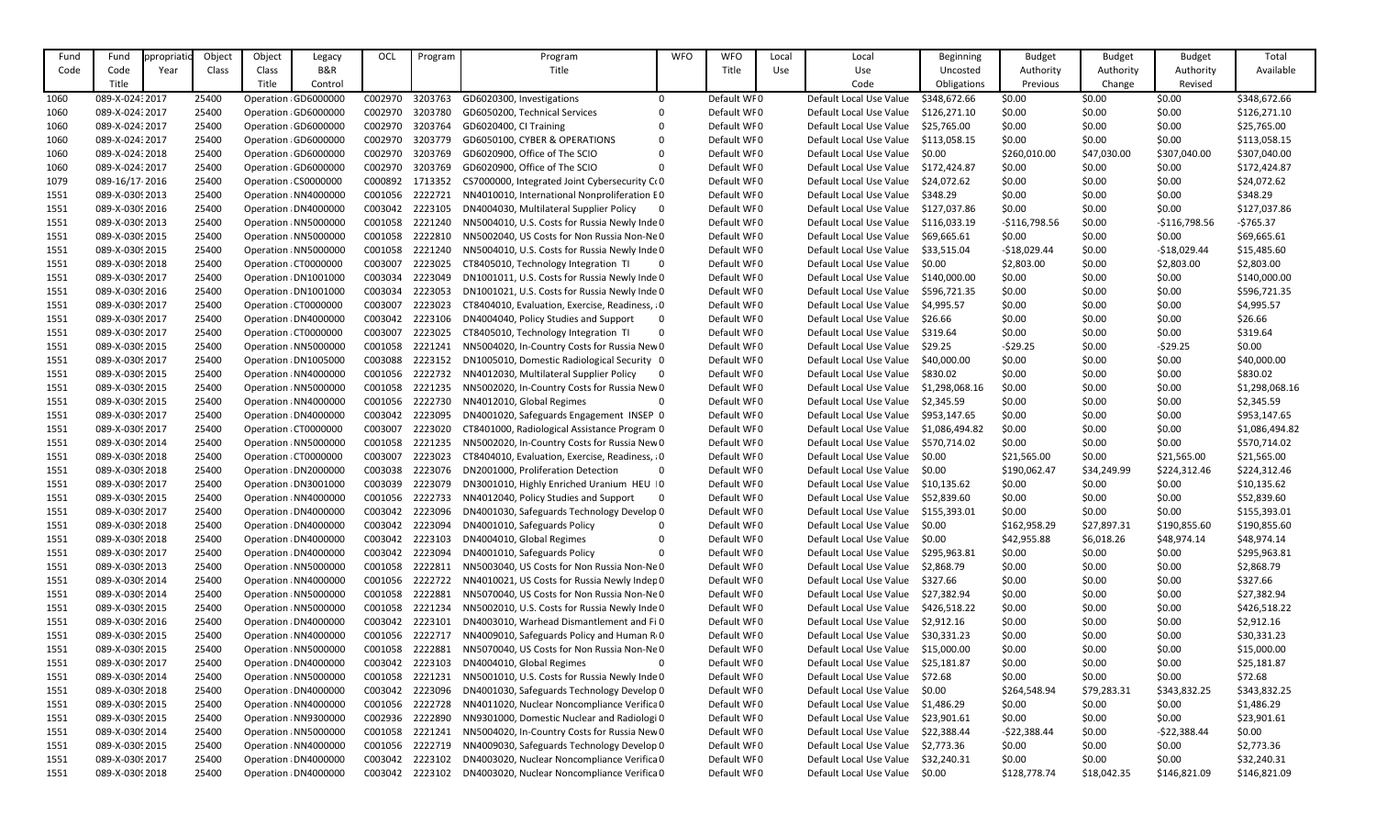| B&R<br>Title<br>Authority<br>Available<br>Code<br>Code<br>Year<br>Class<br>Class<br>Title<br>Use<br>Use<br>Uncosted<br>Authority<br>Authority<br>Title<br>Code<br>Revised<br>Title<br>Control<br>Obligations<br>Change<br>Previous<br>\$0.00<br>\$0.00<br>\$0.00<br>\$348,672.66<br>089-X-024: 2017<br>25400<br>Operation GD6000000<br>C002970<br>3203763<br>Default WF0<br>Default Local Use Value<br>\$348,672.66<br>GD6020300, Investigations<br>$\mathbf{0}$<br>089-X-024:2017<br>25400<br>C002970<br>3203780<br>GD6050200, Technical Services<br>Default WF0<br>\$0.00<br>\$0.00<br>\$126,271.10<br>Operation GD6000000<br>Default Local Use Value<br>\$126,271.10<br>\$0.00<br>1060<br>25400<br>C002970<br>\$0.00<br>\$0.00<br>\$25,765.00<br>089-X-024: 2017<br>3203764<br>GD6020400, CI Training<br>Default WF0<br>Default Local Use Value<br>\$25,765.00<br>\$0.00<br>Operation GD6000000<br>25400<br>\$0.00<br>\$0.00<br>089-X-024: 2017<br>C002970<br>3203779<br>GD6050100, CYBER & OPERATIONS<br>Default WF0<br>Default Local Use Value<br>\$0.00<br>\$113,058.15<br>Operation GD6000000<br>0<br>\$113,058.15<br>25400<br>C002970<br>GD6020900, Office of The SCIO<br>\$47,030.00<br>\$307,040.00<br>\$307,040.00<br>089-X-02432018<br>Operation GD6000000<br>3203769<br>Default WF0<br>Default Local Use Value<br>\$260,010.00<br>1060<br>0<br>\$0.00<br>GD6020900, Office of The SCIO<br>Default WF0<br>\$0.00<br>\$172,424.87<br>089-X-024: 2017<br>25400<br>Operation GD6000000<br>C002970<br>3203769<br>$\Omega$<br>Default Local Use Value<br>\$172,424.87<br>\$0.00<br>\$0.00<br>25400<br>C000892<br>Default WF0<br>\$0.00<br>\$24,072.62<br>089-16/17-2016<br>Operation CS0000000<br>1713352<br>CS7000000, Integrated Joint Cybersecurity C(0<br>Default Local Use Value<br>\$24,072.62<br>\$0.00<br>\$0.00<br>25400<br>NN4010010, International Nonproliferation E0<br>Default WF0<br>\$0.00<br>\$348.29<br>089-X-0309 2013<br>Operation NN4000000<br>C001056<br>2222721<br>Default Local Use Value<br>\$0.00<br>\$0.00<br>\$348.29<br>25400<br>C003042<br>2223105<br>\$0.00<br>\$0.00<br>\$127,037.86<br>089-X-0309 2016<br>DN4004030, Multilateral Supplier Policy<br>Default WF0<br>Default Local Use Value<br>\$127,037.86<br>\$0.00<br>Operation DN4000000<br>$\bf{0}$<br>25400<br>NN5004010, U.S. Costs for Russia Newly Inde 0<br>\$0.00<br>$-5765.37$<br>089-X-0309 2013<br>C001058<br>2221240<br>Default WF0<br>Default Local Use Value<br>$-$116,798.56$<br>$-$116,798.56$<br>Operation NN5000000<br>\$116,033.19<br>25400<br>C001058<br>2222810<br>Default WF0<br>\$0.00<br>\$0.00<br>\$0.00<br>\$69,665.61<br>089-X-0309 2015<br>Operation NN5000000<br>NN5002040, US Costs for Non Russia Non-Ne 0<br>Default Local Use Value<br>\$69,665.61<br>2221240<br>089-X-0309 2015<br>25400<br>C001058<br>NN5004010, U.S. Costs for Russia Newly Inde 0<br>Default WF0<br>Default Local Use Value<br>$-$18,029.44$<br>\$0.00<br>$-$18,029.44$<br>\$15,485.60<br>Operation NN5000000<br>\$33,515.04<br>25400<br>C003007<br>2223025<br>Default WF0<br>\$2,803.00<br>089-X-0309 2018<br>CT8405010, Technology Integration TI<br>Default Local Use Value<br>\$2,803.00<br>\$0.00<br>\$2,803.00<br>Operation CT0000000<br>\$0.00<br>DN1001011, U.S. Costs for Russia Newly Inde 0<br>Default WF0<br>\$0.00<br>\$140,000.00<br>089-X-0309 2017<br>25400<br>C003034<br>2223049<br>Default Local Use Value<br>\$0.00<br>\$0.00<br>Operation DN1001000<br>\$140,000.00<br>25400<br>C003034<br>2223053<br>\$0.00<br>\$0.00<br>\$0.00<br>089-X-0309 2016<br>DN1001021, U.S. Costs for Russia Newly Inde 0<br>Default WF0<br>Default Local Use Value<br>\$596,721.35<br>\$596,721.35<br>Operation DN1001000<br>2223023<br>\$0.00<br>\$4,995.57<br>089-X-0309 2017<br>25400<br>C003007<br>CT8404010, Evaluation, Exercise, Readiness, a 0<br>Default WF0<br>Default Local Use Value<br>\$0.00<br>\$0.00<br>Operation CT0000000<br>\$4,995.57<br>\$26.66<br>25400<br>C003042<br>2223106<br>Default WF0<br>\$0.00<br>\$0.00<br>089-X-0309 2017<br>Operation DN4000000<br>DN4004040, Policy Studies and Support<br>Default Local Use Value<br>\$26.66<br>\$0.00<br>$\overline{0}$<br>\$319.64<br>25400<br>C003007<br>2223025<br>Default WF0<br>\$0.00<br>\$0.00<br>\$0.00<br>089-X-0309 2017<br>Operation CT0000000<br>CT8405010, Technology Integration TI<br>Default Local Use Value<br>\$319.64<br>\$0.00<br>25400<br>C001058<br>2221241<br>NN5004020, In-Country Costs for Russia New 0<br>Default WF0<br>$-529.25$<br>089-X-0309 2015<br>Operation NN5000000<br>Default Local Use Value<br>\$29.25<br>$-529.25$<br>\$0.00<br>25400<br>C003088<br>2223152<br>\$0.00<br>\$0.00<br>\$0.00<br>\$40,000.00<br>089-X-0309 2017<br>DN1005010, Domestic Radiological Security 0<br>Default WF0<br>Default Local Use Value<br>Operation DN1005000<br>\$40,000.00<br>25400<br>C001056<br>2222732<br>NN4012030, Multilateral Supplier Policy<br>Default WF0<br>\$0.00<br>\$0.00<br>\$830.02<br>089-X-0309 2015<br>Operation NN4000000<br>Default Local Use Value<br>\$830.02<br>\$0.00<br>25400<br>C001058<br>2221235<br>NN5002020, In-Country Costs for Russia New 0<br>Default WF0<br>\$0.00<br>\$0.00<br>\$0.00<br>\$1,298,068.16<br>089-X-0309 2015<br>Operation NN5000000<br>Default Local Use Value<br>\$1,298,068.16<br>25400<br>C001056<br>2222730<br>\$0.00<br>\$0.00<br>\$2,345.59<br>089-X-0309 2015<br>Operation NN4000000<br>NN4012010, Global Regimes<br>Default WF0<br>Default Local Use Value<br>\$2,345.59<br>\$0.00<br>25400<br>C003042<br>2223095<br>DN4001020, Safeguards Engagement INSEP 0<br>Default WF0<br>\$0.00<br>\$953,147.65<br>089-X-0309 2017<br>Operation DN4000000<br>Default Local Use Value<br>\$0.00<br>\$0.00<br>\$953,147.65<br>25400<br>C003007<br>\$0.00<br>\$0.00<br>\$1,086,494.82<br>089-X-0309 2017<br>2223020<br>CT8401000, Radiological Assistance Program 0<br>Default WF0<br>Default Local Use Value<br>\$0.00<br>Operation CT0000000<br>\$1,086,494.82<br>25400<br>C001058<br>2221235<br>\$0.00<br>\$0.00<br>\$0.00<br>\$570,714.02<br>089-X-0309 2014<br>Operation NN5000000<br>NN5002020, In-Country Costs for Russia New 0<br>Default WF0<br>Default Local Use Value<br>\$570,714.02<br>\$21,565.00<br>25400<br>C003007<br>2223023<br>CT8404010, Evaluation, Exercise, Readiness, a0<br>089-X-0309 2018<br>Operation CT0000000<br>Default WF0<br>Default Local Use Value<br>\$21,565.00<br>\$0.00<br>\$21,565.00<br>S0.00<br>25400<br>C003038<br>2223076<br>DN2001000, Proliferation Detection<br>\$190,062.47<br>\$34,249.99<br>\$224,312.46<br>089-X-0309 2018<br>Operation DN2000000<br>Default WF0<br>Default Local Use Value \$0.00<br>\$224,312.46<br>$\mathbf{0}$<br>C003039<br>\$10,135.62<br>25400<br>1551<br>089-X-0309 2017<br>Operation DN3001000<br>2223079<br>DN3001010, Highly Enriched Uranium HEU 10<br>Default WF0<br>Default Local Use Value<br>\$10,135.62<br>\$0.00<br>\$0.00<br>\$0.00<br>25400<br>NN4012040, Policy Studies and Support<br>\$0.00<br>\$52,839.60<br>089-X-0309 2015<br>Operation NN4000000<br>C001056<br>2222733<br>Default WF0<br>Default Local Use Value<br>\$0.00<br>\$0.00<br>$\mathbf 0$<br>\$52,839.60<br>C003042<br>2223096<br>\$155,393.01<br>089-X-0309 2017<br>25400<br>Operation DN4000000<br>DN4001030, Safeguards Technology Develop 0<br>Default WF0<br>Default Local Use Value<br>\$155,393.01<br>\$0.00<br>\$0.00<br>\$0.00<br>C003042<br>2223094<br>DN4001010, Safeguards Policy<br>\$27,897.31<br>\$190,855.60<br>089-X-0309 2018<br>25400<br>Operation DN4000000<br>Default WF0<br>Default Local Use Value<br>\$162,958.29<br>\$190,855.60<br>0<br>\$0.00<br>2223103<br>DN4004010, Global Regimes<br>\$48,974.14<br>25400<br>C003042<br>Default WF0<br>Default Local Use Value<br>\$42,955.88<br>\$6,018.26<br>\$48,974.14<br>089-X-0309 2018<br>Operation DN4000000<br>\$0.00<br>089-X-0309 2017<br>25400<br>C003042 2223094<br>DN4001010, Safeguards Policy<br>Default WF0<br>Default Local Use Value<br>\$0.00<br>\$0.00<br>\$0.00<br>\$295,963.81<br>Operation DN4000000<br>0<br>\$295,963.81<br>C001058<br>2222811<br>\$2,868.79<br>089-X-0309 2013<br>25400<br>Operation NN5000000<br>NN5003040, US Costs for Non Russia Non-Ne0<br>Default WF0<br>Default Local Use Value<br>\$0.00<br>\$0.00<br>\$0.00<br>\$2,868.79<br>\$327.66<br>089-X-0309 2014<br>25400<br>Operation NN4000000<br>C001056<br>2222722<br>NN4010021, US Costs for Russia Newly Indep 0<br>Default WF0<br>Default Local Use Value<br>\$327.66<br>\$0.00<br>\$0.00<br>\$0.00<br>25400<br>C001058 2222881<br>NN5070040, US Costs for Non Russia Non-Ne0<br>\$27,382.94<br>089-X-0309 2014<br>Default WF0<br>Default Local Use Value<br>\$27,382.94<br>\$0.00<br>\$0.00<br>\$0.00<br>Operation NN5000000<br>2221234<br>NN5002010, U.S. Costs for Russia Newly Inde 0<br>\$426,518.22<br>089-X-0309 2015<br>25400<br>Operation NN5000000<br>C001058<br>Default WF0<br>Default Local Use Value<br>\$0.00<br>\$0.00<br>\$0.00<br>\$426,518.22<br>2223101<br>\$2,912.16<br>089-X-0309 2016<br>25400<br>C003042<br>DN4003010, Warhead Dismantlement and Fi 0<br>Default WF0<br>Default Local Use Value<br>\$0.00<br>\$0.00<br>\$0.00<br>Operation DN4000000<br>\$2,912.16<br>\$30,331.23<br>089-X-0309 2015<br>25400<br>C001056<br>2222717<br>NN4009010, Safeguards Policy and Human RO<br>Default WF0<br>Default Local Use Value<br>\$0.00<br>\$0.00<br>\$0.00<br>Operation NN4000000<br>\$30,331.23<br>2222881<br>NN5070040, US Costs for Non Russia Non-Ne0<br>\$15,000.00<br>089-X-0309 2015<br>25400<br>Operation NN5000000<br>C001058<br>Default WF0<br>Default Local Use Value<br>\$0.00<br>\$0.00<br>\$0.00<br>\$15,000.00<br>2223103<br>25400<br>C003042<br>DN4004010, Global Regimes<br>Default WF0<br>Default Local Use Value<br>\$0.00<br>\$0.00<br>\$0.00<br>\$25,181.87<br>089-X-0309 2017<br>Operation DN4000000<br>\$25,181.87<br>0<br>C001058<br>2221231<br>NN5001010, U.S. Costs for Russia Newly Inde 0<br>\$72.68<br>089-X-0309 2014<br>25400<br>Operation NN5000000<br>Default WF0<br>Default Local Use Value<br>\$0.00<br>\$0.00<br>\$0.00<br>\$72.68<br>DN4001030, Safeguards Technology Develop 0<br>\$343,832.25<br>089-X-0309 2018<br>25400<br>C003042<br>2223096<br>Default WF0<br>Default Local Use Value<br>\$264,548.94<br>\$79,283.31<br>\$343,832.25<br>Operation DN4000000<br>\$0.00<br>\$0.00<br>\$1,486.29<br>25400<br>C001056 2222728<br>NN4011020, Nuclear Noncompliance Verifica 0<br>Default WF0<br>Default Local Use Value<br>\$0.00<br>\$0.00<br>089-X-0309 2015<br>Operation NN4000000<br>\$1,486.29<br>2222890<br>089-X-0309 2015<br>25400<br>C002936<br>NN9301000, Domestic Nuclear and Radiologi 0<br>Default WF0<br>Default Local Use Value<br>\$0.00<br>\$0.00<br>\$0.00<br>\$23,901.61<br>Operation NN9300000<br>\$23,901.61<br>C001058<br>NN5004020, In-Country Costs for Russia New 0<br>\$0.00<br>089-X-0309 2014<br>25400<br>2221241<br>Default WF0<br>Default Local Use Value<br>\$22,388.44<br>$-522,388.44$<br>\$0.00<br>$-522,388.44$<br>Operation NN5000000<br>2222719<br>\$0.00<br>\$2,773.36<br>089-X-0309 2015<br>25400<br>C001056<br>NN4009030, Safeguards Technology Develop 0<br>Default WF0<br>\$0.00<br>\$0.00<br>Operation NN4000000<br>Default Local Use Value<br>\$2,773.36<br>2223102<br>DN4003020, Nuclear Noncompliance Verifica 0<br>\$32,240.31<br>089-X-0309 2017<br>25400<br>Operation DN4000000<br>C003042<br>Default WF0<br>Default Local Use Value<br>\$0.00<br>\$0.00<br>\$0.00<br>\$32,240.31<br>25400<br>Operation DN4000000<br>C003042<br>2223102<br>DN4003020, Nuclear Noncompliance Verifica 0<br>Default Local Use Value<br>\$128,778.74<br>\$18,042.35<br>\$146,821.09<br>\$146,821.09<br>089-X-0309 2018<br>Default WF0<br>\$0.00<br>1551 | Fund | Fund | ppropriatio | Object | Object | Legacy | OCL | Program | Program | <b>WFO</b> | <b>WFO</b> | Local | Local | <b>Beginning</b> | <b>Budget</b> | <b>Budget</b> | <b>Budget</b> | Total |
|----------------------------------------------------------------------------------------------------------------------------------------------------------------------------------------------------------------------------------------------------------------------------------------------------------------------------------------------------------------------------------------------------------------------------------------------------------------------------------------------------------------------------------------------------------------------------------------------------------------------------------------------------------------------------------------------------------------------------------------------------------------------------------------------------------------------------------------------------------------------------------------------------------------------------------------------------------------------------------------------------------------------------------------------------------------------------------------------------------------------------------------------------------------------------------------------------------------------------------------------------------------------------------------------------------------------------------------------------------------------------------------------------------------------------------------------------------------------------------------------------------------------------------------------------------------------------------------------------------------------------------------------------------------------------------------------------------------------------------------------------------------------------------------------------------------------------------------------------------------------------------------------------------------------------------------------------------------------------------------------------------------------------------------------------------------------------------------------------------------------------------------------------------------------------------------------------------------------------------------------------------------------------------------------------------------------------------------------------------------------------------------------------------------------------------------------------------------------------------------------------------------------------------------------------------------------------------------------------------------------------------------------------------------------------------------------------------------------------------------------------------------------------------------------------------------------------------------------------------------------------------------------------------------------------------------------------------------------------------------------------------------------------------------------------------------------------------------------------------------------------------------------------------------------------------------------------------------------------------------------------------------------------------------------------------------------------------------------------------------------------------------------------------------------------------------------------------------------------------------------------------------------------------------------------------------------------------------------------------------------------------------------------------------------------------------------------------------------------------------------------------------------------------------------------------------------------------------------------------------------------------------------------------------------------------------------------------------------------------------------------------------------------------------------------------------------------------------------------------------------------------------------------------------------------------------------------------------------------------------------------------------------------------------------------------------------------------------------------------------------------------------------------------------------------------------------------------------------------------------------------------------------------------------------------------------------------------------------------------------------------------------------------------------------------------------------------------------------------------------------------------------------------------------------------------------------------------------------------------------------------------------------------------------------------------------------------------------------------------------------------------------------------------------------------------------------------------------------------------------------------------------------------------------------------------------------------------------------------------------------------------------------------------------------------------------------------------------------------------------------------------------------------------------------------------------------------------------------------------------------------------------------------------------------------------------------------------------------------------------------------------------------------------------------------------------------------------------------------------------------------------------------------------------------------------------------------------------------------------------------------------------------------------------------------------------------------------------------------------------------------------------------------------------------------------------------------------------------------------------------------------------------------------------------------------------------------------------------------------------------------------------------------------------------------------------------------------------------------------------------------------------------------------------------------------------------------------------------------------------------------------------------------------------------------------------------------------------------------------------------------------------------------------------------------------------------------------------------------------------------------------------------------------------------------------------------------------------------------------------------------------------------------------------------------------------------------------------------------------------------------------------------------------------------------------------------------------------------------------------------------------------------------------------------------------------------------------------------------------------------------------------------------------------------------------------------------------------------------------------------------------------------------------------------------------------------------------------------------------------------------------------------------------------------------------------------------------------------------------------------------------------------------------------------------------------------------------------------------------------------------------------------------------------------------------------------------------------------------------------------------------------------------------------------------------------------------------------------------------------------------------------------------------------------------------------------------------------------------------------------------------------------------------------------------------------------------------------------------------------------------------------------------------------------------------------------------------------------------------------------------------------------------------------------------------------------------------------------------------------------------------------------------------------------------------------------------------------------------------------------------------------------------------------------------------------------------------------------------------------------------------------------------------------------------------------------------------------------------------------------------------------------------------------------------------------------------------------------------------------------------------------------------------------------------------------------------------------------------------------------------------------------------------------------------------------------------------------------------------------------------------------------------------------------------------------------------------------------------------------------------------------------------------------------------------------------------------------------------------------------------------------------------------------------------------------------------------------------------------------------------------------------------------------------------------------------------------------------------------------------------------------------------------------------------------------------------------------------------------------------------------------------------------------------------------------------------------------------------------------------------------------------------------------------------------------------------------------------------------------------------------------------------------------------------------------------------------------------------------------------------------------------------------------------------------------------------------------------------------------------------------------------------------------------------------------------------------------------------------------------------------------------------------------------------------------------------------------------------------------------------------------------------------------------------------------------------------------------------------------------------------------------------------------------------------------------------------------------------------------------------------------------------------------------------------------------------------------------------------------------------------------------------------------------------------------------------------------------------------------------------------------------------------------------------------------------------------------------------------------------------------------------------------------------------------------------------------------------------------------------------------------------------------------------------------------------------------------------------------------------------------------------------------------------------------------------------------------------------------------------------------------------------------------------------------------------------------------------------------------------------------------------------------------------------------------------|------|------|-------------|--------|--------|--------|-----|---------|---------|------------|------------|-------|-------|------------------|---------------|---------------|---------------|-------|
| 1060<br>1060<br>1060<br>1060<br>1079<br>1551<br>1551<br>1551<br>1551<br>1551<br>1551<br>1551<br>1551<br>1551<br>1551<br>1551<br>1551<br>1551<br>1551<br>1551<br>1551<br>1551<br>1551<br>1551<br>1551<br>1551<br>1551<br>1551<br>1551<br>1551<br>1551<br>1551<br>1551<br>1551<br>1551<br>1551<br>1551<br>1551<br>1551<br>1551<br>1551<br>1551<br>1551<br>1551<br>1551<br>1551                                                                                                                                                                                                                                                                                                                                                                                                                                                                                                                                                                                                                                                                                                                                                                                                                                                                                                                                                                                                                                                                                                                                                                                                                                                                                                                                                                                                                                                                                                                                                                                                                                                                                                                                                                                                                                                                                                                                                                                                                                                                                                                                                                                                                                                                                                                                                                                                                                                                                                                                                                                                                                                                                                                                                                                                                                                                                                                                                                                                                                                                                                                                                                                                                                                                                                                                                                                                                                                                                                                                                                                                                                                                                                                                                                                                                                                                                                                                                                                                                                                                                                                                                                                                                                                                                                                                                                                                                                                                                                                                                                                                                                                                                                                                                                                                                                                                                                                                                                                                                                                                                                                                                                                                                                                                                                                                                                                                                                                                                                                                                                                                                                                                                                                                                                                                                                                                                                                                                                                                                                                                                                                                                                                                                                                                                                                                                                                                                                                                                                                                                                                                                                                                                                                                                                                                                                                                                                                                                                                                                                                                                                                                                                                                                                                                                                                                                                                                                                                                                                                                                                                                                                                                                                                                                                                                                                                                                                                                                                                                                                                                                                                                                                                                                                                                                                                                                                                                                                                                                                                                                                                                                                                                                                                                                                                                                                                                                                                                                                                                                                                                                                                                                                                                                                                                                                                                                                                                                                                                                                                                                                                                                                                                                                                                                                                                                                                                                                                                                                                                                                                                                                                                                                                                                                                                                                                                                                                                                                                                                                                                                                                                                                                                                                                                                                                                                                                                                                                                                                                                                                                                                                                                                                                                                                                                                                                                                                                                                                         |      |      |             |        |        |        |     |         |         |            |            |       |       |                  |               |               |               |       |
|                                                                                                                                                                                                                                                                                                                                                                                                                                                                                                                                                                                                                                                                                                                                                                                                                                                                                                                                                                                                                                                                                                                                                                                                                                                                                                                                                                                                                                                                                                                                                                                                                                                                                                                                                                                                                                                                                                                                                                                                                                                                                                                                                                                                                                                                                                                                                                                                                                                                                                                                                                                                                                                                                                                                                                                                                                                                                                                                                                                                                                                                                                                                                                                                                                                                                                                                                                                                                                                                                                                                                                                                                                                                                                                                                                                                                                                                                                                                                                                                                                                                                                                                                                                                                                                                                                                                                                                                                                                                                                                                                                                                                                                                                                                                                                                                                                                                                                                                                                                                                                                                                                                                                                                                                                                                                                                                                                                                                                                                                                                                                                                                                                                                                                                                                                                                                                                                                                                                                                                                                                                                                                                                                                                                                                                                                                                                                                                                                                                                                                                                                                                                                                                                                                                                                                                                                                                                                                                                                                                                                                                                                                                                                                                                                                                                                                                                                                                                                                                                                                                                                                                                                                                                                                                                                                                                                                                                                                                                                                                                                                                                                                                                                                                                                                                                                                                                                                                                                                                                                                                                                                                                                                                                                                                                                                                                                                                                                                                                                                                                                                                                                                                                                                                                                                                                                                                                                                                                                                                                                                                                                                                                                                                                                                                                                                                                                                                                                                                                                                                                                                                                                                                                                                                                                                                                                                                                                                                                                                                                                                                                                                                                                                                                                                                                                                                                                                                                                                                                                                                                                                                                                                                                                                                                                                                                                                                                                                                                                                                                                                                                                                                                                                                                                                                                                                                                                      |      |      |             |        |        |        |     |         |         |            |            |       |       |                  |               |               |               |       |
|                                                                                                                                                                                                                                                                                                                                                                                                                                                                                                                                                                                                                                                                                                                                                                                                                                                                                                                                                                                                                                                                                                                                                                                                                                                                                                                                                                                                                                                                                                                                                                                                                                                                                                                                                                                                                                                                                                                                                                                                                                                                                                                                                                                                                                                                                                                                                                                                                                                                                                                                                                                                                                                                                                                                                                                                                                                                                                                                                                                                                                                                                                                                                                                                                                                                                                                                                                                                                                                                                                                                                                                                                                                                                                                                                                                                                                                                                                                                                                                                                                                                                                                                                                                                                                                                                                                                                                                                                                                                                                                                                                                                                                                                                                                                                                                                                                                                                                                                                                                                                                                                                                                                                                                                                                                                                                                                                                                                                                                                                                                                                                                                                                                                                                                                                                                                                                                                                                                                                                                                                                                                                                                                                                                                                                                                                                                                                                                                                                                                                                                                                                                                                                                                                                                                                                                                                                                                                                                                                                                                                                                                                                                                                                                                                                                                                                                                                                                                                                                                                                                                                                                                                                                                                                                                                                                                                                                                                                                                                                                                                                                                                                                                                                                                                                                                                                                                                                                                                                                                                                                                                                                                                                                                                                                                                                                                                                                                                                                                                                                                                                                                                                                                                                                                                                                                                                                                                                                                                                                                                                                                                                                                                                                                                                                                                                                                                                                                                                                                                                                                                                                                                                                                                                                                                                                                                                                                                                                                                                                                                                                                                                                                                                                                                                                                                                                                                                                                                                                                                                                                                                                                                                                                                                                                                                                                                                                                                                                                                                                                                                                                                                                                                                                                                                                                                                                                                      |      |      |             |        |        |        |     |         |         |            |            |       |       |                  |               |               |               |       |
|                                                                                                                                                                                                                                                                                                                                                                                                                                                                                                                                                                                                                                                                                                                                                                                                                                                                                                                                                                                                                                                                                                                                                                                                                                                                                                                                                                                                                                                                                                                                                                                                                                                                                                                                                                                                                                                                                                                                                                                                                                                                                                                                                                                                                                                                                                                                                                                                                                                                                                                                                                                                                                                                                                                                                                                                                                                                                                                                                                                                                                                                                                                                                                                                                                                                                                                                                                                                                                                                                                                                                                                                                                                                                                                                                                                                                                                                                                                                                                                                                                                                                                                                                                                                                                                                                                                                                                                                                                                                                                                                                                                                                                                                                                                                                                                                                                                                                                                                                                                                                                                                                                                                                                                                                                                                                                                                                                                                                                                                                                                                                                                                                                                                                                                                                                                                                                                                                                                                                                                                                                                                                                                                                                                                                                                                                                                                                                                                                                                                                                                                                                                                                                                                                                                                                                                                                                                                                                                                                                                                                                                                                                                                                                                                                                                                                                                                                                                                                                                                                                                                                                                                                                                                                                                                                                                                                                                                                                                                                                                                                                                                                                                                                                                                                                                                                                                                                                                                                                                                                                                                                                                                                                                                                                                                                                                                                                                                                                                                                                                                                                                                                                                                                                                                                                                                                                                                                                                                                                                                                                                                                                                                                                                                                                                                                                                                                                                                                                                                                                                                                                                                                                                                                                                                                                                                                                                                                                                                                                                                                                                                                                                                                                                                                                                                                                                                                                                                                                                                                                                                                                                                                                                                                                                                                                                                                                                                                                                                                                                                                                                                                                                                                                                                                                                                                                                                                      |      |      |             |        |        |        |     |         |         |            |            |       |       |                  |               |               |               |       |
|                                                                                                                                                                                                                                                                                                                                                                                                                                                                                                                                                                                                                                                                                                                                                                                                                                                                                                                                                                                                                                                                                                                                                                                                                                                                                                                                                                                                                                                                                                                                                                                                                                                                                                                                                                                                                                                                                                                                                                                                                                                                                                                                                                                                                                                                                                                                                                                                                                                                                                                                                                                                                                                                                                                                                                                                                                                                                                                                                                                                                                                                                                                                                                                                                                                                                                                                                                                                                                                                                                                                                                                                                                                                                                                                                                                                                                                                                                                                                                                                                                                                                                                                                                                                                                                                                                                                                                                                                                                                                                                                                                                                                                                                                                                                                                                                                                                                                                                                                                                                                                                                                                                                                                                                                                                                                                                                                                                                                                                                                                                                                                                                                                                                                                                                                                                                                                                                                                                                                                                                                                                                                                                                                                                                                                                                                                                                                                                                                                                                                                                                                                                                                                                                                                                                                                                                                                                                                                                                                                                                                                                                                                                                                                                                                                                                                                                                                                                                                                                                                                                                                                                                                                                                                                                                                                                                                                                                                                                                                                                                                                                                                                                                                                                                                                                                                                                                                                                                                                                                                                                                                                                                                                                                                                                                                                                                                                                                                                                                                                                                                                                                                                                                                                                                                                                                                                                                                                                                                                                                                                                                                                                                                                                                                                                                                                                                                                                                                                                                                                                                                                                                                                                                                                                                                                                                                                                                                                                                                                                                                                                                                                                                                                                                                                                                                                                                                                                                                                                                                                                                                                                                                                                                                                                                                                                                                                                                                                                                                                                                                                                                                                                                                                                                                                                                                                                                                      |      |      |             |        |        |        |     |         |         |            |            |       |       |                  |               |               |               |       |
|                                                                                                                                                                                                                                                                                                                                                                                                                                                                                                                                                                                                                                                                                                                                                                                                                                                                                                                                                                                                                                                                                                                                                                                                                                                                                                                                                                                                                                                                                                                                                                                                                                                                                                                                                                                                                                                                                                                                                                                                                                                                                                                                                                                                                                                                                                                                                                                                                                                                                                                                                                                                                                                                                                                                                                                                                                                                                                                                                                                                                                                                                                                                                                                                                                                                                                                                                                                                                                                                                                                                                                                                                                                                                                                                                                                                                                                                                                                                                                                                                                                                                                                                                                                                                                                                                                                                                                                                                                                                                                                                                                                                                                                                                                                                                                                                                                                                                                                                                                                                                                                                                                                                                                                                                                                                                                                                                                                                                                                                                                                                                                                                                                                                                                                                                                                                                                                                                                                                                                                                                                                                                                                                                                                                                                                                                                                                                                                                                                                                                                                                                                                                                                                                                                                                                                                                                                                                                                                                                                                                                                                                                                                                                                                                                                                                                                                                                                                                                                                                                                                                                                                                                                                                                                                                                                                                                                                                                                                                                                                                                                                                                                                                                                                                                                                                                                                                                                                                                                                                                                                                                                                                                                                                                                                                                                                                                                                                                                                                                                                                                                                                                                                                                                                                                                                                                                                                                                                                                                                                                                                                                                                                                                                                                                                                                                                                                                                                                                                                                                                                                                                                                                                                                                                                                                                                                                                                                                                                                                                                                                                                                                                                                                                                                                                                                                                                                                                                                                                                                                                                                                                                                                                                                                                                                                                                                                                                                                                                                                                                                                                                                                                                                                                                                                                                                                                                                      |      |      |             |        |        |        |     |         |         |            |            |       |       |                  |               |               |               |       |
|                                                                                                                                                                                                                                                                                                                                                                                                                                                                                                                                                                                                                                                                                                                                                                                                                                                                                                                                                                                                                                                                                                                                                                                                                                                                                                                                                                                                                                                                                                                                                                                                                                                                                                                                                                                                                                                                                                                                                                                                                                                                                                                                                                                                                                                                                                                                                                                                                                                                                                                                                                                                                                                                                                                                                                                                                                                                                                                                                                                                                                                                                                                                                                                                                                                                                                                                                                                                                                                                                                                                                                                                                                                                                                                                                                                                                                                                                                                                                                                                                                                                                                                                                                                                                                                                                                                                                                                                                                                                                                                                                                                                                                                                                                                                                                                                                                                                                                                                                                                                                                                                                                                                                                                                                                                                                                                                                                                                                                                                                                                                                                                                                                                                                                                                                                                                                                                                                                                                                                                                                                                                                                                                                                                                                                                                                                                                                                                                                                                                                                                                                                                                                                                                                                                                                                                                                                                                                                                                                                                                                                                                                                                                                                                                                                                                                                                                                                                                                                                                                                                                                                                                                                                                                                                                                                                                                                                                                                                                                                                                                                                                                                                                                                                                                                                                                                                                                                                                                                                                                                                                                                                                                                                                                                                                                                                                                                                                                                                                                                                                                                                                                                                                                                                                                                                                                                                                                                                                                                                                                                                                                                                                                                                                                                                                                                                                                                                                                                                                                                                                                                                                                                                                                                                                                                                                                                                                                                                                                                                                                                                                                                                                                                                                                                                                                                                                                                                                                                                                                                                                                                                                                                                                                                                                                                                                                                                                                                                                                                                                                                                                                                                                                                                                                                                                                                                                                      |      |      |             |        |        |        |     |         |         |            |            |       |       |                  |               |               |               |       |
|                                                                                                                                                                                                                                                                                                                                                                                                                                                                                                                                                                                                                                                                                                                                                                                                                                                                                                                                                                                                                                                                                                                                                                                                                                                                                                                                                                                                                                                                                                                                                                                                                                                                                                                                                                                                                                                                                                                                                                                                                                                                                                                                                                                                                                                                                                                                                                                                                                                                                                                                                                                                                                                                                                                                                                                                                                                                                                                                                                                                                                                                                                                                                                                                                                                                                                                                                                                                                                                                                                                                                                                                                                                                                                                                                                                                                                                                                                                                                                                                                                                                                                                                                                                                                                                                                                                                                                                                                                                                                                                                                                                                                                                                                                                                                                                                                                                                                                                                                                                                                                                                                                                                                                                                                                                                                                                                                                                                                                                                                                                                                                                                                                                                                                                                                                                                                                                                                                                                                                                                                                                                                                                                                                                                                                                                                                                                                                                                                                                                                                                                                                                                                                                                                                                                                                                                                                                                                                                                                                                                                                                                                                                                                                                                                                                                                                                                                                                                                                                                                                                                                                                                                                                                                                                                                                                                                                                                                                                                                                                                                                                                                                                                                                                                                                                                                                                                                                                                                                                                                                                                                                                                                                                                                                                                                                                                                                                                                                                                                                                                                                                                                                                                                                                                                                                                                                                                                                                                                                                                                                                                                                                                                                                                                                                                                                                                                                                                                                                                                                                                                                                                                                                                                                                                                                                                                                                                                                                                                                                                                                                                                                                                                                                                                                                                                                                                                                                                                                                                                                                                                                                                                                                                                                                                                                                                                                                                                                                                                                                                                                                                                                                                                                                                                                                                                                                                                      |      |      |             |        |        |        |     |         |         |            |            |       |       |                  |               |               |               |       |
|                                                                                                                                                                                                                                                                                                                                                                                                                                                                                                                                                                                                                                                                                                                                                                                                                                                                                                                                                                                                                                                                                                                                                                                                                                                                                                                                                                                                                                                                                                                                                                                                                                                                                                                                                                                                                                                                                                                                                                                                                                                                                                                                                                                                                                                                                                                                                                                                                                                                                                                                                                                                                                                                                                                                                                                                                                                                                                                                                                                                                                                                                                                                                                                                                                                                                                                                                                                                                                                                                                                                                                                                                                                                                                                                                                                                                                                                                                                                                                                                                                                                                                                                                                                                                                                                                                                                                                                                                                                                                                                                                                                                                                                                                                                                                                                                                                                                                                                                                                                                                                                                                                                                                                                                                                                                                                                                                                                                                                                                                                                                                                                                                                                                                                                                                                                                                                                                                                                                                                                                                                                                                                                                                                                                                                                                                                                                                                                                                                                                                                                                                                                                                                                                                                                                                                                                                                                                                                                                                                                                                                                                                                                                                                                                                                                                                                                                                                                                                                                                                                                                                                                                                                                                                                                                                                                                                                                                                                                                                                                                                                                                                                                                                                                                                                                                                                                                                                                                                                                                                                                                                                                                                                                                                                                                                                                                                                                                                                                                                                                                                                                                                                                                                                                                                                                                                                                                                                                                                                                                                                                                                                                                                                                                                                                                                                                                                                                                                                                                                                                                                                                                                                                                                                                                                                                                                                                                                                                                                                                                                                                                                                                                                                                                                                                                                                                                                                                                                                                                                                                                                                                                                                                                                                                                                                                                                                                                                                                                                                                                                                                                                                                                                                                                                                                                                                                                                      |      |      |             |        |        |        |     |         |         |            |            |       |       |                  |               |               |               |       |
|                                                                                                                                                                                                                                                                                                                                                                                                                                                                                                                                                                                                                                                                                                                                                                                                                                                                                                                                                                                                                                                                                                                                                                                                                                                                                                                                                                                                                                                                                                                                                                                                                                                                                                                                                                                                                                                                                                                                                                                                                                                                                                                                                                                                                                                                                                                                                                                                                                                                                                                                                                                                                                                                                                                                                                                                                                                                                                                                                                                                                                                                                                                                                                                                                                                                                                                                                                                                                                                                                                                                                                                                                                                                                                                                                                                                                                                                                                                                                                                                                                                                                                                                                                                                                                                                                                                                                                                                                                                                                                                                                                                                                                                                                                                                                                                                                                                                                                                                                                                                                                                                                                                                                                                                                                                                                                                                                                                                                                                                                                                                                                                                                                                                                                                                                                                                                                                                                                                                                                                                                                                                                                                                                                                                                                                                                                                                                                                                                                                                                                                                                                                                                                                                                                                                                                                                                                                                                                                                                                                                                                                                                                                                                                                                                                                                                                                                                                                                                                                                                                                                                                                                                                                                                                                                                                                                                                                                                                                                                                                                                                                                                                                                                                                                                                                                                                                                                                                                                                                                                                                                                                                                                                                                                                                                                                                                                                                                                                                                                                                                                                                                                                                                                                                                                                                                                                                                                                                                                                                                                                                                                                                                                                                                                                                                                                                                                                                                                                                                                                                                                                                                                                                                                                                                                                                                                                                                                                                                                                                                                                                                                                                                                                                                                                                                                                                                                                                                                                                                                                                                                                                                                                                                                                                                                                                                                                                                                                                                                                                                                                                                                                                                                                                                                                                                                                                                                      |      |      |             |        |        |        |     |         |         |            |            |       |       |                  |               |               |               |       |
|                                                                                                                                                                                                                                                                                                                                                                                                                                                                                                                                                                                                                                                                                                                                                                                                                                                                                                                                                                                                                                                                                                                                                                                                                                                                                                                                                                                                                                                                                                                                                                                                                                                                                                                                                                                                                                                                                                                                                                                                                                                                                                                                                                                                                                                                                                                                                                                                                                                                                                                                                                                                                                                                                                                                                                                                                                                                                                                                                                                                                                                                                                                                                                                                                                                                                                                                                                                                                                                                                                                                                                                                                                                                                                                                                                                                                                                                                                                                                                                                                                                                                                                                                                                                                                                                                                                                                                                                                                                                                                                                                                                                                                                                                                                                                                                                                                                                                                                                                                                                                                                                                                                                                                                                                                                                                                                                                                                                                                                                                                                                                                                                                                                                                                                                                                                                                                                                                                                                                                                                                                                                                                                                                                                                                                                                                                                                                                                                                                                                                                                                                                                                                                                                                                                                                                                                                                                                                                                                                                                                                                                                                                                                                                                                                                                                                                                                                                                                                                                                                                                                                                                                                                                                                                                                                                                                                                                                                                                                                                                                                                                                                                                                                                                                                                                                                                                                                                                                                                                                                                                                                                                                                                                                                                                                                                                                                                                                                                                                                                                                                                                                                                                                                                                                                                                                                                                                                                                                                                                                                                                                                                                                                                                                                                                                                                                                                                                                                                                                                                                                                                                                                                                                                                                                                                                                                                                                                                                                                                                                                                                                                                                                                                                                                                                                                                                                                                                                                                                                                                                                                                                                                                                                                                                                                                                                                                                                                                                                                                                                                                                                                                                                                                                                                                                                                                                                                      |      |      |             |        |        |        |     |         |         |            |            |       |       |                  |               |               |               |       |
|                                                                                                                                                                                                                                                                                                                                                                                                                                                                                                                                                                                                                                                                                                                                                                                                                                                                                                                                                                                                                                                                                                                                                                                                                                                                                                                                                                                                                                                                                                                                                                                                                                                                                                                                                                                                                                                                                                                                                                                                                                                                                                                                                                                                                                                                                                                                                                                                                                                                                                                                                                                                                                                                                                                                                                                                                                                                                                                                                                                                                                                                                                                                                                                                                                                                                                                                                                                                                                                                                                                                                                                                                                                                                                                                                                                                                                                                                                                                                                                                                                                                                                                                                                                                                                                                                                                                                                                                                                                                                                                                                                                                                                                                                                                                                                                                                                                                                                                                                                                                                                                                                                                                                                                                                                                                                                                                                                                                                                                                                                                                                                                                                                                                                                                                                                                                                                                                                                                                                                                                                                                                                                                                                                                                                                                                                                                                                                                                                                                                                                                                                                                                                                                                                                                                                                                                                                                                                                                                                                                                                                                                                                                                                                                                                                                                                                                                                                                                                                                                                                                                                                                                                                                                                                                                                                                                                                                                                                                                                                                                                                                                                                                                                                                                                                                                                                                                                                                                                                                                                                                                                                                                                                                                                                                                                                                                                                                                                                                                                                                                                                                                                                                                                                                                                                                                                                                                                                                                                                                                                                                                                                                                                                                                                                                                                                                                                                                                                                                                                                                                                                                                                                                                                                                                                                                                                                                                                                                                                                                                                                                                                                                                                                                                                                                                                                                                                                                                                                                                                                                                                                                                                                                                                                                                                                                                                                                                                                                                                                                                                                                                                                                                                                                                                                                                                                                                                      |      |      |             |        |        |        |     |         |         |            |            |       |       |                  |               |               |               |       |
|                                                                                                                                                                                                                                                                                                                                                                                                                                                                                                                                                                                                                                                                                                                                                                                                                                                                                                                                                                                                                                                                                                                                                                                                                                                                                                                                                                                                                                                                                                                                                                                                                                                                                                                                                                                                                                                                                                                                                                                                                                                                                                                                                                                                                                                                                                                                                                                                                                                                                                                                                                                                                                                                                                                                                                                                                                                                                                                                                                                                                                                                                                                                                                                                                                                                                                                                                                                                                                                                                                                                                                                                                                                                                                                                                                                                                                                                                                                                                                                                                                                                                                                                                                                                                                                                                                                                                                                                                                                                                                                                                                                                                                                                                                                                                                                                                                                                                                                                                                                                                                                                                                                                                                                                                                                                                                                                                                                                                                                                                                                                                                                                                                                                                                                                                                                                                                                                                                                                                                                                                                                                                                                                                                                                                                                                                                                                                                                                                                                                                                                                                                                                                                                                                                                                                                                                                                                                                                                                                                                                                                                                                                                                                                                                                                                                                                                                                                                                                                                                                                                                                                                                                                                                                                                                                                                                                                                                                                                                                                                                                                                                                                                                                                                                                                                                                                                                                                                                                                                                                                                                                                                                                                                                                                                                                                                                                                                                                                                                                                                                                                                                                                                                                                                                                                                                                                                                                                                                                                                                                                                                                                                                                                                                                                                                                                                                                                                                                                                                                                                                                                                                                                                                                                                                                                                                                                                                                                                                                                                                                                                                                                                                                                                                                                                                                                                                                                                                                                                                                                                                                                                                                                                                                                                                                                                                                                                                                                                                                                                                                                                                                                                                                                                                                                                                                                                                                      |      |      |             |        |        |        |     |         |         |            |            |       |       |                  |               |               |               |       |
|                                                                                                                                                                                                                                                                                                                                                                                                                                                                                                                                                                                                                                                                                                                                                                                                                                                                                                                                                                                                                                                                                                                                                                                                                                                                                                                                                                                                                                                                                                                                                                                                                                                                                                                                                                                                                                                                                                                                                                                                                                                                                                                                                                                                                                                                                                                                                                                                                                                                                                                                                                                                                                                                                                                                                                                                                                                                                                                                                                                                                                                                                                                                                                                                                                                                                                                                                                                                                                                                                                                                                                                                                                                                                                                                                                                                                                                                                                                                                                                                                                                                                                                                                                                                                                                                                                                                                                                                                                                                                                                                                                                                                                                                                                                                                                                                                                                                                                                                                                                                                                                                                                                                                                                                                                                                                                                                                                                                                                                                                                                                                                                                                                                                                                                                                                                                                                                                                                                                                                                                                                                                                                                                                                                                                                                                                                                                                                                                                                                                                                                                                                                                                                                                                                                                                                                                                                                                                                                                                                                                                                                                                                                                                                                                                                                                                                                                                                                                                                                                                                                                                                                                                                                                                                                                                                                                                                                                                                                                                                                                                                                                                                                                                                                                                                                                                                                                                                                                                                                                                                                                                                                                                                                                                                                                                                                                                                                                                                                                                                                                                                                                                                                                                                                                                                                                                                                                                                                                                                                                                                                                                                                                                                                                                                                                                                                                                                                                                                                                                                                                                                                                                                                                                                                                                                                                                                                                                                                                                                                                                                                                                                                                                                                                                                                                                                                                                                                                                                                                                                                                                                                                                                                                                                                                                                                                                                                                                                                                                                                                                                                                                                                                                                                                                                                                                                                                                      |      |      |             |        |        |        |     |         |         |            |            |       |       |                  |               |               |               |       |
|                                                                                                                                                                                                                                                                                                                                                                                                                                                                                                                                                                                                                                                                                                                                                                                                                                                                                                                                                                                                                                                                                                                                                                                                                                                                                                                                                                                                                                                                                                                                                                                                                                                                                                                                                                                                                                                                                                                                                                                                                                                                                                                                                                                                                                                                                                                                                                                                                                                                                                                                                                                                                                                                                                                                                                                                                                                                                                                                                                                                                                                                                                                                                                                                                                                                                                                                                                                                                                                                                                                                                                                                                                                                                                                                                                                                                                                                                                                                                                                                                                                                                                                                                                                                                                                                                                                                                                                                                                                                                                                                                                                                                                                                                                                                                                                                                                                                                                                                                                                                                                                                                                                                                                                                                                                                                                                                                                                                                                                                                                                                                                                                                                                                                                                                                                                                                                                                                                                                                                                                                                                                                                                                                                                                                                                                                                                                                                                                                                                                                                                                                                                                                                                                                                                                                                                                                                                                                                                                                                                                                                                                                                                                                                                                                                                                                                                                                                                                                                                                                                                                                                                                                                                                                                                                                                                                                                                                                                                                                                                                                                                                                                                                                                                                                                                                                                                                                                                                                                                                                                                                                                                                                                                                                                                                                                                                                                                                                                                                                                                                                                                                                                                                                                                                                                                                                                                                                                                                                                                                                                                                                                                                                                                                                                                                                                                                                                                                                                                                                                                                                                                                                                                                                                                                                                                                                                                                                                                                                                                                                                                                                                                                                                                                                                                                                                                                                                                                                                                                                                                                                                                                                                                                                                                                                                                                                                                                                                                                                                                                                                                                                                                                                                                                                                                                                                                                                      |      |      |             |        |        |        |     |         |         |            |            |       |       |                  |               |               |               |       |
|                                                                                                                                                                                                                                                                                                                                                                                                                                                                                                                                                                                                                                                                                                                                                                                                                                                                                                                                                                                                                                                                                                                                                                                                                                                                                                                                                                                                                                                                                                                                                                                                                                                                                                                                                                                                                                                                                                                                                                                                                                                                                                                                                                                                                                                                                                                                                                                                                                                                                                                                                                                                                                                                                                                                                                                                                                                                                                                                                                                                                                                                                                                                                                                                                                                                                                                                                                                                                                                                                                                                                                                                                                                                                                                                                                                                                                                                                                                                                                                                                                                                                                                                                                                                                                                                                                                                                                                                                                                                                                                                                                                                                                                                                                                                                                                                                                                                                                                                                                                                                                                                                                                                                                                                                                                                                                                                                                                                                                                                                                                                                                                                                                                                                                                                                                                                                                                                                                                                                                                                                                                                                                                                                                                                                                                                                                                                                                                                                                                                                                                                                                                                                                                                                                                                                                                                                                                                                                                                                                                                                                                                                                                                                                                                                                                                                                                                                                                                                                                                                                                                                                                                                                                                                                                                                                                                                                                                                                                                                                                                                                                                                                                                                                                                                                                                                                                                                                                                                                                                                                                                                                                                                                                                                                                                                                                                                                                                                                                                                                                                                                                                                                                                                                                                                                                                                                                                                                                                                                                                                                                                                                                                                                                                                                                                                                                                                                                                                                                                                                                                                                                                                                                                                                                                                                                                                                                                                                                                                                                                                                                                                                                                                                                                                                                                                                                                                                                                                                                                                                                                                                                                                                                                                                                                                                                                                                                                                                                                                                                                                                                                                                                                                                                                                                                                                                                                                      |      |      |             |        |        |        |     |         |         |            |            |       |       |                  |               |               |               |       |
|                                                                                                                                                                                                                                                                                                                                                                                                                                                                                                                                                                                                                                                                                                                                                                                                                                                                                                                                                                                                                                                                                                                                                                                                                                                                                                                                                                                                                                                                                                                                                                                                                                                                                                                                                                                                                                                                                                                                                                                                                                                                                                                                                                                                                                                                                                                                                                                                                                                                                                                                                                                                                                                                                                                                                                                                                                                                                                                                                                                                                                                                                                                                                                                                                                                                                                                                                                                                                                                                                                                                                                                                                                                                                                                                                                                                                                                                                                                                                                                                                                                                                                                                                                                                                                                                                                                                                                                                                                                                                                                                                                                                                                                                                                                                                                                                                                                                                                                                                                                                                                                                                                                                                                                                                                                                                                                                                                                                                                                                                                                                                                                                                                                                                                                                                                                                                                                                                                                                                                                                                                                                                                                                                                                                                                                                                                                                                                                                                                                                                                                                                                                                                                                                                                                                                                                                                                                                                                                                                                                                                                                                                                                                                                                                                                                                                                                                                                                                                                                                                                                                                                                                                                                                                                                                                                                                                                                                                                                                                                                                                                                                                                                                                                                                                                                                                                                                                                                                                                                                                                                                                                                                                                                                                                                                                                                                                                                                                                                                                                                                                                                                                                                                                                                                                                                                                                                                                                                                                                                                                                                                                                                                                                                                                                                                                                                                                                                                                                                                                                                                                                                                                                                                                                                                                                                                                                                                                                                                                                                                                                                                                                                                                                                                                                                                                                                                                                                                                                                                                                                                                                                                                                                                                                                                                                                                                                                                                                                                                                                                                                                                                                                                                                                                                                                                                                                                                      |      |      |             |        |        |        |     |         |         |            |            |       |       |                  |               |               |               |       |
|                                                                                                                                                                                                                                                                                                                                                                                                                                                                                                                                                                                                                                                                                                                                                                                                                                                                                                                                                                                                                                                                                                                                                                                                                                                                                                                                                                                                                                                                                                                                                                                                                                                                                                                                                                                                                                                                                                                                                                                                                                                                                                                                                                                                                                                                                                                                                                                                                                                                                                                                                                                                                                                                                                                                                                                                                                                                                                                                                                                                                                                                                                                                                                                                                                                                                                                                                                                                                                                                                                                                                                                                                                                                                                                                                                                                                                                                                                                                                                                                                                                                                                                                                                                                                                                                                                                                                                                                                                                                                                                                                                                                                                                                                                                                                                                                                                                                                                                                                                                                                                                                                                                                                                                                                                                                                                                                                                                                                                                                                                                                                                                                                                                                                                                                                                                                                                                                                                                                                                                                                                                                                                                                                                                                                                                                                                                                                                                                                                                                                                                                                                                                                                                                                                                                                                                                                                                                                                                                                                                                                                                                                                                                                                                                                                                                                                                                                                                                                                                                                                                                                                                                                                                                                                                                                                                                                                                                                                                                                                                                                                                                                                                                                                                                                                                                                                                                                                                                                                                                                                                                                                                                                                                                                                                                                                                                                                                                                                                                                                                                                                                                                                                                                                                                                                                                                                                                                                                                                                                                                                                                                                                                                                                                                                                                                                                                                                                                                                                                                                                                                                                                                                                                                                                                                                                                                                                                                                                                                                                                                                                                                                                                                                                                                                                                                                                                                                                                                                                                                                                                                                                                                                                                                                                                                                                                                                                                                                                                                                                                                                                                                                                                                                                                                                                                                                                                                      |      |      |             |        |        |        |     |         |         |            |            |       |       |                  |               |               |               |       |
|                                                                                                                                                                                                                                                                                                                                                                                                                                                                                                                                                                                                                                                                                                                                                                                                                                                                                                                                                                                                                                                                                                                                                                                                                                                                                                                                                                                                                                                                                                                                                                                                                                                                                                                                                                                                                                                                                                                                                                                                                                                                                                                                                                                                                                                                                                                                                                                                                                                                                                                                                                                                                                                                                                                                                                                                                                                                                                                                                                                                                                                                                                                                                                                                                                                                                                                                                                                                                                                                                                                                                                                                                                                                                                                                                                                                                                                                                                                                                                                                                                                                                                                                                                                                                                                                                                                                                                                                                                                                                                                                                                                                                                                                                                                                                                                                                                                                                                                                                                                                                                                                                                                                                                                                                                                                                                                                                                                                                                                                                                                                                                                                                                                                                                                                                                                                                                                                                                                                                                                                                                                                                                                                                                                                                                                                                                                                                                                                                                                                                                                                                                                                                                                                                                                                                                                                                                                                                                                                                                                                                                                                                                                                                                                                                                                                                                                                                                                                                                                                                                                                                                                                                                                                                                                                                                                                                                                                                                                                                                                                                                                                                                                                                                                                                                                                                                                                                                                                                                                                                                                                                                                                                                                                                                                                                                                                                                                                                                                                                                                                                                                                                                                                                                                                                                                                                                                                                                                                                                                                                                                                                                                                                                                                                                                                                                                                                                                                                                                                                                                                                                                                                                                                                                                                                                                                                                                                                                                                                                                                                                                                                                                                                                                                                                                                                                                                                                                                                                                                                                                                                                                                                                                                                                                                                                                                                                                                                                                                                                                                                                                                                                                                                                                                                                                                                                                                                      |      |      |             |        |        |        |     |         |         |            |            |       |       |                  |               |               |               |       |
|                                                                                                                                                                                                                                                                                                                                                                                                                                                                                                                                                                                                                                                                                                                                                                                                                                                                                                                                                                                                                                                                                                                                                                                                                                                                                                                                                                                                                                                                                                                                                                                                                                                                                                                                                                                                                                                                                                                                                                                                                                                                                                                                                                                                                                                                                                                                                                                                                                                                                                                                                                                                                                                                                                                                                                                                                                                                                                                                                                                                                                                                                                                                                                                                                                                                                                                                                                                                                                                                                                                                                                                                                                                                                                                                                                                                                                                                                                                                                                                                                                                                                                                                                                                                                                                                                                                                                                                                                                                                                                                                                                                                                                                                                                                                                                                                                                                                                                                                                                                                                                                                                                                                                                                                                                                                                                                                                                                                                                                                                                                                                                                                                                                                                                                                                                                                                                                                                                                                                                                                                                                                                                                                                                                                                                                                                                                                                                                                                                                                                                                                                                                                                                                                                                                                                                                                                                                                                                                                                                                                                                                                                                                                                                                                                                                                                                                                                                                                                                                                                                                                                                                                                                                                                                                                                                                                                                                                                                                                                                                                                                                                                                                                                                                                                                                                                                                                                                                                                                                                                                                                                                                                                                                                                                                                                                                                                                                                                                                                                                                                                                                                                                                                                                                                                                                                                                                                                                                                                                                                                                                                                                                                                                                                                                                                                                                                                                                                                                                                                                                                                                                                                                                                                                                                                                                                                                                                                                                                                                                                                                                                                                                                                                                                                                                                                                                                                                                                                                                                                                                                                                                                                                                                                                                                                                                                                                                                                                                                                                                                                                                                                                                                                                                                                                                                                                                                                      |      |      |             |        |        |        |     |         |         |            |            |       |       |                  |               |               |               |       |
|                                                                                                                                                                                                                                                                                                                                                                                                                                                                                                                                                                                                                                                                                                                                                                                                                                                                                                                                                                                                                                                                                                                                                                                                                                                                                                                                                                                                                                                                                                                                                                                                                                                                                                                                                                                                                                                                                                                                                                                                                                                                                                                                                                                                                                                                                                                                                                                                                                                                                                                                                                                                                                                                                                                                                                                                                                                                                                                                                                                                                                                                                                                                                                                                                                                                                                                                                                                                                                                                                                                                                                                                                                                                                                                                                                                                                                                                                                                                                                                                                                                                                                                                                                                                                                                                                                                                                                                                                                                                                                                                                                                                                                                                                                                                                                                                                                                                                                                                                                                                                                                                                                                                                                                                                                                                                                                                                                                                                                                                                                                                                                                                                                                                                                                                                                                                                                                                                                                                                                                                                                                                                                                                                                                                                                                                                                                                                                                                                                                                                                                                                                                                                                                                                                                                                                                                                                                                                                                                                                                                                                                                                                                                                                                                                                                                                                                                                                                                                                                                                                                                                                                                                                                                                                                                                                                                                                                                                                                                                                                                                                                                                                                                                                                                                                                                                                                                                                                                                                                                                                                                                                                                                                                                                                                                                                                                                                                                                                                                                                                                                                                                                                                                                                                                                                                                                                                                                                                                                                                                                                                                                                                                                                                                                                                                                                                                                                                                                                                                                                                                                                                                                                                                                                                                                                                                                                                                                                                                                                                                                                                                                                                                                                                                                                                                                                                                                                                                                                                                                                                                                                                                                                                                                                                                                                                                                                                                                                                                                                                                                                                                                                                                                                                                                                                                                                                                                      |      |      |             |        |        |        |     |         |         |            |            |       |       |                  |               |               |               |       |
|                                                                                                                                                                                                                                                                                                                                                                                                                                                                                                                                                                                                                                                                                                                                                                                                                                                                                                                                                                                                                                                                                                                                                                                                                                                                                                                                                                                                                                                                                                                                                                                                                                                                                                                                                                                                                                                                                                                                                                                                                                                                                                                                                                                                                                                                                                                                                                                                                                                                                                                                                                                                                                                                                                                                                                                                                                                                                                                                                                                                                                                                                                                                                                                                                                                                                                                                                                                                                                                                                                                                                                                                                                                                                                                                                                                                                                                                                                                                                                                                                                                                                                                                                                                                                                                                                                                                                                                                                                                                                                                                                                                                                                                                                                                                                                                                                                                                                                                                                                                                                                                                                                                                                                                                                                                                                                                                                                                                                                                                                                                                                                                                                                                                                                                                                                                                                                                                                                                                                                                                                                                                                                                                                                                                                                                                                                                                                                                                                                                                                                                                                                                                                                                                                                                                                                                                                                                                                                                                                                                                                                                                                                                                                                                                                                                                                                                                                                                                                                                                                                                                                                                                                                                                                                                                                                                                                                                                                                                                                                                                                                                                                                                                                                                                                                                                                                                                                                                                                                                                                                                                                                                                                                                                                                                                                                                                                                                                                                                                                                                                                                                                                                                                                                                                                                                                                                                                                                                                                                                                                                                                                                                                                                                                                                                                                                                                                                                                                                                                                                                                                                                                                                                                                                                                                                                                                                                                                                                                                                                                                                                                                                                                                                                                                                                                                                                                                                                                                                                                                                                                                                                                                                                                                                                                                                                                                                                                                                                                                                                                                                                                                                                                                                                                                                                                                                                                                      |      |      |             |        |        |        |     |         |         |            |            |       |       |                  |               |               |               |       |
|                                                                                                                                                                                                                                                                                                                                                                                                                                                                                                                                                                                                                                                                                                                                                                                                                                                                                                                                                                                                                                                                                                                                                                                                                                                                                                                                                                                                                                                                                                                                                                                                                                                                                                                                                                                                                                                                                                                                                                                                                                                                                                                                                                                                                                                                                                                                                                                                                                                                                                                                                                                                                                                                                                                                                                                                                                                                                                                                                                                                                                                                                                                                                                                                                                                                                                                                                                                                                                                                                                                                                                                                                                                                                                                                                                                                                                                                                                                                                                                                                                                                                                                                                                                                                                                                                                                                                                                                                                                                                                                                                                                                                                                                                                                                                                                                                                                                                                                                                                                                                                                                                                                                                                                                                                                                                                                                                                                                                                                                                                                                                                                                                                                                                                                                                                                                                                                                                                                                                                                                                                                                                                                                                                                                                                                                                                                                                                                                                                                                                                                                                                                                                                                                                                                                                                                                                                                                                                                                                                                                                                                                                                                                                                                                                                                                                                                                                                                                                                                                                                                                                                                                                                                                                                                                                                                                                                                                                                                                                                                                                                                                                                                                                                                                                                                                                                                                                                                                                                                                                                                                                                                                                                                                                                                                                                                                                                                                                                                                                                                                                                                                                                                                                                                                                                                                                                                                                                                                                                                                                                                                                                                                                                                                                                                                                                                                                                                                                                                                                                                                                                                                                                                                                                                                                                                                                                                                                                                                                                                                                                                                                                                                                                                                                                                                                                                                                                                                                                                                                                                                                                                                                                                                                                                                                                                                                                                                                                                                                                                                                                                                                                                                                                                                                                                                                                                                                      |      |      |             |        |        |        |     |         |         |            |            |       |       |                  |               |               |               |       |
|                                                                                                                                                                                                                                                                                                                                                                                                                                                                                                                                                                                                                                                                                                                                                                                                                                                                                                                                                                                                                                                                                                                                                                                                                                                                                                                                                                                                                                                                                                                                                                                                                                                                                                                                                                                                                                                                                                                                                                                                                                                                                                                                                                                                                                                                                                                                                                                                                                                                                                                                                                                                                                                                                                                                                                                                                                                                                                                                                                                                                                                                                                                                                                                                                                                                                                                                                                                                                                                                                                                                                                                                                                                                                                                                                                                                                                                                                                                                                                                                                                                                                                                                                                                                                                                                                                                                                                                                                                                                                                                                                                                                                                                                                                                                                                                                                                                                                                                                                                                                                                                                                                                                                                                                                                                                                                                                                                                                                                                                                                                                                                                                                                                                                                                                                                                                                                                                                                                                                                                                                                                                                                                                                                                                                                                                                                                                                                                                                                                                                                                                                                                                                                                                                                                                                                                                                                                                                                                                                                                                                                                                                                                                                                                                                                                                                                                                                                                                                                                                                                                                                                                                                                                                                                                                                                                                                                                                                                                                                                                                                                                                                                                                                                                                                                                                                                                                                                                                                                                                                                                                                                                                                                                                                                                                                                                                                                                                                                                                                                                                                                                                                                                                                                                                                                                                                                                                                                                                                                                                                                                                                                                                                                                                                                                                                                                                                                                                                                                                                                                                                                                                                                                                                                                                                                                                                                                                                                                                                                                                                                                                                                                                                                                                                                                                                                                                                                                                                                                                                                                                                                                                                                                                                                                                                                                                                                                                                                                                                                                                                                                                                                                                                                                                                                                                                                                                                      |      |      |             |        |        |        |     |         |         |            |            |       |       |                  |               |               |               |       |
|                                                                                                                                                                                                                                                                                                                                                                                                                                                                                                                                                                                                                                                                                                                                                                                                                                                                                                                                                                                                                                                                                                                                                                                                                                                                                                                                                                                                                                                                                                                                                                                                                                                                                                                                                                                                                                                                                                                                                                                                                                                                                                                                                                                                                                                                                                                                                                                                                                                                                                                                                                                                                                                                                                                                                                                                                                                                                                                                                                                                                                                                                                                                                                                                                                                                                                                                                                                                                                                                                                                                                                                                                                                                                                                                                                                                                                                                                                                                                                                                                                                                                                                                                                                                                                                                                                                                                                                                                                                                                                                                                                                                                                                                                                                                                                                                                                                                                                                                                                                                                                                                                                                                                                                                                                                                                                                                                                                                                                                                                                                                                                                                                                                                                                                                                                                                                                                                                                                                                                                                                                                                                                                                                                                                                                                                                                                                                                                                                                                                                                                                                                                                                                                                                                                                                                                                                                                                                                                                                                                                                                                                                                                                                                                                                                                                                                                                                                                                                                                                                                                                                                                                                                                                                                                                                                                                                                                                                                                                                                                                                                                                                                                                                                                                                                                                                                                                                                                                                                                                                                                                                                                                                                                                                                                                                                                                                                                                                                                                                                                                                                                                                                                                                                                                                                                                                                                                                                                                                                                                                                                                                                                                                                                                                                                                                                                                                                                                                                                                                                                                                                                                                                                                                                                                                                                                                                                                                                                                                                                                                                                                                                                                                                                                                                                                                                                                                                                                                                                                                                                                                                                                                                                                                                                                                                                                                                                                                                                                                                                                                                                                                                                                                                                                                                                                                                                                                      |      |      |             |        |        |        |     |         |         |            |            |       |       |                  |               |               |               |       |
|                                                                                                                                                                                                                                                                                                                                                                                                                                                                                                                                                                                                                                                                                                                                                                                                                                                                                                                                                                                                                                                                                                                                                                                                                                                                                                                                                                                                                                                                                                                                                                                                                                                                                                                                                                                                                                                                                                                                                                                                                                                                                                                                                                                                                                                                                                                                                                                                                                                                                                                                                                                                                                                                                                                                                                                                                                                                                                                                                                                                                                                                                                                                                                                                                                                                                                                                                                                                                                                                                                                                                                                                                                                                                                                                                                                                                                                                                                                                                                                                                                                                                                                                                                                                                                                                                                                                                                                                                                                                                                                                                                                                                                                                                                                                                                                                                                                                                                                                                                                                                                                                                                                                                                                                                                                                                                                                                                                                                                                                                                                                                                                                                                                                                                                                                                                                                                                                                                                                                                                                                                                                                                                                                                                                                                                                                                                                                                                                                                                                                                                                                                                                                                                                                                                                                                                                                                                                                                                                                                                                                                                                                                                                                                                                                                                                                                                                                                                                                                                                                                                                                                                                                                                                                                                                                                                                                                                                                                                                                                                                                                                                                                                                                                                                                                                                                                                                                                                                                                                                                                                                                                                                                                                                                                                                                                                                                                                                                                                                                                                                                                                                                                                                                                                                                                                                                                                                                                                                                                                                                                                                                                                                                                                                                                                                                                                                                                                                                                                                                                                                                                                                                                                                                                                                                                                                                                                                                                                                                                                                                                                                                                                                                                                                                                                                                                                                                                                                                                                                                                                                                                                                                                                                                                                                                                                                                                                                                                                                                                                                                                                                                                                                                                                                                                                                                                                                                      |      |      |             |        |        |        |     |         |         |            |            |       |       |                  |               |               |               |       |
|                                                                                                                                                                                                                                                                                                                                                                                                                                                                                                                                                                                                                                                                                                                                                                                                                                                                                                                                                                                                                                                                                                                                                                                                                                                                                                                                                                                                                                                                                                                                                                                                                                                                                                                                                                                                                                                                                                                                                                                                                                                                                                                                                                                                                                                                                                                                                                                                                                                                                                                                                                                                                                                                                                                                                                                                                                                                                                                                                                                                                                                                                                                                                                                                                                                                                                                                                                                                                                                                                                                                                                                                                                                                                                                                                                                                                                                                                                                                                                                                                                                                                                                                                                                                                                                                                                                                                                                                                                                                                                                                                                                                                                                                                                                                                                                                                                                                                                                                                                                                                                                                                                                                                                                                                                                                                                                                                                                                                                                                                                                                                                                                                                                                                                                                                                                                                                                                                                                                                                                                                                                                                                                                                                                                                                                                                                                                                                                                                                                                                                                                                                                                                                                                                                                                                                                                                                                                                                                                                                                                                                                                                                                                                                                                                                                                                                                                                                                                                                                                                                                                                                                                                                                                                                                                                                                                                                                                                                                                                                                                                                                                                                                                                                                                                                                                                                                                                                                                                                                                                                                                                                                                                                                                                                                                                                                                                                                                                                                                                                                                                                                                                                                                                                                                                                                                                                                                                                                                                                                                                                                                                                                                                                                                                                                                                                                                                                                                                                                                                                                                                                                                                                                                                                                                                                                                                                                                                                                                                                                                                                                                                                                                                                                                                                                                                                                                                                                                                                                                                                                                                                                                                                                                                                                                                                                                                                                                                                                                                                                                                                                                                                                                                                                                                                                                                                                                                      |      |      |             |        |        |        |     |         |         |            |            |       |       |                  |               |               |               |       |
|                                                                                                                                                                                                                                                                                                                                                                                                                                                                                                                                                                                                                                                                                                                                                                                                                                                                                                                                                                                                                                                                                                                                                                                                                                                                                                                                                                                                                                                                                                                                                                                                                                                                                                                                                                                                                                                                                                                                                                                                                                                                                                                                                                                                                                                                                                                                                                                                                                                                                                                                                                                                                                                                                                                                                                                                                                                                                                                                                                                                                                                                                                                                                                                                                                                                                                                                                                                                                                                                                                                                                                                                                                                                                                                                                                                                                                                                                                                                                                                                                                                                                                                                                                                                                                                                                                                                                                                                                                                                                                                                                                                                                                                                                                                                                                                                                                                                                                                                                                                                                                                                                                                                                                                                                                                                                                                                                                                                                                                                                                                                                                                                                                                                                                                                                                                                                                                                                                                                                                                                                                                                                                                                                                                                                                                                                                                                                                                                                                                                                                                                                                                                                                                                                                                                                                                                                                                                                                                                                                                                                                                                                                                                                                                                                                                                                                                                                                                                                                                                                                                                                                                                                                                                                                                                                                                                                                                                                                                                                                                                                                                                                                                                                                                                                                                                                                                                                                                                                                                                                                                                                                                                                                                                                                                                                                                                                                                                                                                                                                                                                                                                                                                                                                                                                                                                                                                                                                                                                                                                                                                                                                                                                                                                                                                                                                                                                                                                                                                                                                                                                                                                                                                                                                                                                                                                                                                                                                                                                                                                                                                                                                                                                                                                                                                                                                                                                                                                                                                                                                                                                                                                                                                                                                                                                                                                                                                                                                                                                                                                                                                                                                                                                                                                                                                                                                                                                      |      |      |             |        |        |        |     |         |         |            |            |       |       |                  |               |               |               |       |
|                                                                                                                                                                                                                                                                                                                                                                                                                                                                                                                                                                                                                                                                                                                                                                                                                                                                                                                                                                                                                                                                                                                                                                                                                                                                                                                                                                                                                                                                                                                                                                                                                                                                                                                                                                                                                                                                                                                                                                                                                                                                                                                                                                                                                                                                                                                                                                                                                                                                                                                                                                                                                                                                                                                                                                                                                                                                                                                                                                                                                                                                                                                                                                                                                                                                                                                                                                                                                                                                                                                                                                                                                                                                                                                                                                                                                                                                                                                                                                                                                                                                                                                                                                                                                                                                                                                                                                                                                                                                                                                                                                                                                                                                                                                                                                                                                                                                                                                                                                                                                                                                                                                                                                                                                                                                                                                                                                                                                                                                                                                                                                                                                                                                                                                                                                                                                                                                                                                                                                                                                                                                                                                                                                                                                                                                                                                                                                                                                                                                                                                                                                                                                                                                                                                                                                                                                                                                                                                                                                                                                                                                                                                                                                                                                                                                                                                                                                                                                                                                                                                                                                                                                                                                                                                                                                                                                                                                                                                                                                                                                                                                                                                                                                                                                                                                                                                                                                                                                                                                                                                                                                                                                                                                                                                                                                                                                                                                                                                                                                                                                                                                                                                                                                                                                                                                                                                                                                                                                                                                                                                                                                                                                                                                                                                                                                                                                                                                                                                                                                                                                                                                                                                                                                                                                                                                                                                                                                                                                                                                                                                                                                                                                                                                                                                                                                                                                                                                                                                                                                                                                                                                                                                                                                                                                                                                                                                                                                                                                                                                                                                                                                                                                                                                                                                                                                                                                      |      |      |             |        |        |        |     |         |         |            |            |       |       |                  |               |               |               |       |
|                                                                                                                                                                                                                                                                                                                                                                                                                                                                                                                                                                                                                                                                                                                                                                                                                                                                                                                                                                                                                                                                                                                                                                                                                                                                                                                                                                                                                                                                                                                                                                                                                                                                                                                                                                                                                                                                                                                                                                                                                                                                                                                                                                                                                                                                                                                                                                                                                                                                                                                                                                                                                                                                                                                                                                                                                                                                                                                                                                                                                                                                                                                                                                                                                                                                                                                                                                                                                                                                                                                                                                                                                                                                                                                                                                                                                                                                                                                                                                                                                                                                                                                                                                                                                                                                                                                                                                                                                                                                                                                                                                                                                                                                                                                                                                                                                                                                                                                                                                                                                                                                                                                                                                                                                                                                                                                                                                                                                                                                                                                                                                                                                                                                                                                                                                                                                                                                                                                                                                                                                                                                                                                                                                                                                                                                                                                                                                                                                                                                                                                                                                                                                                                                                                                                                                                                                                                                                                                                                                                                                                                                                                                                                                                                                                                                                                                                                                                                                                                                                                                                                                                                                                                                                                                                                                                                                                                                                                                                                                                                                                                                                                                                                                                                                                                                                                                                                                                                                                                                                                                                                                                                                                                                                                                                                                                                                                                                                                                                                                                                                                                                                                                                                                                                                                                                                                                                                                                                                                                                                                                                                                                                                                                                                                                                                                                                                                                                                                                                                                                                                                                                                                                                                                                                                                                                                                                                                                                                                                                                                                                                                                                                                                                                                                                                                                                                                                                                                                                                                                                                                                                                                                                                                                                                                                                                                                                                                                                                                                                                                                                                                                                                                                                                                                                                                                                                                      |      |      |             |        |        |        |     |         |         |            |            |       |       |                  |               |               |               |       |
|                                                                                                                                                                                                                                                                                                                                                                                                                                                                                                                                                                                                                                                                                                                                                                                                                                                                                                                                                                                                                                                                                                                                                                                                                                                                                                                                                                                                                                                                                                                                                                                                                                                                                                                                                                                                                                                                                                                                                                                                                                                                                                                                                                                                                                                                                                                                                                                                                                                                                                                                                                                                                                                                                                                                                                                                                                                                                                                                                                                                                                                                                                                                                                                                                                                                                                                                                                                                                                                                                                                                                                                                                                                                                                                                                                                                                                                                                                                                                                                                                                                                                                                                                                                                                                                                                                                                                                                                                                                                                                                                                                                                                                                                                                                                                                                                                                                                                                                                                                                                                                                                                                                                                                                                                                                                                                                                                                                                                                                                                                                                                                                                                                                                                                                                                                                                                                                                                                                                                                                                                                                                                                                                                                                                                                                                                                                                                                                                                                                                                                                                                                                                                                                                                                                                                                                                                                                                                                                                                                                                                                                                                                                                                                                                                                                                                                                                                                                                                                                                                                                                                                                                                                                                                                                                                                                                                                                                                                                                                                                                                                                                                                                                                                                                                                                                                                                                                                                                                                                                                                                                                                                                                                                                                                                                                                                                                                                                                                                                                                                                                                                                                                                                                                                                                                                                                                                                                                                                                                                                                                                                                                                                                                                                                                                                                                                                                                                                                                                                                                                                                                                                                                                                                                                                                                                                                                                                                                                                                                                                                                                                                                                                                                                                                                                                                                                                                                                                                                                                                                                                                                                                                                                                                                                                                                                                                                                                                                                                                                                                                                                                                                                                                                                                                                                                                                                                                      |      |      |             |        |        |        |     |         |         |            |            |       |       |                  |               |               |               |       |
|                                                                                                                                                                                                                                                                                                                                                                                                                                                                                                                                                                                                                                                                                                                                                                                                                                                                                                                                                                                                                                                                                                                                                                                                                                                                                                                                                                                                                                                                                                                                                                                                                                                                                                                                                                                                                                                                                                                                                                                                                                                                                                                                                                                                                                                                                                                                                                                                                                                                                                                                                                                                                                                                                                                                                                                                                                                                                                                                                                                                                                                                                                                                                                                                                                                                                                                                                                                                                                                                                                                                                                                                                                                                                                                                                                                                                                                                                                                                                                                                                                                                                                                                                                                                                                                                                                                                                                                                                                                                                                                                                                                                                                                                                                                                                                                                                                                                                                                                                                                                                                                                                                                                                                                                                                                                                                                                                                                                                                                                                                                                                                                                                                                                                                                                                                                                                                                                                                                                                                                                                                                                                                                                                                                                                                                                                                                                                                                                                                                                                                                                                                                                                                                                                                                                                                                                                                                                                                                                                                                                                                                                                                                                                                                                                                                                                                                                                                                                                                                                                                                                                                                                                                                                                                                                                                                                                                                                                                                                                                                                                                                                                                                                                                                                                                                                                                                                                                                                                                                                                                                                                                                                                                                                                                                                                                                                                                                                                                                                                                                                                                                                                                                                                                                                                                                                                                                                                                                                                                                                                                                                                                                                                                                                                                                                                                                                                                                                                                                                                                                                                                                                                                                                                                                                                                                                                                                                                                                                                                                                                                                                                                                                                                                                                                                                                                                                                                                                                                                                                                                                                                                                                                                                                                                                                                                                                                                                                                                                                                                                                                                                                                                                                                                                                                                                                                                                                      |      |      |             |        |        |        |     |         |         |            |            |       |       |                  |               |               |               |       |
|                                                                                                                                                                                                                                                                                                                                                                                                                                                                                                                                                                                                                                                                                                                                                                                                                                                                                                                                                                                                                                                                                                                                                                                                                                                                                                                                                                                                                                                                                                                                                                                                                                                                                                                                                                                                                                                                                                                                                                                                                                                                                                                                                                                                                                                                                                                                                                                                                                                                                                                                                                                                                                                                                                                                                                                                                                                                                                                                                                                                                                                                                                                                                                                                                                                                                                                                                                                                                                                                                                                                                                                                                                                                                                                                                                                                                                                                                                                                                                                                                                                                                                                                                                                                                                                                                                                                                                                                                                                                                                                                                                                                                                                                                                                                                                                                                                                                                                                                                                                                                                                                                                                                                                                                                                                                                                                                                                                                                                                                                                                                                                                                                                                                                                                                                                                                                                                                                                                                                                                                                                                                                                                                                                                                                                                                                                                                                                                                                                                                                                                                                                                                                                                                                                                                                                                                                                                                                                                                                                                                                                                                                                                                                                                                                                                                                                                                                                                                                                                                                                                                                                                                                                                                                                                                                                                                                                                                                                                                                                                                                                                                                                                                                                                                                                                                                                                                                                                                                                                                                                                                                                                                                                                                                                                                                                                                                                                                                                                                                                                                                                                                                                                                                                                                                                                                                                                                                                                                                                                                                                                                                                                                                                                                                                                                                                                                                                                                                                                                                                                                                                                                                                                                                                                                                                                                                                                                                                                                                                                                                                                                                                                                                                                                                                                                                                                                                                                                                                                                                                                                                                                                                                                                                                                                                                                                                                                                                                                                                                                                                                                                                                                                                                                                                                                                                                                                                      |      |      |             |        |        |        |     |         |         |            |            |       |       |                  |               |               |               |       |
|                                                                                                                                                                                                                                                                                                                                                                                                                                                                                                                                                                                                                                                                                                                                                                                                                                                                                                                                                                                                                                                                                                                                                                                                                                                                                                                                                                                                                                                                                                                                                                                                                                                                                                                                                                                                                                                                                                                                                                                                                                                                                                                                                                                                                                                                                                                                                                                                                                                                                                                                                                                                                                                                                                                                                                                                                                                                                                                                                                                                                                                                                                                                                                                                                                                                                                                                                                                                                                                                                                                                                                                                                                                                                                                                                                                                                                                                                                                                                                                                                                                                                                                                                                                                                                                                                                                                                                                                                                                                                                                                                                                                                                                                                                                                                                                                                                                                                                                                                                                                                                                                                                                                                                                                                                                                                                                                                                                                                                                                                                                                                                                                                                                                                                                                                                                                                                                                                                                                                                                                                                                                                                                                                                                                                                                                                                                                                                                                                                                                                                                                                                                                                                                                                                                                                                                                                                                                                                                                                                                                                                                                                                                                                                                                                                                                                                                                                                                                                                                                                                                                                                                                                                                                                                                                                                                                                                                                                                                                                                                                                                                                                                                                                                                                                                                                                                                                                                                                                                                                                                                                                                                                                                                                                                                                                                                                                                                                                                                                                                                                                                                                                                                                                                                                                                                                                                                                                                                                                                                                                                                                                                                                                                                                                                                                                                                                                                                                                                                                                                                                                                                                                                                                                                                                                                                                                                                                                                                                                                                                                                                                                                                                                                                                                                                                                                                                                                                                                                                                                                                                                                                                                                                                                                                                                                                                                                                                                                                                                                                                                                                                                                                                                                                                                                                                                                                                                      |      |      |             |        |        |        |     |         |         |            |            |       |       |                  |               |               |               |       |
|                                                                                                                                                                                                                                                                                                                                                                                                                                                                                                                                                                                                                                                                                                                                                                                                                                                                                                                                                                                                                                                                                                                                                                                                                                                                                                                                                                                                                                                                                                                                                                                                                                                                                                                                                                                                                                                                                                                                                                                                                                                                                                                                                                                                                                                                                                                                                                                                                                                                                                                                                                                                                                                                                                                                                                                                                                                                                                                                                                                                                                                                                                                                                                                                                                                                                                                                                                                                                                                                                                                                                                                                                                                                                                                                                                                                                                                                                                                                                                                                                                                                                                                                                                                                                                                                                                                                                                                                                                                                                                                                                                                                                                                                                                                                                                                                                                                                                                                                                                                                                                                                                                                                                                                                                                                                                                                                                                                                                                                                                                                                                                                                                                                                                                                                                                                                                                                                                                                                                                                                                                                                                                                                                                                                                                                                                                                                                                                                                                                                                                                                                                                                                                                                                                                                                                                                                                                                                                                                                                                                                                                                                                                                                                                                                                                                                                                                                                                                                                                                                                                                                                                                                                                                                                                                                                                                                                                                                                                                                                                                                                                                                                                                                                                                                                                                                                                                                                                                                                                                                                                                                                                                                                                                                                                                                                                                                                                                                                                                                                                                                                                                                                                                                                                                                                                                                                                                                                                                                                                                                                                                                                                                                                                                                                                                                                                                                                                                                                                                                                                                                                                                                                                                                                                                                                                                                                                                                                                                                                                                                                                                                                                                                                                                                                                                                                                                                                                                                                                                                                                                                                                                                                                                                                                                                                                                                                                                                                                                                                                                                                                                                                                                                                                                                                                                                                                                                      |      |      |             |        |        |        |     |         |         |            |            |       |       |                  |               |               |               |       |
|                                                                                                                                                                                                                                                                                                                                                                                                                                                                                                                                                                                                                                                                                                                                                                                                                                                                                                                                                                                                                                                                                                                                                                                                                                                                                                                                                                                                                                                                                                                                                                                                                                                                                                                                                                                                                                                                                                                                                                                                                                                                                                                                                                                                                                                                                                                                                                                                                                                                                                                                                                                                                                                                                                                                                                                                                                                                                                                                                                                                                                                                                                                                                                                                                                                                                                                                                                                                                                                                                                                                                                                                                                                                                                                                                                                                                                                                                                                                                                                                                                                                                                                                                                                                                                                                                                                                                                                                                                                                                                                                                                                                                                                                                                                                                                                                                                                                                                                                                                                                                                                                                                                                                                                                                                                                                                                                                                                                                                                                                                                                                                                                                                                                                                                                                                                                                                                                                                                                                                                                                                                                                                                                                                                                                                                                                                                                                                                                                                                                                                                                                                                                                                                                                                                                                                                                                                                                                                                                                                                                                                                                                                                                                                                                                                                                                                                                                                                                                                                                                                                                                                                                                                                                                                                                                                                                                                                                                                                                                                                                                                                                                                                                                                                                                                                                                                                                                                                                                                                                                                                                                                                                                                                                                                                                                                                                                                                                                                                                                                                                                                                                                                                                                                                                                                                                                                                                                                                                                                                                                                                                                                                                                                                                                                                                                                                                                                                                                                                                                                                                                                                                                                                                                                                                                                                                                                                                                                                                                                                                                                                                                                                                                                                                                                                                                                                                                                                                                                                                                                                                                                                                                                                                                                                                                                                                                                                                                                                                                                                                                                                                                                                                                                                                                                                                                                                                                      |      |      |             |        |        |        |     |         |         |            |            |       |       |                  |               |               |               |       |
|                                                                                                                                                                                                                                                                                                                                                                                                                                                                                                                                                                                                                                                                                                                                                                                                                                                                                                                                                                                                                                                                                                                                                                                                                                                                                                                                                                                                                                                                                                                                                                                                                                                                                                                                                                                                                                                                                                                                                                                                                                                                                                                                                                                                                                                                                                                                                                                                                                                                                                                                                                                                                                                                                                                                                                                                                                                                                                                                                                                                                                                                                                                                                                                                                                                                                                                                                                                                                                                                                                                                                                                                                                                                                                                                                                                                                                                                                                                                                                                                                                                                                                                                                                                                                                                                                                                                                                                                                                                                                                                                                                                                                                                                                                                                                                                                                                                                                                                                                                                                                                                                                                                                                                                                                                                                                                                                                                                                                                                                                                                                                                                                                                                                                                                                                                                                                                                                                                                                                                                                                                                                                                                                                                                                                                                                                                                                                                                                                                                                                                                                                                                                                                                                                                                                                                                                                                                                                                                                                                                                                                                                                                                                                                                                                                                                                                                                                                                                                                                                                                                                                                                                                                                                                                                                                                                                                                                                                                                                                                                                                                                                                                                                                                                                                                                                                                                                                                                                                                                                                                                                                                                                                                                                                                                                                                                                                                                                                                                                                                                                                                                                                                                                                                                                                                                                                                                                                                                                                                                                                                                                                                                                                                                                                                                                                                                                                                                                                                                                                                                                                                                                                                                                                                                                                                                                                                                                                                                                                                                                                                                                                                                                                                                                                                                                                                                                                                                                                                                                                                                                                                                                                                                                                                                                                                                                                                                                                                                                                                                                                                                                                                                                                                                                                                                                                                                                                      |      |      |             |        |        |        |     |         |         |            |            |       |       |                  |               |               |               |       |
|                                                                                                                                                                                                                                                                                                                                                                                                                                                                                                                                                                                                                                                                                                                                                                                                                                                                                                                                                                                                                                                                                                                                                                                                                                                                                                                                                                                                                                                                                                                                                                                                                                                                                                                                                                                                                                                                                                                                                                                                                                                                                                                                                                                                                                                                                                                                                                                                                                                                                                                                                                                                                                                                                                                                                                                                                                                                                                                                                                                                                                                                                                                                                                                                                                                                                                                                                                                                                                                                                                                                                                                                                                                                                                                                                                                                                                                                                                                                                                                                                                                                                                                                                                                                                                                                                                                                                                                                                                                                                                                                                                                                                                                                                                                                                                                                                                                                                                                                                                                                                                                                                                                                                                                                                                                                                                                                                                                                                                                                                                                                                                                                                                                                                                                                                                                                                                                                                                                                                                                                                                                                                                                                                                                                                                                                                                                                                                                                                                                                                                                                                                                                                                                                                                                                                                                                                                                                                                                                                                                                                                                                                                                                                                                                                                                                                                                                                                                                                                                                                                                                                                                                                                                                                                                                                                                                                                                                                                                                                                                                                                                                                                                                                                                                                                                                                                                                                                                                                                                                                                                                                                                                                                                                                                                                                                                                                                                                                                                                                                                                                                                                                                                                                                                                                                                                                                                                                                                                                                                                                                                                                                                                                                                                                                                                                                                                                                                                                                                                                                                                                                                                                                                                                                                                                                                                                                                                                                                                                                                                                                                                                                                                                                                                                                                                                                                                                                                                                                                                                                                                                                                                                                                                                                                                                                                                                                                                                                                                                                                                                                                                                                                                                                                                                                                                                                                                                      |      |      |             |        |        |        |     |         |         |            |            |       |       |                  |               |               |               |       |
|                                                                                                                                                                                                                                                                                                                                                                                                                                                                                                                                                                                                                                                                                                                                                                                                                                                                                                                                                                                                                                                                                                                                                                                                                                                                                                                                                                                                                                                                                                                                                                                                                                                                                                                                                                                                                                                                                                                                                                                                                                                                                                                                                                                                                                                                                                                                                                                                                                                                                                                                                                                                                                                                                                                                                                                                                                                                                                                                                                                                                                                                                                                                                                                                                                                                                                                                                                                                                                                                                                                                                                                                                                                                                                                                                                                                                                                                                                                                                                                                                                                                                                                                                                                                                                                                                                                                                                                                                                                                                                                                                                                                                                                                                                                                                                                                                                                                                                                                                                                                                                                                                                                                                                                                                                                                                                                                                                                                                                                                                                                                                                                                                                                                                                                                                                                                                                                                                                                                                                                                                                                                                                                                                                                                                                                                                                                                                                                                                                                                                                                                                                                                                                                                                                                                                                                                                                                                                                                                                                                                                                                                                                                                                                                                                                                                                                                                                                                                                                                                                                                                                                                                                                                                                                                                                                                                                                                                                                                                                                                                                                                                                                                                                                                                                                                                                                                                                                                                                                                                                                                                                                                                                                                                                                                                                                                                                                                                                                                                                                                                                                                                                                                                                                                                                                                                                                                                                                                                                                                                                                                                                                                                                                                                                                                                                                                                                                                                                                                                                                                                                                                                                                                                                                                                                                                                                                                                                                                                                                                                                                                                                                                                                                                                                                                                                                                                                                                                                                                                                                                                                                                                                                                                                                                                                                                                                                                                                                                                                                                                                                                                                                                                                                                                                                                                                                                                                      |      |      |             |        |        |        |     |         |         |            |            |       |       |                  |               |               |               |       |
|                                                                                                                                                                                                                                                                                                                                                                                                                                                                                                                                                                                                                                                                                                                                                                                                                                                                                                                                                                                                                                                                                                                                                                                                                                                                                                                                                                                                                                                                                                                                                                                                                                                                                                                                                                                                                                                                                                                                                                                                                                                                                                                                                                                                                                                                                                                                                                                                                                                                                                                                                                                                                                                                                                                                                                                                                                                                                                                                                                                                                                                                                                                                                                                                                                                                                                                                                                                                                                                                                                                                                                                                                                                                                                                                                                                                                                                                                                                                                                                                                                                                                                                                                                                                                                                                                                                                                                                                                                                                                                                                                                                                                                                                                                                                                                                                                                                                                                                                                                                                                                                                                                                                                                                                                                                                                                                                                                                                                                                                                                                                                                                                                                                                                                                                                                                                                                                                                                                                                                                                                                                                                                                                                                                                                                                                                                                                                                                                                                                                                                                                                                                                                                                                                                                                                                                                                                                                                                                                                                                                                                                                                                                                                                                                                                                                                                                                                                                                                                                                                                                                                                                                                                                                                                                                                                                                                                                                                                                                                                                                                                                                                                                                                                                                                                                                                                                                                                                                                                                                                                                                                                                                                                                                                                                                                                                                                                                                                                                                                                                                                                                                                                                                                                                                                                                                                                                                                                                                                                                                                                                                                                                                                                                                                                                                                                                                                                                                                                                                                                                                                                                                                                                                                                                                                                                                                                                                                                                                                                                                                                                                                                                                                                                                                                                                                                                                                                                                                                                                                                                                                                                                                                                                                                                                                                                                                                                                                                                                                                                                                                                                                                                                                                                                                                                                                                                                                      |      |      |             |        |        |        |     |         |         |            |            |       |       |                  |               |               |               |       |
|                                                                                                                                                                                                                                                                                                                                                                                                                                                                                                                                                                                                                                                                                                                                                                                                                                                                                                                                                                                                                                                                                                                                                                                                                                                                                                                                                                                                                                                                                                                                                                                                                                                                                                                                                                                                                                                                                                                                                                                                                                                                                                                                                                                                                                                                                                                                                                                                                                                                                                                                                                                                                                                                                                                                                                                                                                                                                                                                                                                                                                                                                                                                                                                                                                                                                                                                                                                                                                                                                                                                                                                                                                                                                                                                                                                                                                                                                                                                                                                                                                                                                                                                                                                                                                                                                                                                                                                                                                                                                                                                                                                                                                                                                                                                                                                                                                                                                                                                                                                                                                                                                                                                                                                                                                                                                                                                                                                                                                                                                                                                                                                                                                                                                                                                                                                                                                                                                                                                                                                                                                                                                                                                                                                                                                                                                                                                                                                                                                                                                                                                                                                                                                                                                                                                                                                                                                                                                                                                                                                                                                                                                                                                                                                                                                                                                                                                                                                                                                                                                                                                                                                                                                                                                                                                                                                                                                                                                                                                                                                                                                                                                                                                                                                                                                                                                                                                                                                                                                                                                                                                                                                                                                                                                                                                                                                                                                                                                                                                                                                                                                                                                                                                                                                                                                                                                                                                                                                                                                                                                                                                                                                                                                                                                                                                                                                                                                                                                                                                                                                                                                                                                                                                                                                                                                                                                                                                                                                                                                                                                                                                                                                                                                                                                                                                                                                                                                                                                                                                                                                                                                                                                                                                                                                                                                                                                                                                                                                                                                                                                                                                                                                                                                                                                                                                                                                                                      |      |      |             |        |        |        |     |         |         |            |            |       |       |                  |               |               |               |       |
|                                                                                                                                                                                                                                                                                                                                                                                                                                                                                                                                                                                                                                                                                                                                                                                                                                                                                                                                                                                                                                                                                                                                                                                                                                                                                                                                                                                                                                                                                                                                                                                                                                                                                                                                                                                                                                                                                                                                                                                                                                                                                                                                                                                                                                                                                                                                                                                                                                                                                                                                                                                                                                                                                                                                                                                                                                                                                                                                                                                                                                                                                                                                                                                                                                                                                                                                                                                                                                                                                                                                                                                                                                                                                                                                                                                                                                                                                                                                                                                                                                                                                                                                                                                                                                                                                                                                                                                                                                                                                                                                                                                                                                                                                                                                                                                                                                                                                                                                                                                                                                                                                                                                                                                                                                                                                                                                                                                                                                                                                                                                                                                                                                                                                                                                                                                                                                                                                                                                                                                                                                                                                                                                                                                                                                                                                                                                                                                                                                                                                                                                                                                                                                                                                                                                                                                                                                                                                                                                                                                                                                                                                                                                                                                                                                                                                                                                                                                                                                                                                                                                                                                                                                                                                                                                                                                                                                                                                                                                                                                                                                                                                                                                                                                                                                                                                                                                                                                                                                                                                                                                                                                                                                                                                                                                                                                                                                                                                                                                                                                                                                                                                                                                                                                                                                                                                                                                                                                                                                                                                                                                                                                                                                                                                                                                                                                                                                                                                                                                                                                                                                                                                                                                                                                                                                                                                                                                                                                                                                                                                                                                                                                                                                                                                                                                                                                                                                                                                                                                                                                                                                                                                                                                                                                                                                                                                                                                                                                                                                                                                                                                                                                                                                                                                                                                                                                                                      |      |      |             |        |        |        |     |         |         |            |            |       |       |                  |               |               |               |       |
|                                                                                                                                                                                                                                                                                                                                                                                                                                                                                                                                                                                                                                                                                                                                                                                                                                                                                                                                                                                                                                                                                                                                                                                                                                                                                                                                                                                                                                                                                                                                                                                                                                                                                                                                                                                                                                                                                                                                                                                                                                                                                                                                                                                                                                                                                                                                                                                                                                                                                                                                                                                                                                                                                                                                                                                                                                                                                                                                                                                                                                                                                                                                                                                                                                                                                                                                                                                                                                                                                                                                                                                                                                                                                                                                                                                                                                                                                                                                                                                                                                                                                                                                                                                                                                                                                                                                                                                                                                                                                                                                                                                                                                                                                                                                                                                                                                                                                                                                                                                                                                                                                                                                                                                                                                                                                                                                                                                                                                                                                                                                                                                                                                                                                                                                                                                                                                                                                                                                                                                                                                                                                                                                                                                                                                                                                                                                                                                                                                                                                                                                                                                                                                                                                                                                                                                                                                                                                                                                                                                                                                                                                                                                                                                                                                                                                                                                                                                                                                                                                                                                                                                                                                                                                                                                                                                                                                                                                                                                                                                                                                                                                                                                                                                                                                                                                                                                                                                                                                                                                                                                                                                                                                                                                                                                                                                                                                                                                                                                                                                                                                                                                                                                                                                                                                                                                                                                                                                                                                                                                                                                                                                                                                                                                                                                                                                                                                                                                                                                                                                                                                                                                                                                                                                                                                                                                                                                                                                                                                                                                                                                                                                                                                                                                                                                                                                                                                                                                                                                                                                                                                                                                                                                                                                                                                                                                                                                                                                                                                                                                                                                                                                                                                                                                                                                                                                                                      |      |      |             |        |        |        |     |         |         |            |            |       |       |                  |               |               |               |       |
|                                                                                                                                                                                                                                                                                                                                                                                                                                                                                                                                                                                                                                                                                                                                                                                                                                                                                                                                                                                                                                                                                                                                                                                                                                                                                                                                                                                                                                                                                                                                                                                                                                                                                                                                                                                                                                                                                                                                                                                                                                                                                                                                                                                                                                                                                                                                                                                                                                                                                                                                                                                                                                                                                                                                                                                                                                                                                                                                                                                                                                                                                                                                                                                                                                                                                                                                                                                                                                                                                                                                                                                                                                                                                                                                                                                                                                                                                                                                                                                                                                                                                                                                                                                                                                                                                                                                                                                                                                                                                                                                                                                                                                                                                                                                                                                                                                                                                                                                                                                                                                                                                                                                                                                                                                                                                                                                                                                                                                                                                                                                                                                                                                                                                                                                                                                                                                                                                                                                                                                                                                                                                                                                                                                                                                                                                                                                                                                                                                                                                                                                                                                                                                                                                                                                                                                                                                                                                                                                                                                                                                                                                                                                                                                                                                                                                                                                                                                                                                                                                                                                                                                                                                                                                                                                                                                                                                                                                                                                                                                                                                                                                                                                                                                                                                                                                                                                                                                                                                                                                                                                                                                                                                                                                                                                                                                                                                                                                                                                                                                                                                                                                                                                                                                                                                                                                                                                                                                                                                                                                                                                                                                                                                                                                                                                                                                                                                                                                                                                                                                                                                                                                                                                                                                                                                                                                                                                                                                                                                                                                                                                                                                                                                                                                                                                                                                                                                                                                                                                                                                                                                                                                                                                                                                                                                                                                                                                                                                                                                                                                                                                                                                                                                                                                                                                                                                                                      |      |      |             |        |        |        |     |         |         |            |            |       |       |                  |               |               |               |       |
|                                                                                                                                                                                                                                                                                                                                                                                                                                                                                                                                                                                                                                                                                                                                                                                                                                                                                                                                                                                                                                                                                                                                                                                                                                                                                                                                                                                                                                                                                                                                                                                                                                                                                                                                                                                                                                                                                                                                                                                                                                                                                                                                                                                                                                                                                                                                                                                                                                                                                                                                                                                                                                                                                                                                                                                                                                                                                                                                                                                                                                                                                                                                                                                                                                                                                                                                                                                                                                                                                                                                                                                                                                                                                                                                                                                                                                                                                                                                                                                                                                                                                                                                                                                                                                                                                                                                                                                                                                                                                                                                                                                                                                                                                                                                                                                                                                                                                                                                                                                                                                                                                                                                                                                                                                                                                                                                                                                                                                                                                                                                                                                                                                                                                                                                                                                                                                                                                                                                                                                                                                                                                                                                                                                                                                                                                                                                                                                                                                                                                                                                                                                                                                                                                                                                                                                                                                                                                                                                                                                                                                                                                                                                                                                                                                                                                                                                                                                                                                                                                                                                                                                                                                                                                                                                                                                                                                                                                                                                                                                                                                                                                                                                                                                                                                                                                                                                                                                                                                                                                                                                                                                                                                                                                                                                                                                                                                                                                                                                                                                                                                                                                                                                                                                                                                                                                                                                                                                                                                                                                                                                                                                                                                                                                                                                                                                                                                                                                                                                                                                                                                                                                                                                                                                                                                                                                                                                                                                                                                                                                                                                                                                                                                                                                                                                                                                                                                                                                                                                                                                                                                                                                                                                                                                                                                                                                                                                                                                                                                                                                                                                                                                                                                                                                                                                                                                                                      |      |      |             |        |        |        |     |         |         |            |            |       |       |                  |               |               |               |       |
|                                                                                                                                                                                                                                                                                                                                                                                                                                                                                                                                                                                                                                                                                                                                                                                                                                                                                                                                                                                                                                                                                                                                                                                                                                                                                                                                                                                                                                                                                                                                                                                                                                                                                                                                                                                                                                                                                                                                                                                                                                                                                                                                                                                                                                                                                                                                                                                                                                                                                                                                                                                                                                                                                                                                                                                                                                                                                                                                                                                                                                                                                                                                                                                                                                                                                                                                                                                                                                                                                                                                                                                                                                                                                                                                                                                                                                                                                                                                                                                                                                                                                                                                                                                                                                                                                                                                                                                                                                                                                                                                                                                                                                                                                                                                                                                                                                                                                                                                                                                                                                                                                                                                                                                                                                                                                                                                                                                                                                                                                                                                                                                                                                                                                                                                                                                                                                                                                                                                                                                                                                                                                                                                                                                                                                                                                                                                                                                                                                                                                                                                                                                                                                                                                                                                                                                                                                                                                                                                                                                                                                                                                                                                                                                                                                                                                                                                                                                                                                                                                                                                                                                                                                                                                                                                                                                                                                                                                                                                                                                                                                                                                                                                                                                                                                                                                                                                                                                                                                                                                                                                                                                                                                                                                                                                                                                                                                                                                                                                                                                                                                                                                                                                                                                                                                                                                                                                                                                                                                                                                                                                                                                                                                                                                                                                                                                                                                                                                                                                                                                                                                                                                                                                                                                                                                                                                                                                                                                                                                                                                                                                                                                                                                                                                                                                                                                                                                                                                                                                                                                                                                                                                                                                                                                                                                                                                                                                                                                                                                                                                                                                                                                                                                                                                                                                                                                                                      |      |      |             |        |        |        |     |         |         |            |            |       |       |                  |               |               |               |       |
|                                                                                                                                                                                                                                                                                                                                                                                                                                                                                                                                                                                                                                                                                                                                                                                                                                                                                                                                                                                                                                                                                                                                                                                                                                                                                                                                                                                                                                                                                                                                                                                                                                                                                                                                                                                                                                                                                                                                                                                                                                                                                                                                                                                                                                                                                                                                                                                                                                                                                                                                                                                                                                                                                                                                                                                                                                                                                                                                                                                                                                                                                                                                                                                                                                                                                                                                                                                                                                                                                                                                                                                                                                                                                                                                                                                                                                                                                                                                                                                                                                                                                                                                                                                                                                                                                                                                                                                                                                                                                                                                                                                                                                                                                                                                                                                                                                                                                                                                                                                                                                                                                                                                                                                                                                                                                                                                                                                                                                                                                                                                                                                                                                                                                                                                                                                                                                                                                                                                                                                                                                                                                                                                                                                                                                                                                                                                                                                                                                                                                                                                                                                                                                                                                                                                                                                                                                                                                                                                                                                                                                                                                                                                                                                                                                                                                                                                                                                                                                                                                                                                                                                                                                                                                                                                                                                                                                                                                                                                                                                                                                                                                                                                                                                                                                                                                                                                                                                                                                                                                                                                                                                                                                                                                                                                                                                                                                                                                                                                                                                                                                                                                                                                                                                                                                                                                                                                                                                                                                                                                                                                                                                                                                                                                                                                                                                                                                                                                                                                                                                                                                                                                                                                                                                                                                                                                                                                                                                                                                                                                                                                                                                                                                                                                                                                                                                                                                                                                                                                                                                                                                                                                                                                                                                                                                                                                                                                                                                                                                                                                                                                                                                                                                                                                                                                                                                                                      |      |      |             |        |        |        |     |         |         |            |            |       |       |                  |               |               |               |       |
|                                                                                                                                                                                                                                                                                                                                                                                                                                                                                                                                                                                                                                                                                                                                                                                                                                                                                                                                                                                                                                                                                                                                                                                                                                                                                                                                                                                                                                                                                                                                                                                                                                                                                                                                                                                                                                                                                                                                                                                                                                                                                                                                                                                                                                                                                                                                                                                                                                                                                                                                                                                                                                                                                                                                                                                                                                                                                                                                                                                                                                                                                                                                                                                                                                                                                                                                                                                                                                                                                                                                                                                                                                                                                                                                                                                                                                                                                                                                                                                                                                                                                                                                                                                                                                                                                                                                                                                                                                                                                                                                                                                                                                                                                                                                                                                                                                                                                                                                                                                                                                                                                                                                                                                                                                                                                                                                                                                                                                                                                                                                                                                                                                                                                                                                                                                                                                                                                                                                                                                                                                                                                                                                                                                                                                                                                                                                                                                                                                                                                                                                                                                                                                                                                                                                                                                                                                                                                                                                                                                                                                                                                                                                                                                                                                                                                                                                                                                                                                                                                                                                                                                                                                                                                                                                                                                                                                                                                                                                                                                                                                                                                                                                                                                                                                                                                                                                                                                                                                                                                                                                                                                                                                                                                                                                                                                                                                                                                                                                                                                                                                                                                                                                                                                                                                                                                                                                                                                                                                                                                                                                                                                                                                                                                                                                                                                                                                                                                                                                                                                                                                                                                                                                                                                                                                                                                                                                                                                                                                                                                                                                                                                                                                                                                                                                                                                                                                                                                                                                                                                                                                                                                                                                                                                                                                                                                                                                                                                                                                                                                                                                                                                                                                                                                                                                                                                                                      |      |      |             |        |        |        |     |         |         |            |            |       |       |                  |               |               |               |       |
|                                                                                                                                                                                                                                                                                                                                                                                                                                                                                                                                                                                                                                                                                                                                                                                                                                                                                                                                                                                                                                                                                                                                                                                                                                                                                                                                                                                                                                                                                                                                                                                                                                                                                                                                                                                                                                                                                                                                                                                                                                                                                                                                                                                                                                                                                                                                                                                                                                                                                                                                                                                                                                                                                                                                                                                                                                                                                                                                                                                                                                                                                                                                                                                                                                                                                                                                                                                                                                                                                                                                                                                                                                                                                                                                                                                                                                                                                                                                                                                                                                                                                                                                                                                                                                                                                                                                                                                                                                                                                                                                                                                                                                                                                                                                                                                                                                                                                                                                                                                                                                                                                                                                                                                                                                                                                                                                                                                                                                                                                                                                                                                                                                                                                                                                                                                                                                                                                                                                                                                                                                                                                                                                                                                                                                                                                                                                                                                                                                                                                                                                                                                                                                                                                                                                                                                                                                                                                                                                                                                                                                                                                                                                                                                                                                                                                                                                                                                                                                                                                                                                                                                                                                                                                                                                                                                                                                                                                                                                                                                                                                                                                                                                                                                                                                                                                                                                                                                                                                                                                                                                                                                                                                                                                                                                                                                                                                                                                                                                                                                                                                                                                                                                                                                                                                                                                                                                                                                                                                                                                                                                                                                                                                                                                                                                                                                                                                                                                                                                                                                                                                                                                                                                                                                                                                                                                                                                                                                                                                                                                                                                                                                                                                                                                                                                                                                                                                                                                                                                                                                                                                                                                                                                                                                                                                                                                                                                                                                                                                                                                                                                                                                                                                                                                                                                                                                                                      |      |      |             |        |        |        |     |         |         |            |            |       |       |                  |               |               |               |       |
|                                                                                                                                                                                                                                                                                                                                                                                                                                                                                                                                                                                                                                                                                                                                                                                                                                                                                                                                                                                                                                                                                                                                                                                                                                                                                                                                                                                                                                                                                                                                                                                                                                                                                                                                                                                                                                                                                                                                                                                                                                                                                                                                                                                                                                                                                                                                                                                                                                                                                                                                                                                                                                                                                                                                                                                                                                                                                                                                                                                                                                                                                                                                                                                                                                                                                                                                                                                                                                                                                                                                                                                                                                                                                                                                                                                                                                                                                                                                                                                                                                                                                                                                                                                                                                                                                                                                                                                                                                                                                                                                                                                                                                                                                                                                                                                                                                                                                                                                                                                                                                                                                                                                                                                                                                                                                                                                                                                                                                                                                                                                                                                                                                                                                                                                                                                                                                                                                                                                                                                                                                                                                                                                                                                                                                                                                                                                                                                                                                                                                                                                                                                                                                                                                                                                                                                                                                                                                                                                                                                                                                                                                                                                                                                                                                                                                                                                                                                                                                                                                                                                                                                                                                                                                                                                                                                                                                                                                                                                                                                                                                                                                                                                                                                                                                                                                                                                                                                                                                                                                                                                                                                                                                                                                                                                                                                                                                                                                                                                                                                                                                                                                                                                                                                                                                                                                                                                                                                                                                                                                                                                                                                                                                                                                                                                                                                                                                                                                                                                                                                                                                                                                                                                                                                                                                                                                                                                                                                                                                                                                                                                                                                                                                                                                                                                                                                                                                                                                                                                                                                                                                                                                                                                                                                                                                                                                                                                                                                                                                                                                                                                                                                                                                                                                                                                                                                                                      |      |      |             |        |        |        |     |         |         |            |            |       |       |                  |               |               |               |       |
|                                                                                                                                                                                                                                                                                                                                                                                                                                                                                                                                                                                                                                                                                                                                                                                                                                                                                                                                                                                                                                                                                                                                                                                                                                                                                                                                                                                                                                                                                                                                                                                                                                                                                                                                                                                                                                                                                                                                                                                                                                                                                                                                                                                                                                                                                                                                                                                                                                                                                                                                                                                                                                                                                                                                                                                                                                                                                                                                                                                                                                                                                                                                                                                                                                                                                                                                                                                                                                                                                                                                                                                                                                                                                                                                                                                                                                                                                                                                                                                                                                                                                                                                                                                                                                                                                                                                                                                                                                                                                                                                                                                                                                                                                                                                                                                                                                                                                                                                                                                                                                                                                                                                                                                                                                                                                                                                                                                                                                                                                                                                                                                                                                                                                                                                                                                                                                                                                                                                                                                                                                                                                                                                                                                                                                                                                                                                                                                                                                                                                                                                                                                                                                                                                                                                                                                                                                                                                                                                                                                                                                                                                                                                                                                                                                                                                                                                                                                                                                                                                                                                                                                                                                                                                                                                                                                                                                                                                                                                                                                                                                                                                                                                                                                                                                                                                                                                                                                                                                                                                                                                                                                                                                                                                                                                                                                                                                                                                                                                                                                                                                                                                                                                                                                                                                                                                                                                                                                                                                                                                                                                                                                                                                                                                                                                                                                                                                                                                                                                                                                                                                                                                                                                                                                                                                                                                                                                                                                                                                                                                                                                                                                                                                                                                                                                                                                                                                                                                                                                                                                                                                                                                                                                                                                                                                                                                                                                                                                                                                                                                                                                                                                                                                                                                                                                                                                                                      |      |      |             |        |        |        |     |         |         |            |            |       |       |                  |               |               |               |       |
|                                                                                                                                                                                                                                                                                                                                                                                                                                                                                                                                                                                                                                                                                                                                                                                                                                                                                                                                                                                                                                                                                                                                                                                                                                                                                                                                                                                                                                                                                                                                                                                                                                                                                                                                                                                                                                                                                                                                                                                                                                                                                                                                                                                                                                                                                                                                                                                                                                                                                                                                                                                                                                                                                                                                                                                                                                                                                                                                                                                                                                                                                                                                                                                                                                                                                                                                                                                                                                                                                                                                                                                                                                                                                                                                                                                                                                                                                                                                                                                                                                                                                                                                                                                                                                                                                                                                                                                                                                                                                                                                                                                                                                                                                                                                                                                                                                                                                                                                                                                                                                                                                                                                                                                                                                                                                                                                                                                                                                                                                                                                                                                                                                                                                                                                                                                                                                                                                                                                                                                                                                                                                                                                                                                                                                                                                                                                                                                                                                                                                                                                                                                                                                                                                                                                                                                                                                                                                                                                                                                                                                                                                                                                                                                                                                                                                                                                                                                                                                                                                                                                                                                                                                                                                                                                                                                                                                                                                                                                                                                                                                                                                                                                                                                                                                                                                                                                                                                                                                                                                                                                                                                                                                                                                                                                                                                                                                                                                                                                                                                                                                                                                                                                                                                                                                                                                                                                                                                                                                                                                                                                                                                                                                                                                                                                                                                                                                                                                                                                                                                                                                                                                                                                                                                                                                                                                                                                                                                                                                                                                                                                                                                                                                                                                                                                                                                                                                                                                                                                                                                                                                                                                                                                                                                                                                                                                                                                                                                                                                                                                                                                                                                                                                                                                                                                                                                                                      |      |      |             |        |        |        |     |         |         |            |            |       |       |                  |               |               |               |       |
|                                                                                                                                                                                                                                                                                                                                                                                                                                                                                                                                                                                                                                                                                                                                                                                                                                                                                                                                                                                                                                                                                                                                                                                                                                                                                                                                                                                                                                                                                                                                                                                                                                                                                                                                                                                                                                                                                                                                                                                                                                                                                                                                                                                                                                                                                                                                                                                                                                                                                                                                                                                                                                                                                                                                                                                                                                                                                                                                                                                                                                                                                                                                                                                                                                                                                                                                                                                                                                                                                                                                                                                                                                                                                                                                                                                                                                                                                                                                                                                                                                                                                                                                                                                                                                                                                                                                                                                                                                                                                                                                                                                                                                                                                                                                                                                                                                                                                                                                                                                                                                                                                                                                                                                                                                                                                                                                                                                                                                                                                                                                                                                                                                                                                                                                                                                                                                                                                                                                                                                                                                                                                                                                                                                                                                                                                                                                                                                                                                                                                                                                                                                                                                                                                                                                                                                                                                                                                                                                                                                                                                                                                                                                                                                                                                                                                                                                                                                                                                                                                                                                                                                                                                                                                                                                                                                                                                                                                                                                                                                                                                                                                                                                                                                                                                                                                                                                                                                                                                                                                                                                                                                                                                                                                                                                                                                                                                                                                                                                                                                                                                                                                                                                                                                                                                                                                                                                                                                                                                                                                                                                                                                                                                                                                                                                                                                                                                                                                                                                                                                                                                                                                                                                                                                                                                                                                                                                                                                                                                                                                                                                                                                                                                                                                                                                                                                                                                                                                                                                                                                                                                                                                                                                                                                                                                                                                                                                                                                                                                                                                                                                                                                                                                                                                                                                                                                                                      |      |      |             |        |        |        |     |         |         |            |            |       |       |                  |               |               |               |       |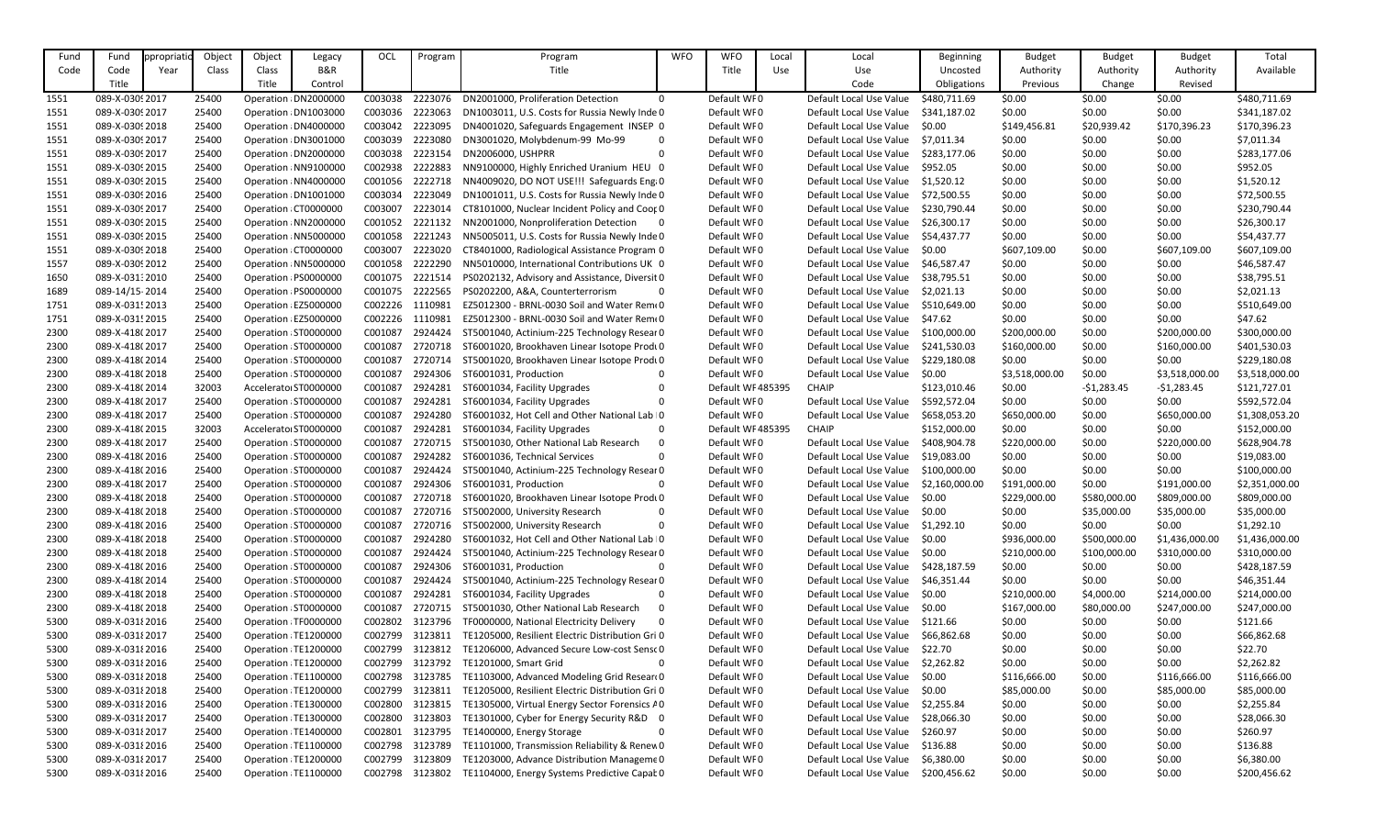| Fund | Fund            | ppropriatio | Object | Object               | Legacy         | OCL             | Program | Program                                          | <b>WFO</b>     | <b>WFO</b>       | Local | Local                   | <b>Beginning</b> | <b>Budget</b>  | <b>Budget</b> | <b>Budget</b>  | Total          |
|------|-----------------|-------------|--------|----------------------|----------------|-----------------|---------|--------------------------------------------------|----------------|------------------|-------|-------------------------|------------------|----------------|---------------|----------------|----------------|
| Code | Code            | Year        | Class  | Class                | <b>B&amp;R</b> |                 |         | Title                                            |                | Title            | Use   | Use                     | Uncosted         | Authority      | Authority     | Authority      | Available      |
|      | Title           |             |        | Title                | Control        |                 |         |                                                  |                |                  |       | Code                    | Obligations      | Previous       | Change        | Revised        |                |
|      |                 |             |        |                      |                |                 |         |                                                  |                |                  |       |                         |                  |                |               |                |                |
| 1551 | 089-X-0309 2017 |             | 25400  | Operation DN2000000  |                | C003038         | 2223076 | DN2001000, Proliferation Detection               | $\Omega$       | Default WF0      |       | Default Local Use Value | \$480,711.69     | \$0.00         | \$0.00        | \$0.00         | \$480,711.69   |
| 1551 | 089-X-0309 2017 |             | 25400  | Operation DN1003000  |                | C003036         | 2223063 | DN1003011, U.S. Costs for Russia Newly Inde 0    |                | Default WF0      |       | Default Local Use Value | \$341,187.02     | \$0.00         | \$0.00        | \$0.00         | \$341,187.02   |
| 1551 | 089-X-0309 2018 |             | 25400  | Operation DN4000000  |                | C003042         | 2223095 | DN4001020, Safeguards Engagement INSEP 0         |                | Default WF0      |       | Default Local Use Value | \$0.00           | \$149,456.81   | \$20,939.42   | \$170,396.23   | \$170,396.23   |
| 1551 | 089-X-0309 2017 |             | 25400  | Operation DN3001000  |                | C003039         | 2223080 | DN3001020, Molybdenum-99 Mo-99                   | -0             | Default WF0      |       | Default Local Use Value | \$7,011.34       | \$0.00         | \$0.00        | \$0.00         | \$7,011.34     |
| 1551 | 089-X-0309 2017 |             | 25400  | Operation DN2000000  |                | C003038         | 2223154 | DN2006000, USHPRR                                | $\Omega$       | Default WF0      |       | Default Local Use Value | \$283,177.06     | \$0.00         | \$0.00        | \$0.00         | \$283,177.06   |
| 1551 | 089-X-0309 2015 |             | 25400  | Operation NN9100000  |                | C002938         | 2222883 | NN9100000, Highly Enriched Uranium HEU 10        |                | Default WF0      |       | Default Local Use Value | \$952.05         | \$0.00         | \$0.00        | \$0.00         | \$952.05       |
| 1551 | 089-X-0309 2015 |             | 25400  | Operation NN4000000  |                | C001056         | 2222718 | NN4009020, DO NOT USE!!! Safeguards Eng. 0       |                | Default WF0      |       | Default Local Use Value | \$1,520.12       | \$0.00         | \$0.00        | \$0.00         | \$1,520.12     |
| 1551 | 089-X-0309 2016 |             | 25400  | Operation DN1001000  |                | C003034         | 2223049 | DN1001011, U.S. Costs for Russia Newly Inde 0    |                | Default WF0      |       | Default Local Use Value | \$72,500.55      | \$0.00         | \$0.00        | \$0.00         | \$72,500.55    |
| 1551 | 089-X-0309 2017 |             | 25400  | Operation CT0000000  |                | C003007         | 2223014 | CT8101000, Nuclear Incident Policy and Coor 0    |                | Default WF0      |       | Default Local Use Value | \$230,790.44     | \$0.00         | \$0.00        | \$0.00         | \$230,790.44   |
| 1551 | 089-X-0309 2015 |             | 25400  | Operation NN2000000  |                | C001052         | 2221132 | NN2001000, Nonproliferation Detection            | - 0            | Default WF0      |       | Default Local Use Value | \$26,300.17      | \$0.00         | \$0.00        | \$0.00         | \$26,300.17    |
| 1551 | 089-X-0309 2015 |             | 25400  | Operation NN5000000  |                | C001058         | 2221243 | NN5005011, U.S. Costs for Russia Newly Inde 0    |                | Default WF0      |       | Default Local Use Value | \$54,437.77      | \$0.00         | \$0.00        | \$0.00         | \$54,437.77    |
| 1551 | 089-X-0309 2018 |             | 25400  | Operation CT0000000  |                | C003007         | 2223020 | CT8401000, Radiological Assistance Program 0     |                | Default WF0      |       | Default Local Use Value | S0.00            | \$607,109.00   | \$0.00        | \$607,109.00   | \$607,109.00   |
| 1557 | 089-X-0309 2012 |             | 25400  | Operation NN5000000  |                | C001058         | 2222290 | NN5010000, International Contributions UK 0      |                | Default WF0      |       | Default Local Use Value | \$46,587.47      | \$0.00         | \$0.00        | \$0.00         | \$46,587.47    |
| 1650 | 089-X-03132010  |             | 25400  | Operation PS0000000  |                | C001075         | 2221514 | PS0202132, Advisory and Assistance, Diversit 0   |                | Default WF0      |       | Default Local Use Value | \$38,795.51      | \$0.00         | \$0.00        | \$0.00         | \$38,795.51    |
| 1689 | 089-14/15-2014  |             | 25400  | Operation PS0000000  |                | C001075         | 2222565 | PS0202200, A&A, Counterterrorism                 | -0             | Default WF0      |       | Default Local Use Value | \$2,021.13       | \$0.00         | \$0.00        | \$0.00         | \$2,021.13     |
| 1751 | 089-X-0315 2013 |             | 25400  | Operation EZ5000000  |                | C002226         | 1110981 | EZ5012300 - BRNL-0030 Soil and Water Rem(0       |                | Default WF0      |       | Default Local Use Value | \$510,649.00     | \$0.00         | \$0.00        | \$0.00         | \$510,649.00   |
| 1751 | 089-X-0315 2015 |             | 25400  | Operation EZ5000000  |                | C002226         | 1110981 | EZ5012300 - BRNL-0030 Soil and Water Rem(0)      |                | Default WF0      |       | Default Local Use Value | \$47.62          | \$0.00         | \$0.00        | \$0.00         | \$47.62        |
| 2300 | 089-X-418(2017  |             | 25400  | Operation ST0000000  |                | C001087         | 2924424 | ST5001040, Actinium-225 Technology Resear 0      |                | Default WF0      |       | Default Local Use Value | \$100,000.00     | \$200,000.00   | \$0.00        | \$200,000.00   | \$300,000.00   |
| 2300 | 089-X-418(2017  |             | 25400  | Operation ST0000000  |                | C001087         | 2720718 | ST6001020, Brookhaven Linear Isotope Prodt 0     |                | Default WF0      |       | Default Local Use Value | \$241,530.03     | \$160,000.00   | \$0.00        | \$160,000.00   | \$401,530.03   |
| 2300 | 089-X-418(2014  |             | 25400  | Operation ST0000000  |                | C001087         | 2720714 | ST5001020, Brookhaven Linear Isotope Prodt 0     |                | Default WF0      |       | Default Local Use Value | \$229,180.08     | \$0.00         | \$0.00        | \$0.00         | \$229,180.08   |
| 2300 | 089-X-418(2018  |             | 25400  | Operation ST0000000  |                | C001087         | 2924306 | ST6001031, Production                            | - 0            | Default WF0      |       | Default Local Use Value | \$0.00           | \$3,518,000.00 | \$0.00        | \$3,518,000.00 | \$3,518,000.00 |
| 2300 | 089-X-418(2014  |             | 32003  | Accelerato ST0000000 |                | C001087         | 2924281 | ST6001034, Facility Upgrades                     | -0             | Default WF485395 |       | <b>CHAIP</b>            | \$123,010.46     | \$0.00         | $-51,283.45$  | $-$1,283.45$   | \$121,727.01   |
| 2300 | 089-X-418(2017  |             | 25400  | Operation ST0000000  |                | C001087         | 2924281 | ST6001034, Facility Upgrades                     | - 0            | Default WF0      |       | Default Local Use Value | \$592,572.04     | \$0.00         | \$0.00        | \$0.00         | \$592,572.04   |
| 2300 | 089-X-418(2017  |             | 25400  | Operation ST0000000  |                | C001087         | 2924280 | ST6001032, Hot Cell and Other National Lab   0   |                | Default WF0      |       | Default Local Use Value | \$658,053.20     | \$650,000.00   | \$0.00        | \$650,000.00   | \$1,308,053.20 |
| 2300 | 089-X-418(2015  |             | 32003  | Accelerato ST0000000 |                | C001087         | 2924281 | ST6001034, Facility Upgrades                     | -0             | Default WF485395 |       | <b>CHAIP</b>            | \$152,000.00     | \$0.00         | \$0.00        | \$0.00         | \$152,000.00   |
| 2300 | 089-X-418(2017  |             | 25400  | Operation ST0000000  |                | C001087         | 2720715 | ST5001030, Other National Lab Research           | $\overline{0}$ | Default WF0      |       | Default Local Use Value | \$408,904.78     | \$220,000.00   | \$0.00        | \$220,000.00   | \$628,904.78   |
| 2300 | 089-X-418(2016  |             | 25400  | Operation ST0000000  |                | C001087         | 2924282 | ST6001036, Technical Services                    | $\Omega$       | Default WF0      |       | Default Local Use Value | \$19,083.00      | \$0.00         | \$0.00        | \$0.00         | \$19,083.00    |
| 2300 | 089-X-418(2016  |             | 25400  | Operation ST0000000  |                | C001087         | 2924424 | ST5001040, Actinium-225 Technology Resear 0      |                | Default WF0      |       | Default Local Use Value | \$100,000.00     | \$0.00         | \$0.00        | \$0.00         |                |
|      |                 |             |        |                      |                |                 |         |                                                  |                | Default WF0      |       |                         |                  |                |               |                | \$100,000.00   |
| 2300 | 089-X-418(2017  |             | 25400  | Operation ST0000000  |                | C001087         | 2924306 | ST6001031, Production                            | -0             |                  |       | Default Local Use Value | \$2,160,000.00   | \$191,000.00   | \$0.00        | \$191,000.00   | \$2,351,000.00 |
| 2300 | 089-X-418(2018  |             | 25400  | Operation ST0000000  |                | C001087         | 2720718 | ST6001020, Brookhaven Linear Isotope Produ0      |                | Default WF0      |       | Default Local Use Value | \$0.00           | \$229,000.00   | \$580,000.00  | \$809,000.00   | \$809,000.00   |
| 2300 | 089-X-418(2018  |             | 25400  | Operation ST0000000  |                | C001087         | 2720716 | ST5002000, University Research                   | -0             | Default WF0      |       | Default Local Use Value | \$0.00           | \$0.00         | \$35,000.00   | \$35,000.00    | \$35,000.00    |
| 2300 | 089-X-418(2016  |             | 25400  | Operation ST0000000  |                | C001087         | 2720716 | ST5002000, University Research                   | $\Omega$       | Default WF0      |       | Default Local Use Value | \$1,292.10       | \$0.00         | \$0.00        | \$0.00         | \$1,292.10     |
| 2300 | 089-X-418(2018  |             | 25400  | Operation ST0000000  |                | C001087         | 2924280 | ST6001032, Hot Cell and Other National Lab   0   |                | Default WF0      |       | Default Local Use Value | \$0.00           | \$936,000.00   | \$500,000.00  | \$1,436,000.00 | \$1,436,000.00 |
| 2300 | 089-X-418(2018  |             | 25400  | Operation ST0000000  |                | C001087         | 2924424 | ST5001040, Actinium-225 Technology Resear 0      |                | Default WF0      |       | Default Local Use Value | \$0.00           | \$210,000.00   | \$100,000.00  | \$310,000.00   | \$310,000.00   |
| 2300 | 089-X-418(2016  |             | 25400  | Operation ST0000000  |                | C001087         | 2924306 | ST6001031, Production                            | $\Omega$       | Default WF0      |       | Default Local Use Value | \$428,187.59     | \$0.00         | \$0.00        | \$0.00         | \$428,187.59   |
| 2300 | 089-X-418(2014  |             | 25400  | Operation ST0000000  |                | C001087         | 2924424 | ST5001040, Actinium-225 Technology Resear 0      |                | Default WF0      |       | Default Local Use Value | \$46,351.44      | \$0.00         | \$0.00        | \$0.00         | \$46,351.44    |
| 2300 | 089-X-418(2018  |             | 25400  | Operation ST0000000  |                | C001087         | 2924281 | ST6001034, Facility Upgrades                     | -0             | Default WF0      |       | Default Local Use Value | \$0.00           | \$210,000.00   | \$4,000.00    | \$214,000.00   | \$214,000.00   |
| 2300 | 089-X-418(2018  |             | 25400  | Operation ST0000000  |                | C001087         | 2720715 | ST5001030, Other National Lab Research           | -0             | Default WF0      |       | Default Local Use Value | \$0.00           | \$167,000.00   | \$80,000.00   | \$247,000.00   | \$247,000.00   |
| 5300 | 089-X-03182016  |             | 25400  | Operation TF0000000  |                | C002802         | 3123796 | TF0000000, National Electricity Delivery         | -0             | Default WF0      |       | Default Local Use Value | \$121.66         | \$0.00         | \$0.00        | \$0.00         | \$121.66       |
| 5300 | 089-X-03182017  |             | 25400  | Operation TE1200000  |                | C002799 3123811 |         | TE1205000, Resilient Electric Distribution Gri 0 |                | Default WF0      |       | Default Local Use Value | \$66,862.68      | \$0.00         | \$0.00        | \$0.00         | \$66,862.68    |
| 5300 | 089-X-03182016  |             | 25400  | Operation TE1200000  |                | C002799         | 3123812 | TE1206000, Advanced Secure Low-cost Sensc 0      |                | Default WF0      |       | Default Local Use Value | \$22.70          | \$0.00         | \$0.00        | \$0.00         | \$22.70        |
| 5300 | 089-X-03182016  |             | 25400  | Operation TE1200000  |                | C002799 3123792 |         | TE1201000, Smart Grid                            | - 0            | Default WF0      |       | Default Local Use Value | \$2,262.82       | \$0.00         | \$0.00        | \$0.00         | \$2,262.82     |
| 5300 | 089-X-03182018  |             | 25400  | Operation TE1100000  |                | C002798 3123785 |         | TE1103000, Advanced Modeling Grid Resear 0       |                | Default WF0      |       | Default Local Use Value | \$0.00           | \$116,666.00   | \$0.00        | \$116,666.00   | \$116,666.00   |
| 5300 | 089-X-03182018  |             | 25400  | Operation TE1200000  |                | C002799         | 3123811 | TE1205000, Resilient Electric Distribution Gri 0 |                | Default WF0      |       | Default Local Use Value | \$0.00           | \$85,000.00    | \$0.00        | \$85,000.00    | \$85,000.00    |
| 5300 | 089-X-03182016  |             | 25400  | Operation TE1300000  |                | C002800         | 3123815 | TE1305000, Virtual Energy Sector Forensics AO    |                | Default WF0      |       | Default Local Use Value | \$2,255.84       | \$0.00         | \$0.00        | \$0.00         | \$2,255.84     |
| 5300 | 089-X-03182017  |             | 25400  | Operation TE1300000  |                | C002800         | 3123803 | TE1301000, Cyber for Energy Security R&D 0       |                | Default WF0      |       | Default Local Use Value | \$28,066.30      | \$0.00         | \$0.00        | \$0.00         | \$28,066.30    |
| 5300 | 089-X-03182017  |             | 25400  | Operation TE1400000  |                | C002801         | 3123795 | TE1400000, Energy Storage                        | - 0            | Default WF0      |       | Default Local Use Value | \$260.97         | \$0.00         | \$0.00        | \$0.00         | \$260.97       |
| 5300 | 089-X-03182016  |             | 25400  | Operation TE1100000  |                | C002798 3123789 |         | TE1101000, Transmission Reliability & Renew 0    |                | Default WF0      |       | Default Local Use Value | \$136.88         | \$0.00         | \$0.00        | \$0.00         | \$136.88       |
| 5300 | 089-X-03182017  |             | 25400  | Operation TE1200000  |                | C002799         | 3123809 | TE1203000, Advance Distribution Manageme 0       |                | Default WF0      |       | Default Local Use Value | \$6,380.00       | \$0.00         | \$0.00        | \$0.00         | \$6,380.00     |
| 5300 | 089-X-031 2016  |             | 25400  | Operation TE1100000  |                | C002798         | 3123802 | TE1104000, Energy Systems Predictive Capat 0     |                | Default WF0      |       | Default Local Use Value | \$200,456.62     | \$0.00         | \$0.00        | \$0.00         | \$200,456.62   |
|      |                 |             |        |                      |                |                 |         |                                                  |                |                  |       |                         |                  |                |               |                |                |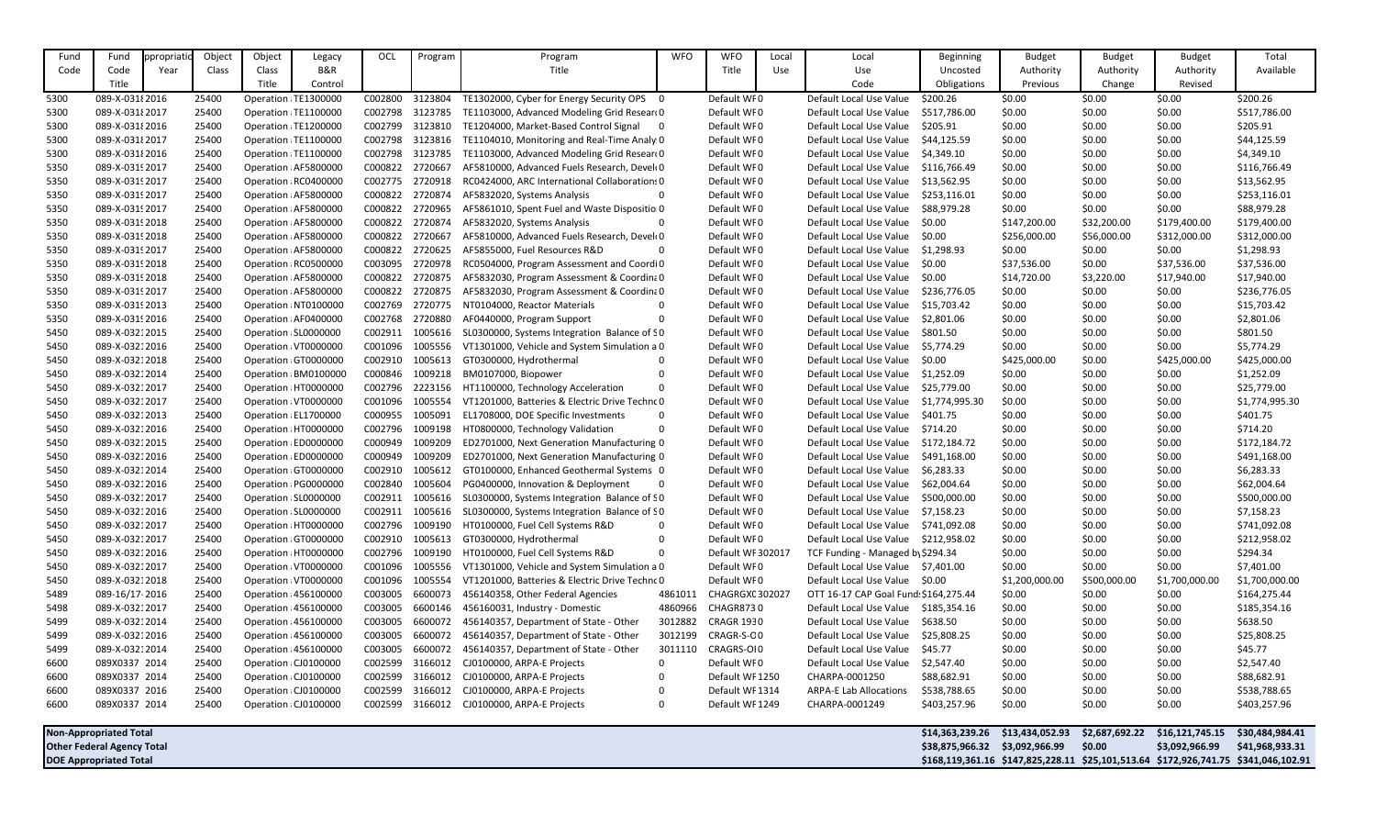| Fund | Fund                              | ppropriatio | Object | Object | Legacy                | OCL     | Program | Program                                        | <b>WFO</b>   | <b>WFO</b>        | Local | Local                                 | <b>Beginning</b>               | <b>Budget</b>   | <b>Budget</b>  | <b>Budget</b>   | Total                                                                               |
|------|-----------------------------------|-------------|--------|--------|-----------------------|---------|---------|------------------------------------------------|--------------|-------------------|-------|---------------------------------------|--------------------------------|-----------------|----------------|-----------------|-------------------------------------------------------------------------------------|
| Code | Code                              | Year        | Class  | Class  | B&R                   |         |         | Title                                          |              | Title             | Use   | Use                                   | Uncosted                       | Authority       | Authority      | Authority       | Available                                                                           |
|      | Title                             |             |        | Title  | Control               |         |         |                                                |              |                   |       | Code                                  | Obligations                    | Previous        | Change         | Revised         |                                                                                     |
| 5300 | 089-X-031 2016                    |             | 25400  |        | Operation TE1300000   | C002800 | 3123804 | TE1302000, Cyber for Energy Security OPS 0     |              | Default WF0       |       | Default Local Use Value               | \$200.26                       | \$0.00          | \$0.00         | \$0.00          | \$200.26                                                                            |
| 5300 | 089-X-031 2017                    |             | 25400  |        | Operation TE1100000   | C002798 | 3123785 | TE1103000, Advanced Modeling Grid Researd0     |              | Default WF0       |       | Default Local Use Value               | \$517,786.00                   | \$0.00          | \$0.00         | \$0.00          | \$517,786.00                                                                        |
| 5300 | 089-X-031 2016                    |             | 25400  |        | Operation TE1200000   | C002799 | 3123810 | TE1204000, Market-Based Control Signal         | - 0          | Default WF0       |       | Default Local Use Value               | \$205.91                       | \$0.00          | \$0.00         | \$0.00          | \$205.91                                                                            |
| 5300 | 089-X-031 2017                    |             | 25400  |        | Operation TE1100000   | C002798 | 3123816 | TE1104010, Monitoring and Real-Time Analy 0    |              | Default WF0       |       | Default Local Use Value               | \$44,125.59                    | \$0.00          | \$0.00         | \$0.00          | \$44,125.59                                                                         |
| 5300 | 089-X-031 2016                    |             | 25400  |        | Operation TE1100000   | C002798 | 3123785 | TE1103000, Advanced Modeling Grid Resear(0     |              | Default WF0       |       | Default Local Use Value               | \$4,349.10                     | \$0.00          | \$0.00         | \$0.00          | \$4,349.10                                                                          |
| 5350 | 089-X-0319 2017                   |             | 25400  |        | Operation AF5800000   | C000822 | 2720667 | AF5810000, Advanced Fuels Research, Devel 0    |              | Default WF0       |       | Default Local Use Value               | \$116,766.49                   | \$0.00          | \$0.00         | \$0.00          | \$116,766.49                                                                        |
| 5350 | 089-X-0319 2017                   |             | 25400  |        | Operation RC0400000   | C002775 | 2720918 | RC0424000, ARC International Collaborations 0  |              | Default WF0       |       | Default Local Use Value               | \$13,562.95                    | \$0.00          | \$0.00         | \$0.00          | \$13,562.95                                                                         |
| 5350 | 089-X-0319 2017                   |             | 25400  |        | Operation AF5800000   | C000822 | 2720874 | AF5832020, Systems Analysis                    | $\mathbf 0$  | Default WF0       |       | Default Local Use Value               | \$253,116.01                   | \$0.00          | \$0.00         | \$0.00          | \$253,116.01                                                                        |
| 5350 | 089-X-03192017                    |             | 25400  |        | Operation AF5800000   | C000822 | 2720965 | AF5861010, Spent Fuel and Waste Dispositio 0   |              | Default WF0       |       | Default Local Use Value               | \$88,979.28                    | \$0.00          | \$0.00         | \$0.00          | \$88,979.28                                                                         |
| 5350 | 089-X-0319 2018                   |             | 25400  |        | Operation AF5800000   | C000822 | 2720874 | AF5832020, Systems Analysis                    | $\Omega$     | Default WF0       |       | Default Local Use Value               | \$0.00                         | \$147,200.00    | \$32,200.00    | \$179,400.00    | \$179,400.00                                                                        |
| 5350 | 089-X-0319 2018                   |             | 25400  |        | Operation AF5800000   | C000822 | 2720667 | AF5810000, Advanced Fuels Research, Devel 0    |              | Default WF0       |       | Default Local Use Value               | \$0.00                         | \$256,000.00    | \$56,000.00    | \$312,000.00    | \$312,000.00                                                                        |
| 5350 | 089-X-0319 2017                   |             | 25400  |        | Operation AF5800000   | C000822 | 2720625 | AF5855000, Fuel Resources R&D                  | $\mathbf{0}$ | Default WF0       |       | Default Local Use Value               | \$1,298.93                     | \$0.00          | \$0.00         | \$0.00          | \$1,298.93                                                                          |
| 5350 | 089-X-0319 2018                   |             | 25400  |        | Operation RC0500000   | C003095 | 2720978 | RC0504000, Program Assessment and Coordi 0     |              | Default WF0       |       | Default Local Use Value               | \$0.00                         | \$37,536.00     | \$0.00         | \$37,536.00     | \$37,536.00                                                                         |
| 5350 | 089-X-0319 2018                   |             | 25400  |        | Operation AF5800000   | C000822 | 2720875 | AF5832030, Program Assessment & Coordina 0     |              | Default WF0       |       | Default Local Use Value               | \$0.00                         | \$14,720.00     | \$3,220.00     | \$17,940.00     | \$17,940.00                                                                         |
| 5350 | 089-X-0319 2017                   |             | 25400  |        | Operation AF5800000   | C000822 | 2720875 | AF5832030, Program Assessment & Coordina 0     |              | Default WF0       |       | Default Local Use Value               | \$236,776.05                   | \$0.00          | \$0.00         | \$0.00          | \$236,776.05                                                                        |
| 5350 | 089-X-0319 2013                   |             | 25400  |        | Operation NT0100000   | C002769 | 2720775 | NT0104000, Reactor Materials                   | $\mathbf{0}$ | Default WF0       |       | Default Local Use Value               | \$15,703.42                    | \$0.00          | \$0.00         | \$0.00          | \$15,703.42                                                                         |
| 5350 | 089-X-0319 2016                   |             | 25400  |        | Operation AF0400000   | C002768 | 2720880 | AF0440000, Program Support                     |              | Default WF0       |       | Default Local Use Value               | \$2,801.06                     | \$0.00          | \$0.00         | \$0.00          | \$2,801.06                                                                          |
| 5450 | 089-X-03212015                    |             | 25400  |        | Operation SL0000000   | C002911 | 1005616 | SL0300000, Systems Integration Balance of SO   |              | Default WF0       |       | Default Local Use Value               | \$801.50                       | \$0.00          | \$0.00         | \$0.00          | \$801.50                                                                            |
| 5450 | 089-X-03212016                    |             | 25400  |        | Operation VT0000000   | C001096 | 1005556 | VT1301000, Vehicle and System Simulation a 0   |              | Default WF0       |       | Default Local Use Value               | \$5,774.29                     | \$0.00          | \$0.00         | \$0.00          | \$5,774.29                                                                          |
| 5450 | 089-X-03212018                    |             | 25400  |        | Operation GT0000000   | C002910 | 1005613 | GT0300000, Hydrothermal                        | 0            | Default WF0       |       | Default Local Use Value               | \$0.00                         | \$425,000.00    | \$0.00         | \$425,000.00    | \$425,000.00                                                                        |
| 5450 | 089-X-03212014                    |             | 25400  |        | Operation BM0100000   | C000846 | 1009218 | BM0107000, Biopower                            | -0           | Default WF0       |       | Default Local Use Value               | \$1,252.09                     | \$0.00          | \$0.00         | \$0.00          | \$1,252.09                                                                          |
| 5450 | 089-X-03212017                    |             | 25400  |        | Operation HT0000000   | C002796 | 2223156 | HT1100000, Technology Acceleration             | $\mathbf{0}$ | Default WF0       |       | Default Local Use Value               | \$25,779.00                    | \$0.00          | \$0.00         | \$0.00          | \$25,779.00                                                                         |
| 5450 | 089-X-03212017                    |             | 25400  |        | Operation VT0000000   | C001096 | 1005554 | VT1201000, Batteries & Electric Drive Technc 0 |              | Default WF0       |       | Default Local Use Value               | \$1,774,995.30                 | \$0.00          | \$0.00         | \$0.00          | \$1,774,995.30                                                                      |
| 5450 | 089-X-03212013                    |             | 25400  |        | Operation : EL1700000 | C000955 | 1005091 | EL1708000, DOE Specific Investments            | 0            | Default WF0       |       | Default Local Use Value               | \$401.75                       | \$0.00          | \$0.00         | \$0.00          | \$401.75                                                                            |
| 5450 | 089-X-03212016                    |             | 25400  |        | Operation HT0000000   | C002796 | 1009198 | HT0800000, Technology Validation               | $\Omega$     | Default WF0       |       | Default Local Use Value               | \$714.20                       | \$0.00          | \$0.00         | \$0.00          | \$714.20                                                                            |
| 5450 | 089-X-03212015                    |             | 25400  |        | Operation ED0000000   | C000949 | 1009209 | ED2701000, Next Generation Manufacturing 0     |              | Default WF0       |       | Default Local Use Value               | \$172,184.72                   | \$0.00          | \$0.00         | \$0.00          | \$172,184.72                                                                        |
| 5450 | 089-X-03212016                    |             | 25400  |        | Operation ED0000000   | C000949 | 1009209 | ED2701000, Next Generation Manufacturing 0     |              | Default WF0       |       | Default Local Use Value               | \$491,168.00                   | \$0.00          | \$0.00         | \$0.00          | \$491,168.00                                                                        |
| 5450 | 089-X-03212014                    |             | 25400  |        | Operation GT0000000   | C002910 | 1005612 | GT0100000, Enhanced Geothermal Systems 0       |              | Default WF0       |       | Default Local Use Value \$6,283.33    |                                | \$0.00          | \$0.00         | \$0.00          | \$6,283.33                                                                          |
| 5450 | 089-X-03212016                    |             | 25400  |        | Operation PG0000000   | C002840 | 1005604 | PG0400000, Innovation & Deployment             | 0            | Default WF0       |       | Default Local Use Value               | \$62,004.64                    | \$0.00          | \$0.00         | \$0.00          | \$62,004.64                                                                         |
| 5450 | 089-X-03212017                    |             | 25400  |        | Operation SL0000000   | C002911 | 1005616 | SL0300000, Systems Integration Balance of SO   |              | Default WF0       |       | Default Local Use Value               | \$500,000.00                   | \$0.00          | \$0.00         | \$0.00          | \$500,000.00                                                                        |
| 5450 | 089-X-03212016                    |             | 25400  |        | Operation SL0000000   | C002911 | 1005616 | SL0300000, Systems Integration Balance of SO   |              | Default WF0       |       | Default Local Use Value               | \$7,158.23                     | \$0.00          | \$0.00         | \$0.00          | \$7,158.23                                                                          |
| 5450 | 089-X-03212017                    |             | 25400  |        | Operation HT0000000   | C002796 | 1009190 | HT0100000, Fuel Cell Systems R&D               | 0            | Default WF0       |       | Default Local Use Value \$741,092.08  |                                | \$0.00          | \$0.00         | \$0.00          | \$741,092.08                                                                        |
| 5450 | 089-X-03212017                    |             | 25400  |        | Operation GT0000000   | C002910 | 1005613 | GT0300000, Hydrothermal                        | 0            | Default WF0       |       | Default Local Use Value               | \$212,958.02                   | \$0.00          | \$0.00         | \$0.00          | \$212,958.02                                                                        |
| 5450 | 089-X-03212016                    |             | 25400  |        | Operation HT0000000   | C002796 | 1009190 | HT0100000, Fuel Cell Systems R&D               | 0            | Default WF 302017 |       | TCF Funding - Managed by \$294.34     |                                | \$0.00          | \$0.00         | \$0.00          | \$294.34                                                                            |
| 5450 | 089-X-03212017                    |             | 25400  |        | Operation VT0000000   | C001096 | 1005556 | VT1301000, Vehicle and System Simulation a 0   |              | Default WF0       |       | Default Local Use Value \$7,401.00    |                                | \$0.00          | \$0.00         | \$0.00          | \$7,401.00                                                                          |
| 5450 | 089-X-03212018                    |             | 25400  |        | Operation: VT0000000  | C001096 | 1005554 | VT1201000, Batteries & Electric Drive Technc 0 |              | Default WF0       |       | Default Local Use Value \$0.00        |                                | \$1,200,000.00  | \$500,000.00   | \$1,700,000.00  | \$1,700,000.00                                                                      |
| 5489 | 089-16/17-2016                    |             | 25400  |        | Operation 456100000   | C003005 | 6600073 | 456140358, Other Federal Agencies              | 4861011      | CHAGRGX0302027    |       | OTT 16-17 CAP Goal Fund: \$164,275.44 |                                | \$0.00          | \$0.00         | \$0.00          | \$164,275.44                                                                        |
| 5498 | 089-X-03212017                    |             | 25400  |        | Operation 456100000   | C003005 | 6600146 | 456160031, Industry - Domestic                 | 4860966      | <b>CHAGR8730</b>  |       | Default Local Use Value \$185,354.16  |                                | \$0.00          | \$0.00         | \$0.00          | \$185,354.16                                                                        |
| 5499 | 089-X-03212014                    |             | 25400  |        | Operation 456100000   | C003005 | 6600072 | 456140357, Department of State - Other         | 3012882      | <b>CRAGR 1930</b> |       | Default Local Use Value               | \$638.50                       | \$0.00          | \$0.00         | \$0.00          | \$638.50                                                                            |
| 5499 | 089-X-03212016                    |             | 25400  |        | Operation : 456100000 | C003005 | 6600072 | 456140357, Department of State - Other         | 3012199      | CRAGR-S-O0        |       | Default Local Use Value               | \$25,808.25                    | \$0.00          | \$0.00         | \$0.00          | \$25,808.25                                                                         |
| 5499 | 089-X-03212014                    |             | 25400  |        | Operation 456100000   | C003005 | 6600072 | 456140357, Department of State - Other         | 3011110      | CRAGRS-OI0        |       | Default Local Use Value               | \$45.77                        | \$0.00          | \$0.00         | \$0.00          | \$45.77                                                                             |
| 6600 | 089X0337 2014                     |             | 25400  |        | Operation CJ0100000   | C002599 | 3166012 | CJ0100000, ARPA-E Projects                     | 0            | Default WF0       |       | Default Local Use Value               | \$2,547.40                     | \$0.00          | \$0.00         | \$0.00          | \$2,547.40                                                                          |
| 6600 | 089X0337 2014                     |             | 25400  |        | Operation CJ0100000   | C002599 | 3166012 | CJ0100000, ARPA-E Projects                     | 0            | Default WF1250    |       | CHARPA-0001250                        | \$88,682.91                    | \$0.00          | \$0.00         | \$0.00          | \$88,682.91                                                                         |
| 6600 | 089X0337 2016                     |             | 25400  |        | Operation CJ0100000   | C002599 | 3166012 | CJ0100000, ARPA-E Projects                     | 0            | Default WF 1314   |       | <b>ARPA-E Lab Allocations</b>         | \$538,788.65                   | \$0.00          | \$0.00         | \$0.00          | \$538,788.65                                                                        |
| 6600 | 089X0337 2014                     |             | 25400  |        | Operation CJ0100000   | C002599 | 3166012 | CJ0100000, ARPA-E Projects                     | 0            | Default WF 1249   |       | CHARPA-0001249                        | \$403,257.96                   | \$0.00          | \$0.00         | \$0.00          | \$403,257.96                                                                        |
|      |                                   |             |        |        |                       |         |         |                                                |              |                   |       |                                       |                                |                 |                |                 |                                                                                     |
|      | <b>Non-Appropriated Total</b>     |             |        |        |                       |         |         |                                                |              |                   |       |                                       | \$14,363,239.26                | \$13,434,052.93 | \$2,687,692.22 | \$16,121,745.15 | \$30,484,984.41                                                                     |
|      | <b>Other Federal Agency Total</b> |             |        |        |                       |         |         |                                                |              |                   |       |                                       | \$38,875,966.32 \$3,092,966.99 |                 | \$0.00         | \$3,092,966.99  | \$41,968,933.31                                                                     |
|      | <b>DOE Appropriated Total</b>     |             |        |        |                       |         |         |                                                |              |                   |       |                                       |                                |                 |                |                 | \$168,119,361.16 \$147,825,228.11 \$25,101,513.64 \$172,926,741.75 \$341,046,102.91 |